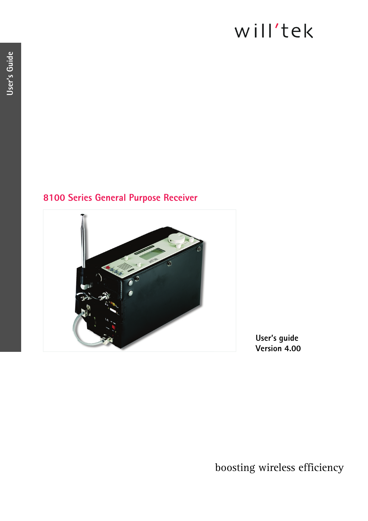# will'tek

# **8100 Series General Purpose Receiver**



**User's guide Version 4.00**

boosting wireless efficiency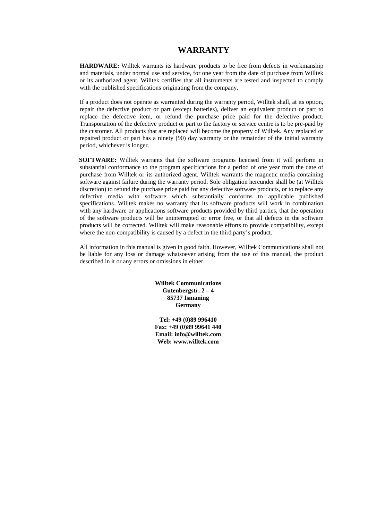## **WARRANTY**

**HARDWARE:** Willtek warrants its hardware products to be free from defects in workmanship and materials, under normal use and service, for one year from the date of purchase from Willtek or its authorized agent. Willtek certifies that all instruments are tested and inspected to comply with the published specifications originating from the company.

If a product does not operate as warranted during the warranty period, Willtek shall, at its option, repair the defective product or part (except batteries), deliver an equivalent product or part to replace the defective item, or refund the purchase price paid for the defective product. Transportation of the defective product or part to the factory or service centre is to be pre-paid by the customer. All products that are replaced will become the property of Willtek. Any replaced or repaired product or part has a ninety (90) day warranty or the remainder of the initial warranty period, whichever is longer.

**SOFTWARE:** Willtek warrants that the software programs licensed from it will perform in substantial conformance to the program specifications for a period of one year from the date of purchase from Willtek or its authorized agent. Willtek warrants the magnetic media containing software against failure during the warranty period. Sole obligation hereunder shall be (at Willtek discretion) to refund the purchase price paid for any defective software products, or to replace any defective media with software which substantially conforms to applicable published specifications. Willtek makes no warranty that its software products will work in combination with any hardware or applications software products provided by third parties, that the operation of the software products will be uninterrupted or error free, or that all defects in the software products will be corrected. Willtek will make reasonable efforts to provide compatibility, except where the non-compatibility is caused by a defect in the third party's product.

All information in this manual is given in good faith. However, Willtek Communications shall not be liable for any loss or damage whatsoever arising from the use of this manual, the product described in it or any errors or omissions in either.

> **Willtek Communications Gutenbergstr. 2 – 4 85737 Ismaning Germany**

**Tel: +49 (0)89 996410 Fax: +49 (0)89 99641 440 Email: info@willtek.com Web: www.willtek.com**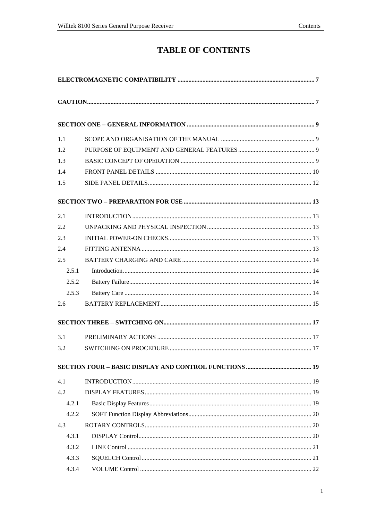# **TABLE OF CONTENTS**

| 1.1   |  |
|-------|--|
| 1.2   |  |
| 1.3   |  |
| 1.4   |  |
| 1.5   |  |
|       |  |
| 2.1   |  |
| 2.2   |  |
| 2.3   |  |
| 2.4   |  |
| 2.5   |  |
| 2.5.1 |  |
| 2.5.2 |  |
| 2.5.3 |  |
| 2.6   |  |
|       |  |
| 3.1   |  |
| 3.2   |  |
|       |  |
| 4.1   |  |
| 4.2   |  |
| 4.2.1 |  |
| 4.2.2 |  |
| 4.3   |  |
| 4.3.1 |  |
| 4.3.2 |  |
| 4.3.3 |  |
| 4.3.4 |  |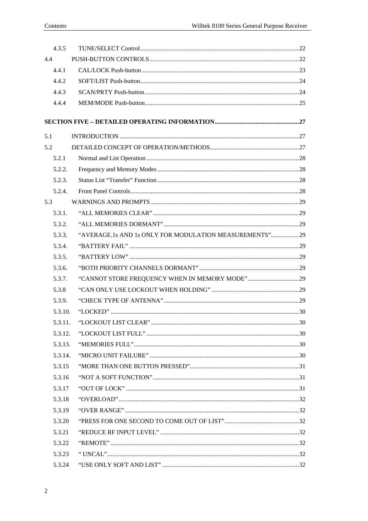| 4.3.5   |                                                        |  |
|---------|--------------------------------------------------------|--|
| 4.4     |                                                        |  |
| 4.4.1   |                                                        |  |
| 4.4.2   |                                                        |  |
| 4.4.3   |                                                        |  |
| 4.4.4   |                                                        |  |
|         |                                                        |  |
| 5.1     |                                                        |  |
| 5.2     |                                                        |  |
| 5.2.1   |                                                        |  |
| 5.2.2.  |                                                        |  |
| 5.2.3.  |                                                        |  |
| 5.2.4.  |                                                        |  |
| 5.3     |                                                        |  |
| 5.3.1.  |                                                        |  |
| 5.3.2.  |                                                        |  |
| 5.3.3.  | "AVERAGE.1s AND 1s ONLY FOR MODULATION MEASUREMENTS"29 |  |
| 5.3.4.  |                                                        |  |
| 5.3.5.  |                                                        |  |
| 5.3.6.  |                                                        |  |
| 5.3.7.  | "CANNOT STORE FREQUENCY WHEN IN MEMORY MODE"29         |  |
| 5.3.8   |                                                        |  |
| 5.3.9.  |                                                        |  |
| 5.3.10. |                                                        |  |
| 5.3.11. |                                                        |  |
| 5.3.12. |                                                        |  |
| 5.3.13. |                                                        |  |
| 5.3.14. |                                                        |  |
| 5.3.15  |                                                        |  |
| 5.3.16  |                                                        |  |
| 5.3.17  |                                                        |  |
| 5.3.18  |                                                        |  |
| 5.3.19  |                                                        |  |
| 5.3.20  |                                                        |  |
| 5.3.21  |                                                        |  |
| 5.3.22  |                                                        |  |
| 5.3.23  |                                                        |  |
| 5.3.24  |                                                        |  |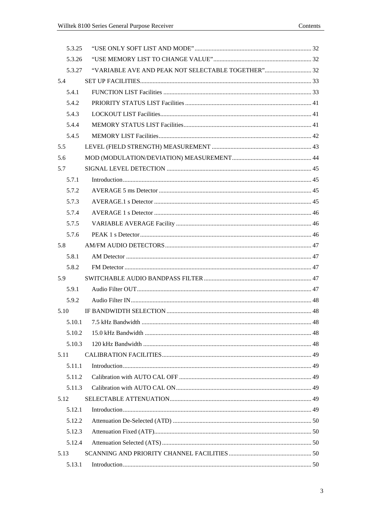| 5.3.25 |                                                    |  |
|--------|----------------------------------------------------|--|
| 5.3.26 |                                                    |  |
| 5.3.27 | "VARIABLE AVE AND PEAK NOT SELECTABLE TOGETHER" 32 |  |
| 5.4    |                                                    |  |
| 5.4.1  |                                                    |  |
| 5.4.2  |                                                    |  |
| 5.4.3  |                                                    |  |
| 5.4.4  |                                                    |  |
| 5.4.5  |                                                    |  |
| 5.5    |                                                    |  |
| 5.6    |                                                    |  |
| 5.7    |                                                    |  |
| 5.7.1  |                                                    |  |
| 5.7.2  |                                                    |  |
| 5.7.3  |                                                    |  |
| 5.7.4  |                                                    |  |
| 5.7.5  |                                                    |  |
| 5.7.6  |                                                    |  |
| 5.8    |                                                    |  |
| 5.8.1  |                                                    |  |
| 5.8.2  |                                                    |  |
| 5.9    |                                                    |  |
| 5.9.1  |                                                    |  |
| 5.9.2  |                                                    |  |
| 5.10   |                                                    |  |
|        |                                                    |  |
| 5.10.2 |                                                    |  |
| 5.10.3 |                                                    |  |
| 5.11   |                                                    |  |
| 5.11.1 |                                                    |  |
| 5.11.2 |                                                    |  |
| 5.11.3 |                                                    |  |
| 5.12   |                                                    |  |
| 5.12.1 |                                                    |  |
| 5.12.2 |                                                    |  |
| 5.12.3 |                                                    |  |
| 5.12.4 |                                                    |  |
| 5.13   |                                                    |  |
| 5.13.1 |                                                    |  |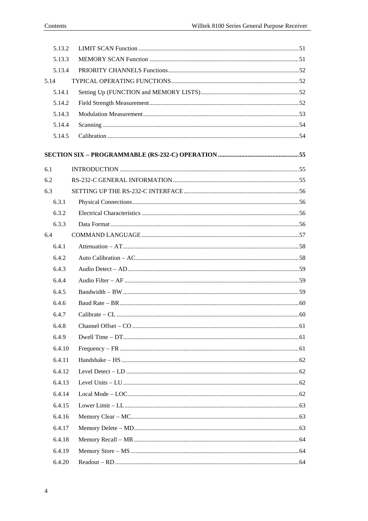| 5.13.2 |  |
|--------|--|
| 5.13.3 |  |
| 5.13.4 |  |
| 5.14   |  |
| 5.14.1 |  |
| 5.14.2 |  |
| 5.14.3 |  |
| 5.14.4 |  |
| 5.14.5 |  |
|        |  |
|        |  |
| 6.1    |  |
| 6.2    |  |
| 6.3    |  |
| 6.3.1  |  |
| 6.3.2  |  |
| 6.3.3  |  |
| 6.4    |  |
| 6.4.1  |  |
| 6.4.2  |  |
| 6.4.3  |  |
| 6.4.4  |  |
| 6.4.5  |  |
| 6.4.6  |  |
| 6.4.7  |  |
| 6.4.8  |  |
| 6.4.9  |  |
| 6.4.10 |  |
| 6.4.11 |  |
| 6.4.12 |  |
| 6.4.13 |  |
| 6.4.14 |  |
| 6.4.15 |  |
| 6.4.16 |  |
| 6.4.17 |  |
| 6.4.18 |  |
| 6.4.19 |  |
| 6.4.20 |  |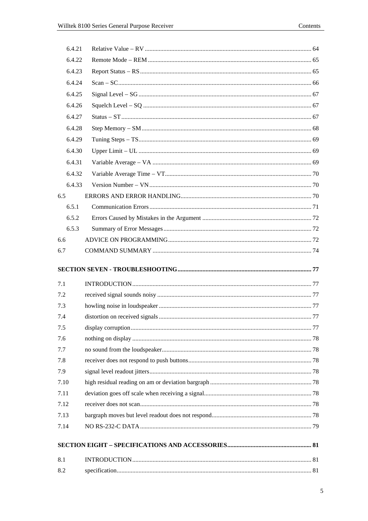| 6.4.21                       |  |
|------------------------------|--|
| 6.4.22                       |  |
| 6.4.23                       |  |
| 6.4.24                       |  |
| 6.4.25                       |  |
| 6.4.26                       |  |
| 6.4.27                       |  |
| 6.4.28                       |  |
| 6.4.29                       |  |
| 6.4.30                       |  |
| 6.4.31                       |  |
| 6.4.32                       |  |
| 6.4.33                       |  |
| 6.5                          |  |
| 6.5.1                        |  |
| 6.5.2                        |  |
| 6.5.3                        |  |
| 6.6                          |  |
| 6.7                          |  |
|                              |  |
|                              |  |
|                              |  |
| 7.1<br>7.2                   |  |
| 7.3                          |  |
| 7.4                          |  |
| 7.5                          |  |
| 7.6                          |  |
| 7.7                          |  |
| 7.8                          |  |
| 7.9                          |  |
|                              |  |
|                              |  |
|                              |  |
| 7.13                         |  |
| 7.10<br>7.11<br>7.12<br>7.14 |  |
|                              |  |
| 8.1                          |  |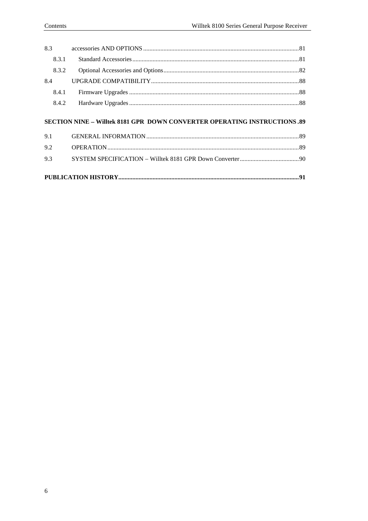| 8.3.1 |                                                                                 |  |
|-------|---------------------------------------------------------------------------------|--|
| 8.3.2 |                                                                                 |  |
| 8.4   |                                                                                 |  |
| 8.4.1 |                                                                                 |  |
| 8.4.2 |                                                                                 |  |
|       |                                                                                 |  |
|       | <b>SECTION NINE - Willtek 8181 GPR DOWN CONVERTER OPERATING INSTRUCTIONS.89</b> |  |
| 9.1   |                                                                                 |  |
| 9.2   |                                                                                 |  |
| 9.3   |                                                                                 |  |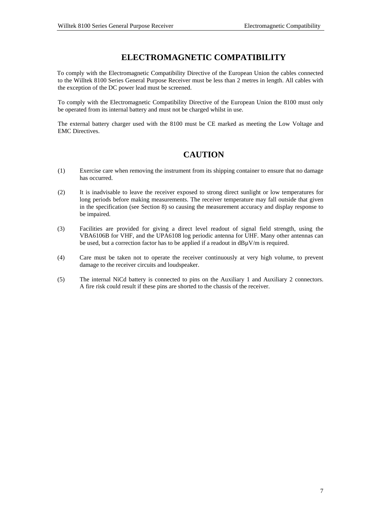# **ELECTROMAGNETIC COMPATIBILITY**

<span id="page-10-0"></span>To comply with the Electromagnetic Compatibility Directive of the European Union the cables connected to the Willtek 8100 Series General Purpose Receiver must be less than 2 metres in length. All cables with the exception of the DC power lead must be screened.

To comply with the Electromagnetic Compatibility Directive of the European Union the 8100 must only be operated from its internal battery and must not be charged whilst in use.

The external battery charger used with the 8100 must be CE marked as meeting the Low Voltage and EMC Directives.

# **CAUTION**

- (1) Exercise care when removing the instrument from its shipping container to ensure that no damage has occurred.
- (2) It is inadvisable to leave the receiver exposed to strong direct sunlight or low temperatures for long periods before making measurements. The receiver temperature may fall outside that given in the specification (see Section 8) so causing the measurement accuracy and display response to be impaired.
- (3) Facilities are provided for giving a direct level readout of signal field strength, using the VBA6106B for VHF, and the UPA6108 log periodic antenna for UHF. Many other antennas can be used, but a correction factor has to be applied if a readout in dBuV/m is required.
- (4) Care must be taken not to operate the receiver continuously at very high volume, to prevent damage to the receiver circuits and loudspeaker.
- (5) The internal NiCd battery is connected to pins on the Auxiliary 1 and Auxiliary 2 connectors. A fire risk could result if these pins are shorted to the chassis of the receiver.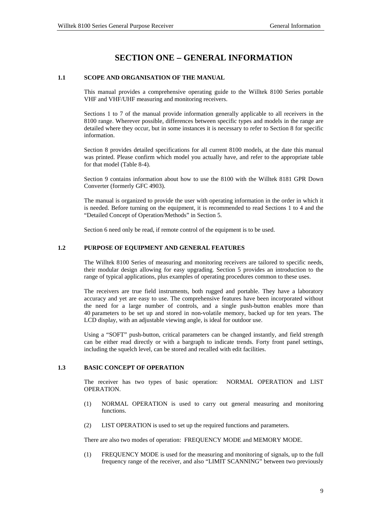# **SECTION ONE** − **GENERAL INFORMATION**

#### <span id="page-12-0"></span>**1.1 SCOPE AND ORGANISATION OF THE MANUAL**

This manual provides a comprehensive operating guide to the Willtek 8100 Series portable VHF and VHF/UHF measuring and monitoring receivers.

Sections 1 to 7 of the manual provide information generally applicable to all receivers in the 8100 range. Wherever possible, differences between specific types and models in the range are detailed where they occur, but in some instances it is necessary to refer to Section 8 for specific information.

Section 8 provides detailed specifications for all current 8100 models, at the date this manual was printed. Please confirm which model you actually have, and refer to the appropriate table for that model (Table 8-4).

Section 9 contains information about how to use the 8100 with the Willtek 8181 GPR Down Converter (formerly GFC 4903).

The manual is organized to provide the user with operating information in the order in which it is needed. Before turning on the equipment, it is recommended to read Sections 1 to 4 and the "Detailed Concept of Operation/Methods" in Section 5.

Section 6 need only be read, if remote control of the equipment is to be used.

#### **1.2 PURPOSE OF EQUIPMENT AND GENERAL FEATURES**

The Willtek 8100 Series of measuring and monitoring receivers are tailored to specific needs, their modular design allowing for easy upgrading. Section 5 provides an introduction to the range of typical applications, plus examples of operating procedures common to these uses.

The receivers are true field instruments, both rugged and portable. They have a laboratory accuracy and yet are easy to use. The comprehensive features have been incorporated without the need for a large number of controls, and a single push-button enables more than 40 parameters to be set up and stored in non-volatile memory, backed up for ten years. The LCD display, with an adjustable viewing angle, is ideal for outdoor use.

Using a "SOFT" push-button, critical parameters can be changed instantly, and field strength can be either read directly or with a bargraph to indicate trends. Forty front panel settings, including the squelch level, can be stored and recalled with edit facilities.

#### **1.3 BASIC CONCEPT OF OPERATION**

The receiver has two types of basic operation: NORMAL OPERATION and LIST OPERATION.

- (1) NORMAL OPERATION is used to carry out general measuring and monitoring functions.
- (2) LIST OPERATION is used to set up the required functions and parameters.

There are also two modes of operation: FREQUENCY MODE and MEMORY MODE.

(1) FREQUENCY MODE is used for the measuring and monitoring of signals, up to the full frequency range of the receiver, and also "LIMIT SCANNING" between two previously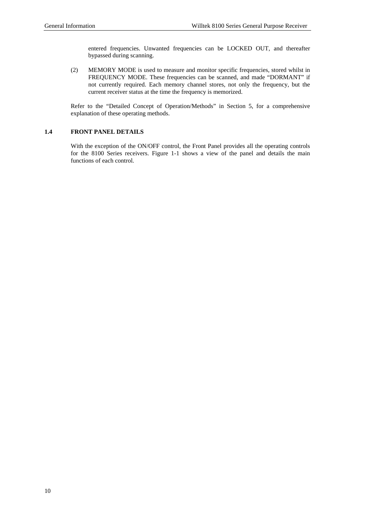entered frequencies. Unwanted frequencies can be LOCKED OUT, and thereafter bypassed during scanning.

<span id="page-13-0"></span>(2) MEMORY MODE is used to measure and monitor specific frequencies, stored whilst in FREQUENCY MODE. These frequencies can be scanned, and made "DORMANT" if not currently required. Each memory channel stores, not only the frequency, but the current receiver status at the time the frequency is memorized.

Refer to the "Detailed Concept of Operation/Methods" in Section 5, for a comprehensive explanation of these operating methods.

#### **1.4 FRONT PANEL DETAILS**

With the exception of the ON/OFF control, the Front Panel provides all the operating controls for the 8100 Series receivers. Figure 1-1 shows a view of the panel and details the main functions of each control.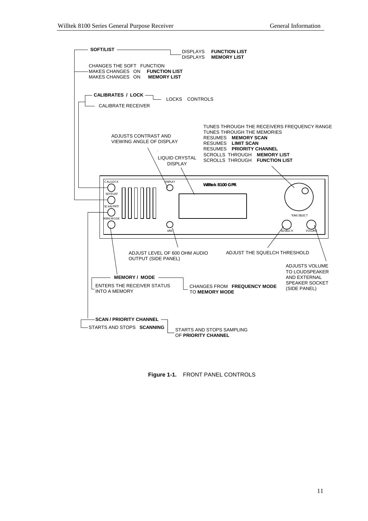

**Figure 1-1.** FRONT PANEL CONTROLS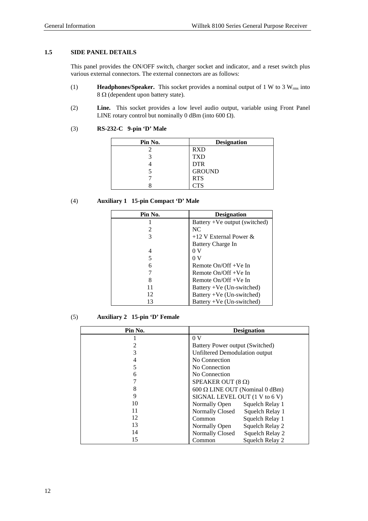#### <span id="page-15-0"></span>**1.5 SIDE PANEL DETAILS**

This panel provides the ON/OFF switch, charger socket and indicator, and a reset switch plus various external connectors. The external connectors are as follows:

- (1) **Headphones/Speaker.** This socket provides a nominal output of 1 W to 3 Wrms into 8 Ω (dependent upon battery state).
- (2) **Line.** This socket provides a low level audio output, variable using Front Panel LINE rotary control but nominally 0 dBm (into 600  $\Omega$ ).

| Pin No. | <b>Designation</b> |
|---------|--------------------|
|         | <b>RXD</b>         |
|         | <b>TXD</b>         |
|         | <b>DTR</b>         |
|         | <b>GROUND</b>      |
|         | <b>RTS</b>         |
|         | CTS                |

## (3) **RS-232-C 9-pin 'D' Male**

#### (4) **Auxiliary 1 15-pin Compact 'D' Male**

| Pin No. | <b>Designation</b>            |
|---------|-------------------------------|
|         | Battery +Ve output (switched) |
| 2       | NC.                           |
| 3       | +12 V External Power $\&$     |
|         | Battery Charge In             |
| 4       | 0V                            |
| 5       | 0 V                           |
| 6       | Remote $On/Off + Ve$ In       |
|         | Remote $On/Off + Ve$ In       |
| 8       | Remote $On/Off + Ve$ In       |
| 11      | Battery +Ve (Un-switched)     |
| 12      | Battery +Ve (Un-switched)     |
| 13      | Battery +Ve (Un-switched)     |

#### (5) **Auxiliary 2 15-pin 'D' Female**

| Pin No. | <b>Designation</b>                        |
|---------|-------------------------------------------|
|         | 0 <sup>V</sup>                            |
|         | Battery Power output (Switched)           |
| 3       | Unfiltered Demodulation output            |
| 4       | No Connection                             |
| 5       | No Connection                             |
| 6       | No Connection                             |
|         | SPEAKER OUT $(8 \Omega)$                  |
| 8       | 600 Ω LINE OUT (Nominal 0 dBm)            |
| 9       | SIGNAL LEVEL OUT (1 V to 6 V)             |
| 10      | Squelch Relay 1<br>Normally Open          |
| 11      | <b>Normally Closed</b><br>Squelch Relay 1 |
| 12      | Squelch Relay 1<br>Common                 |
| 13      | Squelch Relay 2<br>Normally Open          |
| 14      | Normally Closed<br>Squelch Relay 2        |
| 15      | Squelch Relay 2<br>Common                 |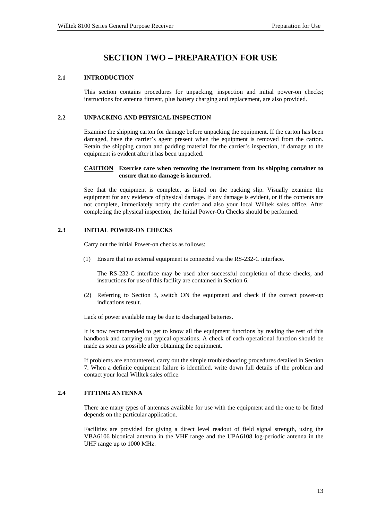# **SECTION TWO** − **PREPARATION FOR USE**

#### <span id="page-16-0"></span>**2.1 INTRODUCTION**

This section contains procedures for unpacking, inspection and initial power-on checks; instructions for antenna fitment, plus battery charging and replacement, are also provided.

#### **2.2 UNPACKING AND PHYSICAL INSPECTION**

Examine the shipping carton for damage before unpacking the equipment. If the carton has been damaged, have the carrier's agent present when the equipment is removed from the carton. Retain the shipping carton and padding material for the carrier's inspection, if damage to the equipment is evident after it has been unpacked.

#### **CAUTION Exercise care when removing the instrument from its shipping container to ensure that no damage is incurred.**

See that the equipment is complete, as listed on the packing slip. Visually examine the equipment for any evidence of physical damage. If any damage is evident, or if the contents are not complete, immediately notify the carrier and also your local Willtek sales office. After completing the physical inspection, the Initial Power-On Checks should be performed.

#### **2.3 INITIAL POWER-ON CHECKS**

Carry out the initial Power-on checks as follows:

(1) Ensure that no external equipment is connected via the RS-232-C interface.

The RS-232-C interface may be used after successful completion of these checks, and instructions for use of this facility are contained in Section 6.

(2) Referring to Section 3, switch ON the equipment and check if the correct power-up indications result.

Lack of power available may be due to discharged batteries.

It is now recommended to get to know all the equipment functions by reading the rest of this handbook and carrying out typical operations. A check of each operational function should be made as soon as possible after obtaining the equipment.

If problems are encountered, carry out the simple troubleshooting procedures detailed in Section 7. When a definite equipment failure is identified, write down full details of the problem and contact your local Willtek sales office.

#### **2.4 FITTING ANTENNA**

There are many types of antennas available for use with the equipment and the one to be fitted depends on the particular application.

Facilities are provided for giving a direct level readout of field signal strength, using the VBA6106 biconical antenna in the VHF range and the UPA6108 log-periodic antenna in the UHF range up to 1000 MHz.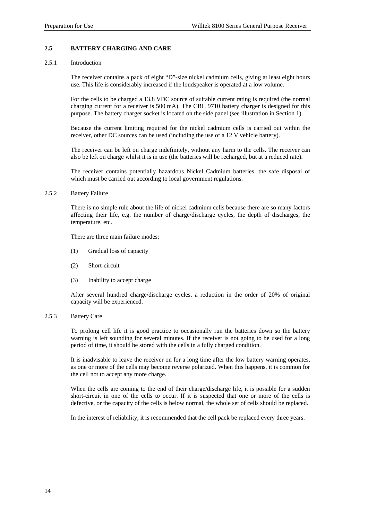#### <span id="page-17-0"></span>**2.5 BATTERY CHARGING AND CARE**

#### 2.5.1 Introduction

The receiver contains a pack of eight "D"-size nickel cadmium cells, giving at least eight hours use. This life is considerably increased if the loudspeaker is operated at a low volume.

For the cells to be charged a 13.8 VDC source of suitable current rating is required (the normal charging current for a receiver is 500 mA). The CBC 9710 battery charger is designed for this purpose. The battery charger socket is located on the side panel (see illustration in Section 1).

Because the current limiting required for the nickel cadmium cells is carried out within the receiver, other DC sources can be used (including the use of a 12 V vehicle battery).

The receiver can be left on charge indefinitely, without any harm to the cells. The receiver can also be left on charge whilst it is in use (the batteries will be recharged, but at a reduced rate).

The receiver contains potentially hazardous Nickel Cadmium batteries, the safe disposal of which must be carried out according to local government regulations.

#### 2.5.2 Battery Failure

There is no simple rule about the life of nickel cadmium cells because there are so many factors affecting their life, e.g. the number of charge/discharge cycles, the depth of discharges, the temperature, etc.

There are three main failure modes:

- (1) Gradual loss of capacity
- (2) Short-circuit
- (3) Inability to accept charge

After several hundred charge/discharge cycles, a reduction in the order of 20% of original capacity will be experienced.

#### 2.5.3 Battery Care

To prolong cell life it is good practice to occasionally run the batteries down so the battery warning is left sounding for several minutes. If the receiver is not going to be used for a long period of time, it should be stored with the cells in a fully charged condition.

It is inadvisable to leave the receiver on for a long time after the low battery warning operates, as one or more of the cells may become reverse polarized. When this happens, it is common for the cell not to accept any more charge.

When the cells are coming to the end of their charge/discharge life, it is possible for a sudden short-circuit in one of the cells to occur. If it is suspected that one or more of the cells is defective, or the capacity of the cells is below normal, the whole set of cells should be replaced.

In the interest of reliability, it is recommended that the cell pack be replaced every three years.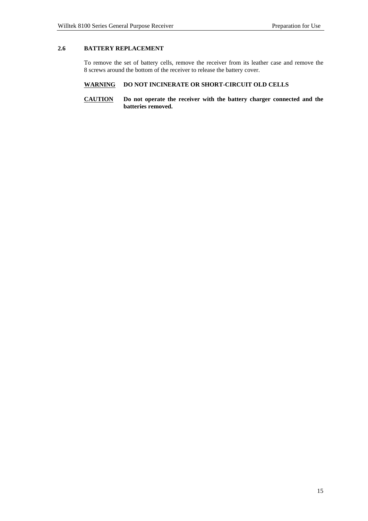#### <span id="page-18-0"></span>**2.6 BATTERY REPLACEMENT**

To remove the set of battery cells, remove the receiver from its leather case and remove the 8 screws around the bottom of the receiver to release the battery cover.

## **WARNING DO NOT INCINERATE OR SHORT-CIRCUIT OLD CELLS**

#### **CAUTION Do not operate the receiver with the battery charger connected and the batteries removed.**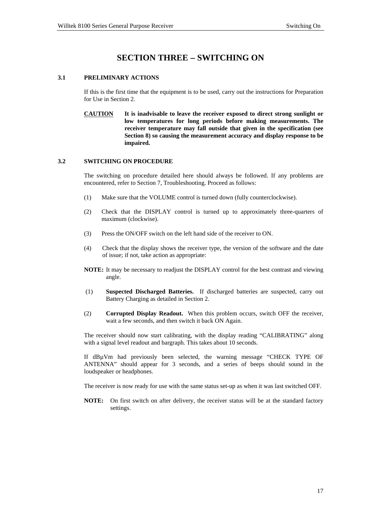# **SECTION THREE** − **SWITCHING ON**

#### <span id="page-20-0"></span>**3.1 PRELIMINARY ACTIONS**

If this is the first time that the equipment is to be used, carry out the instructions for Preparation for Use in Section 2.

**CAUTION It is inadvisable to leave the receiver exposed to direct strong sunlight or low temperatures for long periods before making measurements. The receiver temperature may fall outside that given in the specification (see Section 8) so causing the measurement accuracy and display response to be impaired.** 

#### **3.2 SWITCHING ON PROCEDURE**

The switching on procedure detailed here should always be followed. If any problems are encountered, refer to Section 7, Troubleshooting. Proceed as follows:

- (1) Make sure that the VOLUME control is turned down (fully counterclockwise).
- (2) Check that the DISPLAY control is turned up to approximately three-quarters of maximum (clockwise).
- (3) Press the ON/OFF switch on the left hand side of the receiver to ON.
- (4) Check that the display shows the receiver type, the version of the software and the date of issue; if not, take action as appropriate:
- **NOTE:** It may be necessary to readjust the DISPLAY control for the best contrast and viewing angle.
- (1) **Suspected Discharged Batteries.** If discharged batteries are suspected, carry out Battery Charging as detailed in Section 2.
- (2) **Corrupted Display Readout.** When this problem occurs, switch OFF the receiver, wait a few seconds, and then switch it back ON Again.

The receiver should now start calibrating, with the display reading "CALIBRATING" along with a signal level readout and bargraph. This takes about 10 seconds.

If dBµVm had previously been selected, the warning message "CHECK TYPE OF ANTENNA" should appear for 3 seconds, and a series of beeps should sound in the loudspeaker or headphones.

The receiver is now ready for use with the same status set-up as when it was last switched OFF.

**NOTE:** On first switch on after delivery, the receiver status will be at the standard factory settings.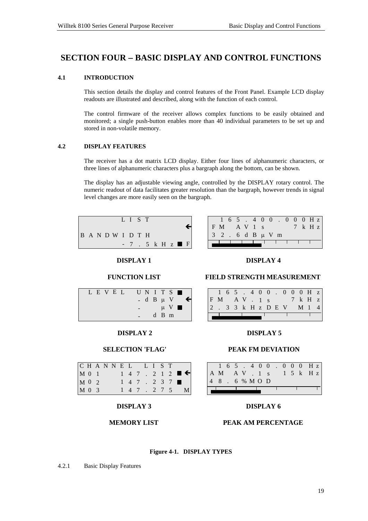# <span id="page-22-0"></span>**SECTION FOUR** − **BASIC DISPLAY AND CONTROL FUNCTIONS**

#### **4.1 INTRODUCTION**

This section details the display and control features of the Front Panel. Example LCD display readouts are illustrated and described, along with the function of each control.

The control firmware of the receiver allows complex functions to be easily obtained and monitored; a single push-button enables more than 40 individual parameters to be set up and stored in non-volatile memory.

#### **4.2 DISPLAY FEATURES**

The receiver has a dot matrix LCD display. Either four lines of alphanumeric characters, or three lines of alphanumeric characters plus a bargraph along the bottom, can be shown.

The display has an adjustable viewing angle, controlled by the DISPLAY rotary control. The numeric readout of data facilitates greater resolution than the bargraph, however trends in signal level changes are more easily seen on the bargraph.

|  |  |                   | LIST |  |                                      |  |  |
|--|--|-------------------|------|--|--------------------------------------|--|--|
|  |  | B A N D W I D T H |      |  |                                      |  |  |
|  |  |                   |      |  | $-7$ $-5$ $k$ H $z$ $\blacksquare$ F |  |  |

**DISPLAY 1**

**FUNCTION LIST**

|                   | $1\; 6\; 5\; .\; 4\; 0\; 0\; .\; 0\; 0\; 0\; H\; z$ |  |  |  |  |  |                    |  |
|-------------------|-----------------------------------------------------|--|--|--|--|--|--------------------|--|
| FM AVIS           |                                                     |  |  |  |  |  | $7 \text{ k }$ H z |  |
| 3 2 . 6 d B µ V m |                                                     |  |  |  |  |  |                    |  |
|                   |                                                     |  |  |  |  |  |                    |  |

#### **DISPLAY 4**

#### **FIELD STRENGTH MEASUREMENT**

**DISPLAY 5**

**PEAK FM DEVIATION**

1 6 5 . 4 0 0 . 0 0 0 Hz A M A V . 1 s 1 5 k H z

**DISPLAY 6**

**PEAK AM PERCENTAGE**

|  |     |  |  |  |  |  | $1\; 6\; 5\; .\; 4\; 0\; 0\; .\; 0\; 0\; 0\; H\; z$ |  |
|--|-----|--|--|--|--|--|-----------------------------------------------------|--|
|  | F M |  |  |  |  |  | AV. 1s <sup>7</sup> kHz                             |  |
|  |     |  |  |  |  |  | 2 . 3 3 k H z D E V M 1 4                           |  |
|  |     |  |  |  |  |  |                                                     |  |

4 8 . 6 %MO D

#### **DISPLAY 2**

LEV E L UN I T S

 $-d$  B  $\mu$  V

 $\mu$  V  $\blacksquare$ d B m

#### **SELECTION 'FLAG'**

| CHANNEL |  |  |  | LIST    |  |                                      |
|---------|--|--|--|---------|--|--------------------------------------|
| $M$ 0 1 |  |  |  |         |  | $1$ 4 7 . 2 1 2 $\blacksquare$       |
| M 0 2   |  |  |  |         |  | $1 \t4 \t7 \t2 \t3 \t7 \blacksquare$ |
| M 0 3   |  |  |  | 147.275 |  | $\mathbf{M}$                         |

#### **DISPLAY 3**

#### **MEMORY LIST**

#### **Figure 4-1. DISPLAY TYPES**

4.2.1 Basic Display Features

#### 19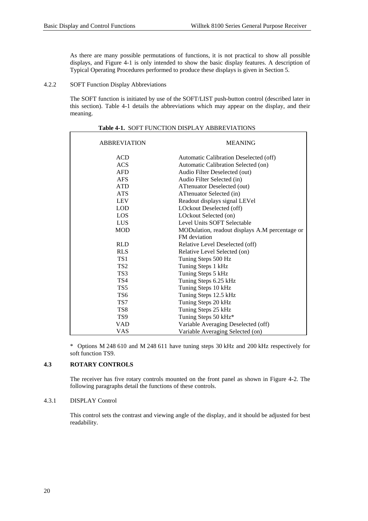<span id="page-23-0"></span>As there are many possible permutations of functions, it is not practical to show all possible displays, and Figure 4-1 is only intended to show the basic display features. A description of Typical Operating Procedures performed to produce these displays is given in Section 5.

4.2.2 SOFT Function Display Abbreviations

The SOFT function is initiated by use of the SOFT/LIST push-button control (described later in this section). Table 4-1 details the abbreviations which may appear on the display, and their meaning.

| <b>ABBREVIATION</b> | <b>MEANING</b>                                 |
|---------------------|------------------------------------------------|
| <b>ACD</b>          | Automatic Calibration Deselected (off)         |
| <b>ACS</b>          | Automatic Calibration Selected (on)            |
| <b>AFD</b>          | Audio Filter Deselected (out)                  |
| <b>AFS</b>          | Audio Filter Selected (in)                     |
| <b>ATD</b>          | ATtenuator Deselected (out)                    |
| <b>ATS</b>          | ATtenuator Selected (in)                       |
| <b>LEV</b>          | Readout displays signal LEVel                  |
| <b>LOD</b>          | LOckout Deselected (off)                       |
| LOS                 | LOckout Selected (on)                          |
| <b>LUS</b>          | Level Units SOFT Selectable                    |
| <b>MOD</b>          | MODulation, readout displays A.M percentage or |
|                     | FM deviation                                   |
| <b>RLD</b>          | Relative Level Deselected (off)                |
| <b>RLS</b>          | Relative Level Selected (on)                   |
| TS1                 | Tuning Steps 500 Hz                            |
| TS <sub>2</sub>     | Tuning Steps 1 kHz                             |
| TS <sub>3</sub>     | Tuning Steps 5 kHz                             |
| TS4                 | Tuning Steps 6.25 kHz                          |
| TS5                 | Tuning Steps 10 kHz                            |
| TS6                 | Tuning Steps 12.5 kHz                          |
| TS7                 | Tuning Steps 20 kHz                            |
| TS <sub>8</sub>     | Tuning Steps 25 kHz                            |
| TS <sub>9</sub>     | Tuning Steps 50 kHz*                           |
| <b>VAD</b>          | Variable Averaging Deselected (off)            |
| VAS                 | Variable Averaging Selected (on)               |

|  | <b>Table 4-1. SOFT FUNCTION DISPLAY ABBREVIATIONS</b> |
|--|-------------------------------------------------------|
|--|-------------------------------------------------------|

\* Options M 248 610 and M 248 611 have tuning steps 30 kHz and 200 kHz respectively for soft function TS9.

#### **4.3 ROTARY CONTROLS**

The receiver has five rotary controls mounted on the front panel as shown in Figure 4-2. The following paragraphs detail the functions of these controls.

#### 4.3.1 DISPLAY Control

This control sets the contrast and viewing angle of the display, and it should be adjusted for best readability.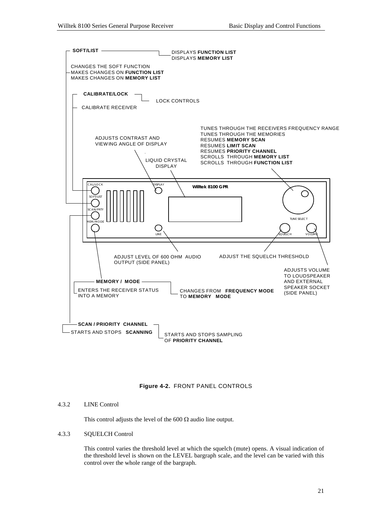<span id="page-24-0"></span>

#### **Figure 4-2.** FRONT PANEL CONTROLS

#### 4.3.2 LINE Control

This control adjusts the level of the 600  $\Omega$  audio line output.

#### 4.3.3 SQUELCH Control

This control varies the threshold level at which the squelch (mute) opens. A visual indication of the threshold level is shown on the LEVEL bargraph scale, and the level can be varied with this control over the whole range of the bargraph.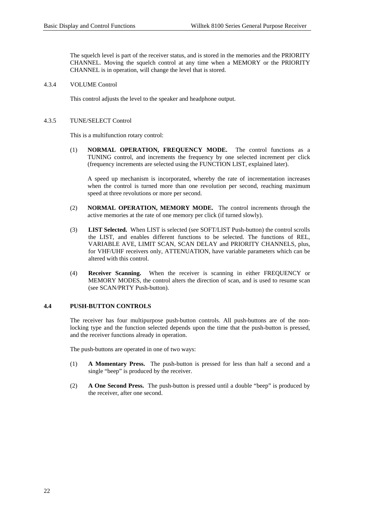<span id="page-25-0"></span>The squelch level is part of the receiver status, and is stored in the memories and the PRIORITY CHANNEL. Moving the squelch control at any time when a MEMORY or the PRIORITY CHANNEL is in operation, will change the level that is stored.

#### 4.3.4 VOLUME Control

This control adjusts the level to the speaker and headphone output.

#### 4.3.5 TUNE/SELECT Control

This is a multifunction rotary control:

(1) **NORMAL OPERATION, FREQUENCY MODE.** The control functions as a TUNING control, and increments the frequency by one selected increment per click (frequency increments are selected using the FUNCTION LIST, explained later).

A speed up mechanism is incorporated, whereby the rate of incrementation increases when the control is turned more than one revolution per second, reaching maximum speed at three revolutions or more per second.

- (2) **NORMAL OPERATION, MEMORY MODE.** The control increments through the active memories at the rate of one memory per click (if turned slowly).
- (3) **LIST Selected.** When LIST is selected (see SOFT/LIST Push-button) the control scrolls the LIST, and enables different functions to be selected. The functions of REL, VARIABLE AVE, LIMIT SCAN, SCAN DELAY and PRIORITY CHANNELS, plus, for VHF/UHF receivers only, ATTENUATION, have variable parameters which can be altered with this control.
- (4) **Receiver Scanning.** When the receiver is scanning in either FREQUENCY or MEMORY MODES, the control alters the direction of scan, and is used to resume scan (see SCAN/PRTY Push-button).

#### **4.4 PUSH-BUTTON CONTROLS**

The receiver has four multipurpose push-button controls. All push-buttons are of the nonlocking type and the function selected depends upon the time that the push-button is pressed, and the receiver functions already in operation.

The push-buttons are operated in one of two ways:

- (1) **A Momentary Press.** The push-button is pressed for less than half a second and a single "beep" is produced by the receiver.
- (2) **A One Second Press.** The push-button is pressed until a double "beep" is produced by the receiver, after one second.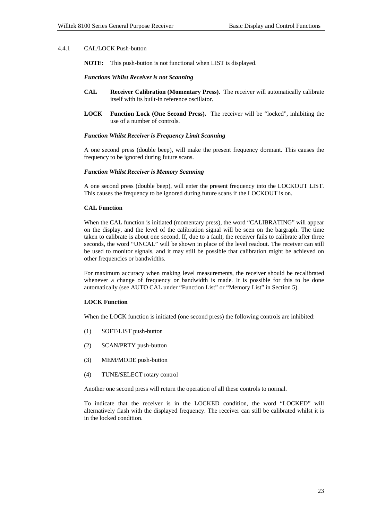#### <span id="page-26-0"></span>4.4.1 CAL/LOCK Push-button

**NOTE:** This push-button is not functional when LIST is displayed.

#### *Functions Whilst Receiver is not Scanning*

- **CAL Receiver Calibration (Momentary Press).** The receiver will automatically calibrate itself with its built-in reference oscillator.
- **LOCK Function Lock (One Second Press).** The receiver will be "locked", inhibiting the use of a number of controls.

#### *Function Whilst Receiver is Frequency Limit Scanning*

A one second press (double beep), will make the present frequency dormant. This causes the frequency to be ignored during future scans.

#### *Function Whilst Receiver is Memory Scanning*

A one second press (double beep), will enter the present frequency into the LOCKOUT LIST. This causes the frequency to be ignored during future scans if the LOCKOUT is on.

#### **CAL Function**

When the CAL function is initiated (momentary press), the word "CALIBRATING" will appear on the display, and the level of the calibration signal will be seen on the bargraph. The time taken to calibrate is about one second. If, due to a fault, the receiver fails to calibrate after three seconds, the word "UNCAL" will be shown in place of the level readout. The receiver can still be used to monitor signals, and it may still be possible that calibration might be achieved on other frequencies or bandwidths.

For maximum accuracy when making level measurements, the receiver should be recalibrated whenever a change of frequency or bandwidth is made. It is possible for this to be done automatically (see AUTO CAL under "Function List" or "Memory List" in Section 5).

#### **LOCK Function**

When the LOCK function is initiated (one second press) the following controls are inhibited:

- (1) SOFT/LIST push-button
- (2) SCAN/PRTY push-button
- (3) MEM/MODE push-button
- (4) TUNE/SELECT rotary control

Another one second press will return the operation of all these controls to normal.

 To indicate that the receiver is in the LOCKED condition, the word "LOCKED" will alternatively flash with the displayed frequency. The receiver can still be calibrated whilst it is in the locked condition.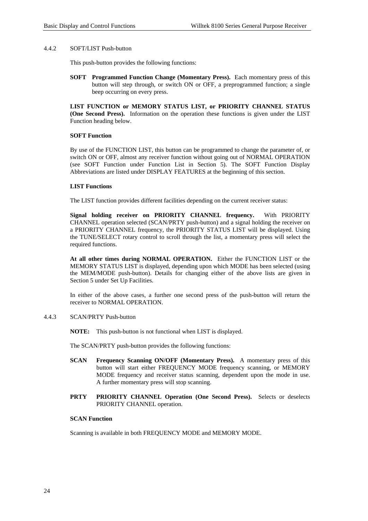#### <span id="page-27-0"></span>4.4.2 SOFT/LIST Push-button

This push-button provides the following functions:

**SOFT Programmed Function Change (Momentary Press).** Each momentary press of this button will step through, or switch ON or OFF, a preprogrammed function; a single beep occurring on every press.

**LIST FUNCTION or MEMORY STATUS LIST, or PRIORITY CHANNEL STATUS (One Second Press).** Information on the operation these functions is given under the LIST Function heading below.

#### **SOFT Function**

By use of the FUNCTION LIST, this button can be programmed to change the parameter of, or switch ON or OFF, almost any receiver function without going out of NORMAL OPERATION (see SOFT Function under Function List in Section 5). The SOFT Function Display Abbreviations are listed under DISPLAY FEATURES at the beginning of this section.

#### **LIST Functions**

The LIST function provides different facilities depending on the current receiver status:

**Signal holding receiver on PRIORITY CHANNEL frequency.** With PRIORITY CHANNEL operation selected (SCAN/PRTY push-button) and a signal holding the receiver on a PRIORITY CHANNEL frequency, the PRIORITY STATUS LIST will be displayed. Using the TUNE/SELECT rotary control to scroll through the list, a momentary press will select the required functions.

**At all other times during NORMAL OPERATION.** Either the FUNCTION LIST or the MEMORY STATUS LIST is displayed, depending upon which MODE has been selected (using the MEM/MODE push-button). Details for changing either of the above lists are given in Section 5 under Set Up Facilities.

In either of the above cases, a further one second press of the push-button will return the receiver to NORMAL OPERATION.

#### 4.4.3 SCAN/PRTY Push-button

**NOTE:** This push-button is not functional when LIST is displayed.

The SCAN/PRTY push-button provides the following functions:

- **SCAN Frequency Scanning ON/OFF (Momentary Press).** A momentary press of this button will start either FREQUENCY MODE frequency scanning, or MEMORY MODE frequency and receiver status scanning, dependent upon the mode in use. A further momentary press will stop scanning.
- **PRTY PRIORITY CHANNEL Operation (One Second Press).** Selects or deselects PRIORITY CHANNEL operation.

#### **SCAN Function**

Scanning is available in both FREQUENCY MODE and MEMORY MODE.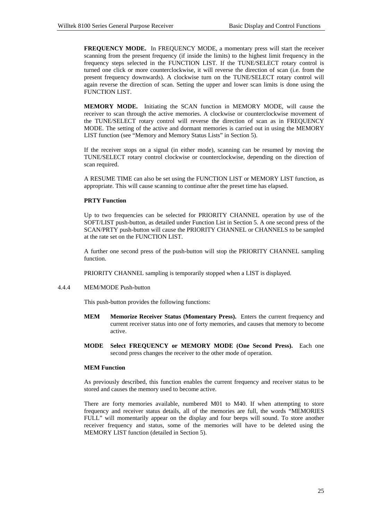<span id="page-28-0"></span>**FREQUENCY MODE.** In FREQUENCY MODE, a momentary press will start the receiver scanning from the present frequency (if inside the limits) to the highest limit frequency in the frequency steps selected in the FUNCTION LIST. If the TUNE/SELECT rotary control is turned one click or more counterclockwise, it will reverse the direction of scan (i.e. from the present frequency downwards). A clockwise turn on the TUNE/SELECT rotary control will again reverse the direction of scan. Setting the upper and lower scan limits is done using the FUNCTION LIST.

**MEMORY MODE.** Initiating the SCAN function in MEMORY MODE, will cause the receiver to scan through the active memories. A clockwise or counterclockwise movement of the TUNE/SELECT rotary control will reverse the direction of scan as in FREQUENCY MODE. The setting of the active and dormant memories is carried out in using the MEMORY LIST function (see "Memory and Memory Status Lists" in Section 5).

If the receiver stops on a signal (in either mode), scanning can be resumed by moving the TUNE/SELECT rotary control clockwise or counterclockwise, depending on the direction of scan required.

A RESUME TIME can also be set using the FUNCTION LIST or MEMORY LIST function, as appropriate. This will cause scanning to continue after the preset time has elapsed.

#### **PRTY Function**

Up to two frequencies can be selected for PRIORITY CHANNEL operation by use of the SOFT/LIST push-button, as detailed under Function List in Section 5. A one second press of the SCAN/PRTY push-button will cause the PRIORITY CHANNEL or CHANNELS to be sampled at the rate set on the FUNCTION LIST.

A further one second press of the push-button will stop the PRIORITY CHANNEL sampling function.

PRIORITY CHANNEL sampling is temporarily stopped when a LIST is displayed.

#### 4.4.4 MEM/MODE Push-button

This push-button provides the following functions:

- **MEM Memorize Receiver Status (Momentary Press).** Enters the current frequency and current receiver status into one of forty memories, and causes that memory to become active.
- **MODE Select FREQUENCY or MEMORY MODE (One Second Press).** Each one second press changes the receiver to the other mode of operation.

#### **MEM Function**

As previously described, this function enables the current frequency and receiver status to be stored and causes the memory used to become active.

There are forty memories available, numbered M01 to M40. If when attempting to store frequency and receiver status details, all of the memories are full, the words "MEMORIES FULL" will momentarily appear on the display and four beeps will sound. To store another receiver frequency and status, some of the memories will have to be deleted using the MEMORY LIST function (detailed in Section 5).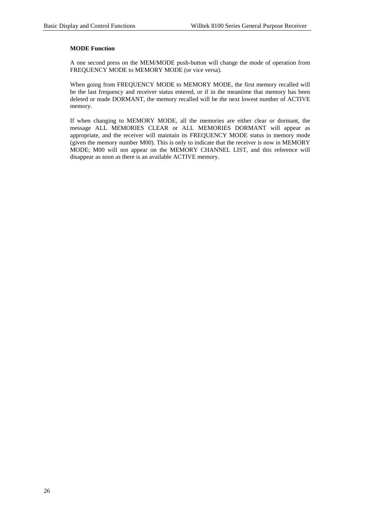#### **MODE Function**

A one second press on the MEM/MODE push-button will change the mode of operation from FREQUENCY MODE to MEMORY MODE (or vice versa).

When going from FREQUENCY MODE to MEMORY MODE, the first memory recalled will be the last frequency and receiver status entered, or if in the meantime that memory has been deleted or made DORMANT, the memory recalled will be the next lowest number of ACTIVE memory.

If when changing to MEMORY MODE, all the memories are either clear or dormant, the message ALL MEMORIES CLEAR or ALL MEMORIES DORMANT will appear as appropriate, and the receiver will maintain its FREQUENCY MODE status in memory mode (given the memory number M00). This is only to indicate that the receiver is now in MEMORY MODE; M00 will not appear on the MEMORY CHANNEL LIST, and this reference will disappear as soon as there is an available ACTIVE memory.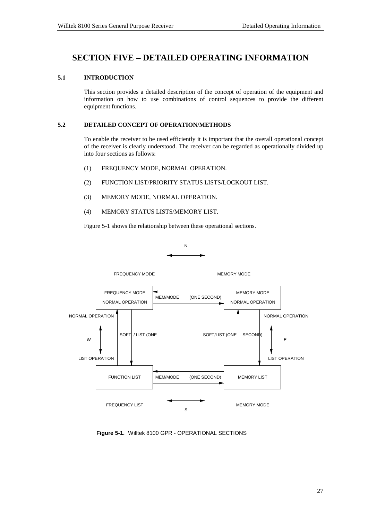# <span id="page-30-0"></span>**SECTION FIVE** − **DETAILED OPERATING INFORMATION**

#### **5.1 INTRODUCTION**

This section provides a detailed description of the concept of operation of the equipment and information on how to use combinations of control sequences to provide the different equipment functions.

#### **5.2 DETAILED CONCEPT OF OPERATION/METHODS**

To enable the receiver to be used efficiently it is important that the overall operational concept of the receiver is clearly understood. The receiver can be regarded as operationally divided up into four sections as follows:

- (1) FREQUENCY MODE, NORMAL OPERATION.
- (2) FUNCTION LIST/PRIORITY STATUS LISTS/LOCKOUT LIST.
- (3) MEMORY MODE, NORMAL OPERATION.
- (4) MEMORY STATUS LISTS/MEMORY LIST.

Figure 5-1 shows the relationship between these operational sections.



Figure 5-1. Willtek 8100 GPR - OPERATIONAL SECTIONS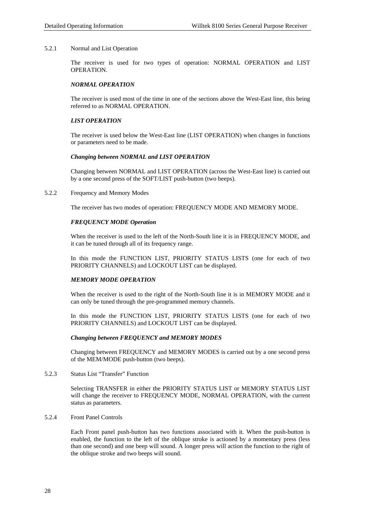#### <span id="page-31-0"></span>5.2.1 Normal and List Operation

The receiver is used for two types of operation: NORMAL OPERATION and LIST OPERATION.

#### *NORMAL OPERATION*

The receiver is used most of the time in one of the sections above the West-East line, this being referred to as NORMAL OPERATION.

#### *LIST OPERATION*

The receiver is used below the West-East line (LIST OPERATION) when changes in functions or parameters need to be made.

#### *Changing between NORMAL and LIST OPERATION*

Changing between NORMAL and LIST OPERATION (across the West-East line) is carried out by a one second press of the SOFT/LIST push-button (two beeps).

#### 5.2.2 Frequency and Memory Modes

The receiver has two modes of operation: FREQUENCY MODE AND MEMORY MODE.

#### *FREQUENCY MODE Operation*

When the receiver is used to the left of the North-South line it is in FREQUENCY MODE, and it can be tuned through all of its frequency range.

In this mode the FUNCTION LIST, PRIORITY STATUS LISTS (one for each of two PRIORITY CHANNELS) and LOCKOUT LIST can be displayed.

#### *MEMORY MODE OPERATION*

When the receiver is used to the right of the North-South line it is in MEMORY MODE and it can only be tuned through the pre-programmed memory channels.

In this mode the FUNCTION LIST, PRIORITY STATUS LISTS (one for each of two PRIORITY CHANNELS) and LOCKOUT LIST can be displayed.

#### *Changing between FREQUENCY and MEMORY MODES*

Changing between FREQUENCY and MEMORY MODES is carried out by a one second press of the MEM/MODE push-button (two beeps).

5.2.3 Status List "Transfer" Function

Selecting TRANSFER in either the PRIORITY STATUS LIST or MEMORY STATUS LIST will change the receiver to FREQUENCY MODE, NORMAL OPERATION, with the current status as parameters.

5.2.4 Front Panel Controls

Each Front panel push-button has two functions associated with it. When the push-button is enabled, the function to the left of the oblique stroke is actioned by a momentary press (less than one second) and one beep will sound. A longer press will action the function to the right of the oblique stroke and two beeps will sound.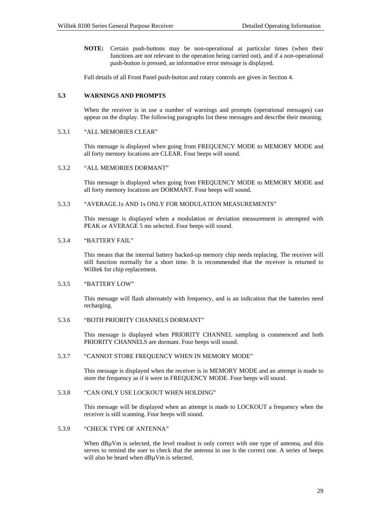<span id="page-32-0"></span>**NOTE:** Certain push-buttons may be non-operational at particular times (when their functions are not relevant to the operation being carried out), and if a non-operational push-button is pressed, an informative error message is displayed.

Full details of all Front Panel push-button and rotary controls are given in Section 4.

#### **5.3 WARNINGS AND PROMPTS**

When the receiver is in use a number of warnings and prompts (operational messages) can appear on the display. The following paragraphs list these messages and describe their meaning.

#### 5.3.1 "ALL MEMORIES CLEAR"

This message is displayed when going from FREQUENCY MODE to MEMORY MODE and all forty memory locations are CLEAR. Four beeps will sound.

#### 5.3.2 "ALL MEMORIES DORMANT"

This message is displayed when going from FREQUENCY MODE to MEMORY MODE and all forty memory locations are DORMANT. Four beeps will sound.

#### 5.3.3 "AVERAGE.1s AND 1s ONLY FOR MODULATION MEASUREMENTS"

This message is displayed when a modulation or deviation measurement is attempted with PEAK or AVERAGE 5 ms selected. Four beeps will sound.

#### 5.3.4 "BATTERY FAIL"

This means that the internal battery backed-up memory chip needs replacing. The receiver will still function normally for a short time. It is recommended that the receiver is returned to Willtek for chip replacement.

#### 5.3.5 "BATTERY LOW"

This message will flash alternately with frequency, and is an indication that the batteries need recharging.

#### 5.3.6 "BOTH PRIORITY CHANNELS DORMANT"

This message is displayed when PRIORITY CHANNEL sampling is commenced and both PRIORITY CHANNELS are dormant. Four beeps will sound.

#### 5.3.7 "CANNOT STORE FREQUENCY WHEN IN MEMORY MODE"

This message is displayed when the receiver is in MEMORY MODE and an attempt is made to store the frequency as if it were in FREQUENCY MODE. Four beeps will sound.

#### 5.3.8 "CAN ONLY USE LOCKOUT WHEN HOLDING"

This message will be displayed when an attempt is made to LOCKOUT a frequency when the receiver is still scanning. Four beeps will sound.

#### 5.3.9 "CHECK TYPE OF ANTENNA"

When dB $\mu$ Vm is selected, the level readout is only correct with one type of antenna, and this serves to remind the user to check that the antenna in use is the correct one. A series of beeps will also be heard when dBuVm is selected.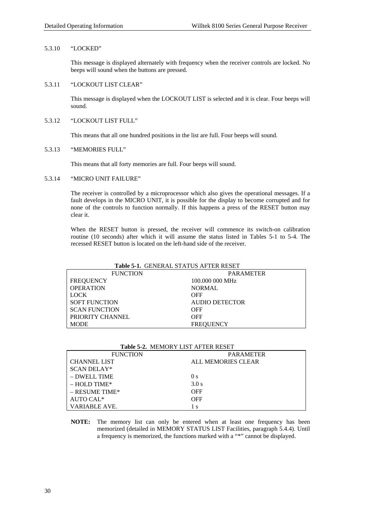#### <span id="page-33-0"></span>5.3.10 "LOCKED"

This message is displayed alternately with frequency when the receiver controls are locked. No beeps will sound when the buttons are pressed.

#### 5.3.11 "LOCKOUT LIST CLEAR"

This message is displayed when the LOCKOUT LIST is selected and it is clear. Four beeps will sound.

#### 5.3.12 "LOCKOUT LIST FULL"

This means that all one hundred positions in the list are full. Four beeps will sound.

#### 5.3.13 "MEMORIES FULL"

This means that all forty memories are full. Four beeps will sound.

#### 5.3.14 "MICRO UNIT FAILURE"

The receiver is controlled by a microprocessor which also gives the operational messages. If a fault develops in the MICRO UNIT, it is possible for the display to become corrupted and for none of the controls to function normally. If this happens a press of the RESET button may clear it.

When the RESET button is pressed, the receiver will commence its switch-on calibration routine (10 seconds) after which it will assume the status listed in Tables 5-1 to 5-4. The recessed RESET button is located on the left-hand side of the receiver.

# **Table 5-1.** GENERAL STATUS AFTER RESET

| <b>FUNCTION</b>      | <b>PARAMETER</b> |
|----------------------|------------------|
| <b>FREQUENCY</b>     | 100,000 000 MHz  |
| <b>OPERATION</b>     | <b>NORMAL</b>    |
| <b>LOCK</b>          | OFF              |
| <b>SOFT FUNCTION</b> | AUDIO DETECTOR   |
| <b>SCAN FUNCTION</b> | OFF              |
| PRIORITY CHANNEL     | <b>OFF</b>       |
| <b>MODE</b>          | <b>FREQUENCY</b> |

| <b>TADIC 3-2.</b> MILIMONT LIST AT TEIN NESET |                    |  |  |  |
|-----------------------------------------------|--------------------|--|--|--|
| <b>FUNCTION</b>                               | <b>PARAMETER</b>   |  |  |  |
| <b>CHANNEL LIST</b>                           | ALL MEMORIES CLEAR |  |  |  |
| <b>SCAN DELAY*</b>                            |                    |  |  |  |
| $-$ DWELL TIME                                | $\theta$ s         |  |  |  |
| $-$ HOLD TIME*                                | 3.0 s              |  |  |  |
| $-$ RESUME TIME*                              | <b>OFF</b>         |  |  |  |
| AUTO CAL <sup>*</sup>                         | OFF                |  |  |  |
| VARIABLE AVE.                                 | ΙS                 |  |  |  |

#### **Table 5-2.** MEMORY LIST AFTER RESET

**NOTE:** The memory list can only be entered when at least one frequency has been memorized (detailed in MEMORY STATUS LIST Facilities, paragraph 5.4.4). Until a frequency is memorized, the functions marked with a "\*" cannot be displayed.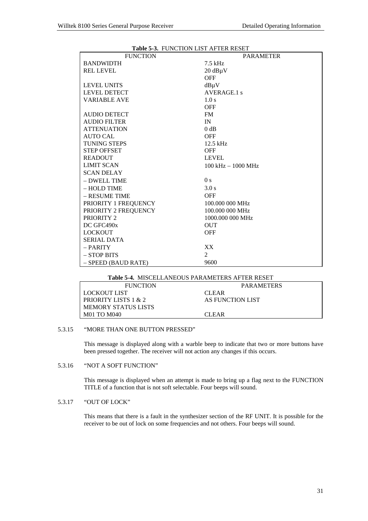<span id="page-34-0"></span>

| <b>Lable 3-3.</b> PUNCTION LIST AT TER RESET |                                      |
|----------------------------------------------|--------------------------------------|
| <b>FUNCTION</b>                              | <b>PARAMETER</b>                     |
| <b>BANDWIDTH</b>                             | $7.5$ kHz                            |
| <b>REL LEVEL</b>                             | $20 dB\mu V$                         |
|                                              | <b>OFF</b>                           |
| <b>LEVEL UNITS</b>                           | $dB\mu V$                            |
| <b>LEVEL DETECT</b>                          | AVERAGE.1 s                          |
| <b>VARIABLE AVE</b>                          | 1.0 s                                |
|                                              | <b>OFF</b>                           |
| <b>AUDIO DETECT</b>                          | <b>FM</b>                            |
| <b>AUDIO FILTER</b>                          | IN                                   |
| <b>ATTENUATION</b>                           | 0 dB                                 |
| <b>AUTO CAL</b>                              | <b>OFF</b>                           |
| <b>TUNING STEPS</b>                          | $12.5$ kHz                           |
| <b>STEP OFFSET</b>                           | <b>OFF</b>                           |
| <b>READOUT</b>                               | <b>LEVEL</b>                         |
| <b>LIMIT SCAN</b>                            | $100 \text{ kHz} - 1000 \text{ MHz}$ |
| <b>SCAN DELAY</b>                            |                                      |
| - DWELL TIME                                 | 0 <sub>s</sub>                       |
| - HOLD TIME                                  | 3.0 s                                |
| - RESUME TIME                                | <b>OFF</b>                           |
| PRIORITY 1 FREQUENCY                         | 100,000 000 MHz                      |
| PRIORITY 2 FREQUENCY                         | 100,000 000 MHz                      |
| PRIORITY 2                                   | 1000,000 000 MHz                     |
| DC GFC490x                                   | <b>OUT</b>                           |
| <b>LOCKOUT</b>                               | <b>OFF</b>                           |
| <b>SERIAL DATA</b>                           |                                      |
| - PARITY                                     | XX.                                  |
| - STOP BITS                                  | 2                                    |
| $-$ SPEED (BAUD RATE)                        | 9600                                 |

#### **Table 5-3.** FUNCTION LIST AFTER RESET

#### **Table 5-4.** MISCELLANEOUS PARAMETERS AFTER RESET

| <b>FUNCTION</b>      | <b>PARAMETERS</b> |
|----------------------|-------------------|
| LOCKOUT LIST         | <b>CLEAR</b>      |
| PRIORITY LISTS 1 & 2 | AS FUNCTION LIST  |
| MEMORY STATUS LISTS  |                   |
| <b>M01 TO M040</b>   | <b>CLEAR</b>      |

#### 5.3.15 "MORE THAN ONE BUTTON PRESSED"

This message is displayed along with a warble beep to indicate that two or more buttons have been pressed together. The receiver will not action any changes if this occurs.

#### 5.3.16 "NOT A SOFT FUNCTION"

This message is displayed when an attempt is made to bring up a flag next to the FUNCTION TITLE of a function that is not soft selectable. Four beeps will sound.

#### 5.3.17 "OUT OF LOCK"

This means that there is a fault in the synthesizer section of the RF UNIT. It is possible for the receiver to be out of lock on some frequencies and not others. Four beeps will sound.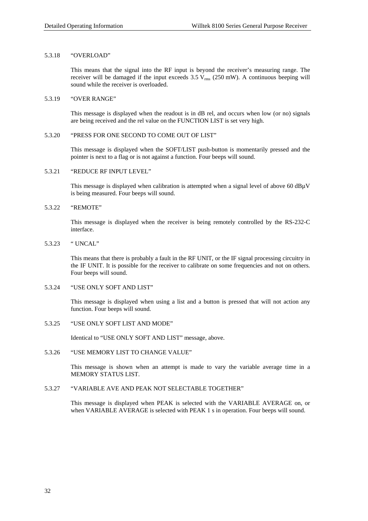#### <span id="page-35-0"></span>5.3.18 "OVERLOAD"

This means that the signal into the RF input is beyond the receiver's measuring range. The receiver will be damaged if the input exceeds  $3.5 V_{rms}$  (250 mW). A continuous beeping will sound while the receiver is overloaded.

#### 5.3.19 "OVER RANGE"

This message is displayed when the readout is in dB rel, and occurs when low (or no) signals are being received and the rel value on the FUNCTION LIST is set very high.

#### 5.3.20 "PRESS FOR ONE SECOND TO COME OUT OF LIST"

This message is displayed when the SOFT/LIST push-button is momentarily pressed and the pointer is next to a flag or is not against a function. Four beeps will sound.

#### 5.3.21 "REDUCE RF INPUT LEVEL"

This message is displayed when calibration is attempted when a signal level of above 60 dBµV is being measured. Four beeps will sound.

#### 5.3.22 "REMOTE"

This message is displayed when the receiver is being remotely controlled by the RS-232-C interface.

#### 5.3.23 " UNCAL"

This means that there is probably a fault in the RF UNIT, or the IF signal processing circuitry in the IF UNIT. It is possible for the receiver to calibrate on some frequencies and not on others. Four beeps will sound.

#### 5.3.24 "USE ONLY SOFT AND LIST"

This message is displayed when using a list and a button is pressed that will not action any function. Four beeps will sound.

#### 5.3.25 "USE ONLY SOFT LIST AND MODE"

Identical to "USE ONLY SOFT AND LIST" message, above.

#### 5.3.26 "USE MEMORY LIST TO CHANGE VALUE"

This message is shown when an attempt is made to vary the variable average time in a MEMORY STATUS LIST.

#### 5.3.27 "VARIABLE AVE AND PEAK NOT SELECTABLE TOGETHER"

This message is displayed when PEAK is selected with the VARIABLE AVERAGE on, or when VARIABLE AVERAGE is selected with PEAK 1 s in operation. Four beeps will sound.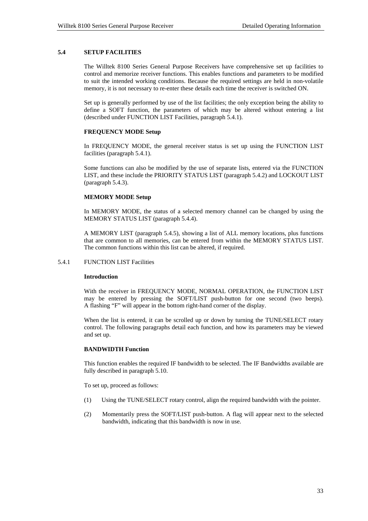### **5.4 SETUP FACILITIES**

The Willtek 8100 Series General Purpose Receivers have comprehensive set up facilities to control and memorize receiver functions. This enables functions and parameters to be modified to suit the intended working conditions. Because the required settings are held in non-volatile memory, it is not necessary to re-enter these details each time the receiver is switched ON.

Set up is generally performed by use of the list facilities; the only exception being the ability to define a SOFT function, the parameters of which may be altered without entering a list (described under FUNCTION LIST Facilities, paragraph 5.4.1).

# **FREQUENCY MODE Setup**

In FREQUENCY MODE, the general receiver status is set up using the FUNCTION LIST facilities (paragraph 5.4.1).

Some functions can also be modified by the use of separate lists, entered via the FUNCTION LIST, and these include the PRIORITY STATUS LIST (paragraph 5.4.2) and LOCKOUT LIST (paragraph 5.4.3).

### **MEMORY MODE Setup**

In MEMORY MODE, the status of a selected memory channel can be changed by using the MEMORY STATUS LIST (paragraph 5.4.4).

A MEMORY LIST (paragraph 5.4.5), showing a list of ALL memory locations, plus functions that are common to all memories, can be entered from within the MEMORY STATUS LIST. The common functions within this list can be altered, if required.

# 5.4.1 FUNCTION LIST Facilities

### **Introduction**

With the receiver in FREQUENCY MODE, NORMAL OPERATION, the FUNCTION LIST may be entered by pressing the SOFT/LIST push-button for one second (two beeps). A flashing "F" will appear in the bottom right-hand corner of the display.

When the list is entered, it can be scrolled up or down by turning the TUNE/SELECT rotary control. The following paragraphs detail each function, and how its parameters may be viewed and set up.

# **BANDWIDTH Function**

This function enables the required IF bandwidth to be selected. The IF Bandwidths available are fully described in paragraph 5.10.

To set up, proceed as follows:

- (1) Using the TUNE/SELECT rotary control, align the required bandwidth with the pointer.
- (2) Momentarily press the SOFT/LIST push-button. A flag will appear next to the selected bandwidth, indicating that this bandwidth is now in use.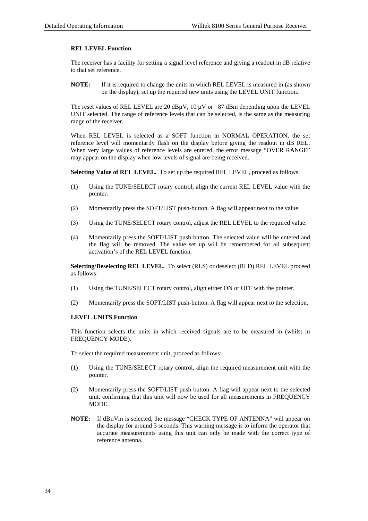# **REL LEVEL Function**

The receiver has a facility for setting a signal level reference and giving a readout in dB relative to that set reference.

**NOTE:** If it is required to change the units in which REL LEVEL is measured in (as shown on the display), set up the required new units using the LEVEL UNIT function.

The reset values of REL LEVEL are 20 dB $\mu$ V, 10  $\mu$ V or −87 dBm depending upon the LEVEL UNIT selected. The range of reference levels that can be selected, is the same as the measuring range of the receiver.

When REL LEVEL is selected as a SOFT function in NORMAL OPERATION, the set reference level will momentarily flash on the display before giving the readout in dB REL. When very large values of reference levels are entered, the error message "OVER RANGE" may appear on the display when low levels of signal are being received.

**Selecting Value of REL LEVEL.** To set up the required REL LEVEL, proceed as follows:

- (1) Using the TUNE/SELECT rotary control, align the current REL LEVEL value with the pointer.
- (2) Momentarily press the SOFT/LIST push-button. A flag will appear next to the value.
- (3) Using the TUNE/SELECT rotary control, adjust the REL LEVEL to the required value.
- (4) Momentarily press the SOFT/LIST push-button. The selected value will be entered and the flag will be removed. The value set up will be remembered for all subsequent activation's of the REL LEVEL function.

**Selecting/Deselecting REL LEVEL.** To select (RLS) or deselect (RLD) REL LEVEL proceed as follows:

- (1) Using the TUNE/SELECT rotary control, align either ON or OFF with the pointer.
- (2) Momentarily press the SOFT/LIST push-button. A flag will appear next to the selection.

# **LEVEL UNITS Function**

This function selects the units in which received signals are to be measured in (whilst in FREQUENCY MODE).

To select the required measurement unit, proceed as follows:

- (1) Using the TUNE/SELECT rotary control, align the required measurement unit with the pointer.
- (2) Momentarily press the SOFT/LIST push-button. A flag will appear next to the selected unit, confirming that this unit will now be used for all measurements in FREQUENCY MODE.
- **NOTE:** If dBµVm is selected, the message "CHECK TYPE OF ANTENNA" will appear on the display for around 3 seconds. This warning message is to inform the operator that accurate measurements using this unit can only be made with the correct type of reference antenna.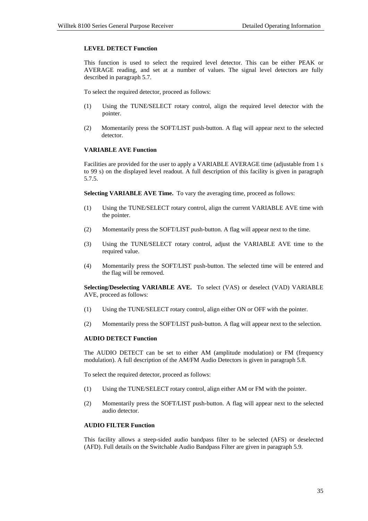# **LEVEL DETECT Function**

This function is used to select the required level detector. This can be either PEAK or AVERAGE reading, and set at a number of values. The signal level detectors are fully described in paragraph 5.7.

To select the required detector, proceed as follows:

- (1) Using the TUNE/SELECT rotary control, align the required level detector with the pointer.
- (2) Momentarily press the SOFT/LIST push-button. A flag will appear next to the selected detector.

# **VARIABLE AVE Function**

Facilities are provided for the user to apply a VARIABLE AVERAGE time (adjustable from 1 s to 99 s) on the displayed level readout. A full description of this facility is given in paragraph 5.7.5.

**Selecting VARIABLE AVE Time.** To vary the averaging time, proceed as follows:

- (1) Using the TUNE/SELECT rotary control, align the current VARIABLE AVE time with the pointer.
- (2) Momentarily press the SOFT/LIST push-button. A flag will appear next to the time.
- (3) Using the TUNE/SELECT rotary control, adjust the VARIABLE AVE time to the required value.
- (4) Momentarily press the SOFT/LIST push-button. The selected time will be entered and the flag will be removed.

**Selecting/Deselecting VARIABLE AVE.** To select (VAS) or deselect (VAD) VARIABLE AVE, proceed as follows:

- (1) Using the TUNE/SELECT rotary control, align either ON or OFF with the pointer.
- (2) Momentarily press the SOFT/LIST push-button. A flag will appear next to the selection.

# **AUDIO DETECT Function**

The AUDIO DETECT can be set to either AM (amplitude modulation) or FM (frequency modulation). A full description of the AM/FM Audio Detectors is given in paragraph 5.8.

To select the required detector, proceed as follows:

- (1) Using the TUNE/SELECT rotary control, align either AM or FM with the pointer.
- (2) Momentarily press the SOFT/LIST push-button. A flag will appear next to the selected audio detector.

# **AUDIO FILTER Function**

This facility allows a steep-sided audio bandpass filter to be selected (AFS) or deselected (AFD). Full details on the Switchable Audio Bandpass Filter are given in paragraph 5.9.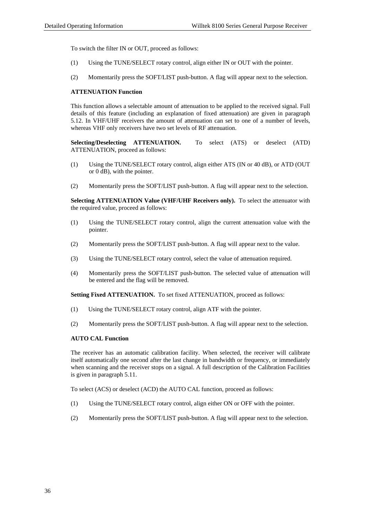To switch the filter IN or OUT, proceed as follows:

- (1) Using the TUNE/SELECT rotary control, align either IN or OUT with the pointer.
- (2) Momentarily press the SOFT/LIST push-button. A flag will appear next to the selection.

### **ATTENUATION Function**

This function allows a selectable amount of attenuation to be applied to the received signal. Full details of this feature (including an explanation of fixed attenuation) are given in paragraph 5.12. In VHF/UHF receivers the amount of attenuation can set to one of a number of levels, whereas VHF only receivers have two set levels of RF attenuation.

**Selecting/Deselecting ATTENUATION.** To select (ATS) or deselect (ATD) ATTENUATION, proceed as follows:

- (1) Using the TUNE/SELECT rotary control, align either ATS (IN or 40 dB), or ATD (OUT or 0 dB), with the pointer.
- (2) Momentarily press the SOFT/LIST push-button. A flag will appear next to the selection.

**Selecting ATTENUATION Value (VHF/UHF Receivers only).** To select the attenuator with the required value, proceed as follows:

- (1) Using the TUNE/SELECT rotary control, align the current attenuation value with the pointer.
- (2) Momentarily press the SOFT/LIST push-button. A flag will appear next to the value.
- (3) Using the TUNE/SELECT rotary control, select the value of attenuation required.
- (4) Momentarily press the SOFT/LIST push-button. The selected value of attenuation will be entered and the flag will be removed.

**Setting Fixed ATTENUATION.** To set fixed ATTENUATION, proceed as follows:

- (1) Using the TUNE/SELECT rotary control, align ATF with the pointer.
- (2) Momentarily press the SOFT/LIST push-button. A flag will appear next to the selection.

# **AUTO CAL Function**

The receiver has an automatic calibration facility. When selected, the receiver will calibrate itself automatically one second after the last change in bandwidth or frequency, or immediately when scanning and the receiver stops on a signal. A full description of the Calibration Facilities is given in paragraph 5.11.

To select (ACS) or deselect (ACD) the AUTO CAL function, proceed as follows:

- (1) Using the TUNE/SELECT rotary control, align either ON or OFF with the pointer.
- (2) Momentarily press the SOFT/LIST push-button. A flag will appear next to the selection.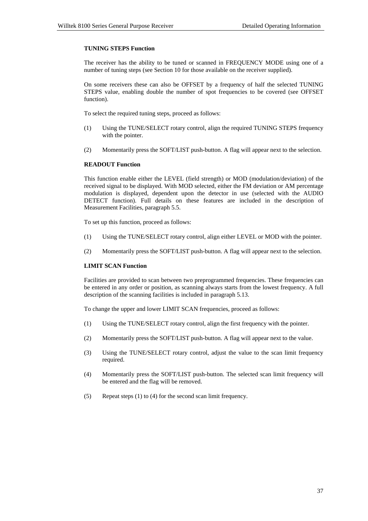# **TUNING STEPS Function**

The receiver has the ability to be tuned or scanned in FREQUENCY MODE using one of a number of tuning steps (see Section 10 for those available on the receiver supplied).

On some receivers these can also be OFFSET by a frequency of half the selected TUNING STEPS value, enabling double the number of spot frequencies to be covered (see OFFSET function).

To select the required tuning steps, proceed as follows:

- (1) Using the TUNE/SELECT rotary control, align the required TUNING STEPS frequency with the pointer.
- (2) Momentarily press the SOFT/LIST push-button. A flag will appear next to the selection.

# **READOUT Function**

This function enable either the LEVEL (field strength) or MOD (modulation/deviation) of the received signal to be displayed. With MOD selected, either the FM deviation or AM percentage modulation is displayed, dependent upon the detector in use (selected with the AUDIO DETECT function). Full details on these features are included in the description of Measurement Facilities, paragraph 5.5.

To set up this function, proceed as follows:

- (1) Using the TUNE/SELECT rotary control, align either LEVEL or MOD with the pointer.
- (2) Momentarily press the SOFT/LIST push-button. A flag will appear next to the selection.

# **LIMIT SCAN Function**

Facilities are provided to scan between two preprogrammed frequencies. These frequencies can be entered in any order or position, as scanning always starts from the lowest frequency. A full description of the scanning facilities is included in paragraph 5.13.

To change the upper and lower LIMIT SCAN frequencies, proceed as follows:

- (1) Using the TUNE/SELECT rotary control, align the first frequency with the pointer.
- (2) Momentarily press the SOFT/LIST push-button. A flag will appear next to the value.
- (3) Using the TUNE/SELECT rotary control, adjust the value to the scan limit frequency required.
- (4) Momentarily press the SOFT/LIST push-button. The selected scan limit frequency will be entered and the flag will be removed.
- (5) Repeat steps (1) to (4) for the second scan limit frequency.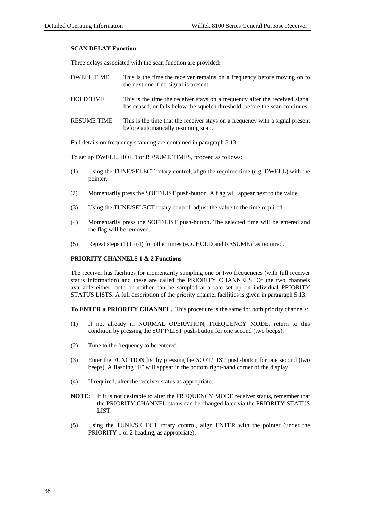# **SCAN DELAY Function**

Three delays associated with the scan function are provided:

| <b>DWELL TIME</b>  | This is the time the receiver remains on a frequency before moving on to<br>the next one if no signal is present.                                            |
|--------------------|--------------------------------------------------------------------------------------------------------------------------------------------------------------|
| <b>HOLD TIME</b>   | This is the time the receiver stays on a frequency after the received signal<br>has ceased, or falls below the squelch threshold, before the scan continues. |
| <b>RESUME TIME</b> | This is the time that the receiver stays on a frequency with a signal present<br>before automatically resuming scan.                                         |

Full details on frequency scanning are contained in paragraph 5.13.

To set up DWELL, HOLD or RESUME TIMES, proceed as follows:

- (1) Using the TUNE/SELECT rotary control, align the required time (e.g. DWELL) with the pointer.
- (2) Momentarily press the SOFT/LIST push-button. A flag will appear next to the value.
- (3) Using the TUNE/SELECT rotary control, adjust the value to the time required.
- (4) Momentarily press the SOFT/LIST push-button. The selected time will be entered and the flag will be removed.
- (5) Repeat steps (1) to (4) for other times (e.g. HOLD and RESUME), as required.

# **PRIORITY CHANNELS 1 & 2 Functions**

The receiver has facilities for momentarily sampling one or two frequencies (with full receiver status information) and these are called the PRIORITY CHANNELS. Of the two channels available either, both or neither can be sampled at a rate set up on individual PRIORITY STATUS LISTS. A full description of the priority channel facilities is given in paragraph 5.13.

**To ENTER a PRIORITY CHANNEL.** This procedure is the same for both priority channels:

- (1) If not already in NORMAL OPERATION, FREQUENCY MODE, return to this condition by pressing the SOFT/LIST push-button for one second (two beeps).
- (2) Tune to the frequency to be entered.
- (3) Enter the FUNCTION list by pressing the SOFT/LIST push-button for one second (two beeps). A flashing "F" will appear in the bottom right-hand corner of the display.
- (4) If required, alter the receiver status as appropriate.
- **NOTE:** If it is not desirable to alter the FREQUENCY MODE receiver status, remember that the PRIORITY CHANNEL status can be changed later via the PRIORITY STATUS LIST.
- (5) Using the TUNE/SELECT rotary control, align ENTER with the pointer (under the PRIORITY 1 or 2 heading, as appropriate).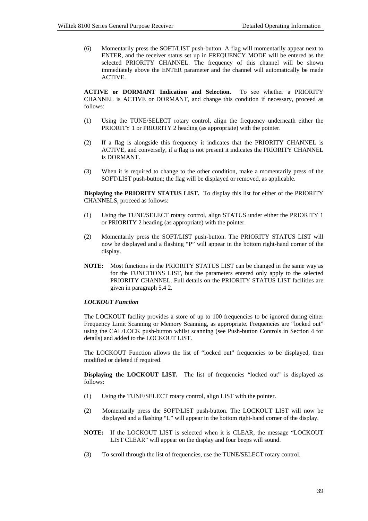(6) Momentarily press the SOFT/LIST push-button. A flag will momentarily appear next to ENTER, and the receiver status set up in FREQUENCY MODE will be entered as the selected PRIORITY CHANNEL. The frequency of this channel will be shown immediately above the ENTER parameter and the channel will automatically be made ACTIVE.

**ACTIVE or DORMANT Indication and Selection.** To see whether a PRIORITY CHANNEL is ACTIVE or DORMANT, and change this condition if necessary, proceed as follows:

- (1) Using the TUNE/SELECT rotary control, align the frequency underneath either the PRIORITY 1 or PRIORITY 2 heading (as appropriate) with the pointer.
- (2) If a flag is alongside this frequency it indicates that the PRIORITY CHANNEL is ACTIVE, and conversely, if a flag is not present it indicates the PRIORITY CHANNEL is DORMANT.
- (3) When it is required to change to the other condition, make a momentarily press of the SOFT/LIST push-button; the flag will be displayed or removed, as applicable.

**Displaying the PRIORITY STATUS LIST.** To display this list for either of the PRIORITY CHANNELS, proceed as follows:

- (1) Using the TUNE/SELECT rotary control, align STATUS under either the PRIORITY 1 or PRIORITY 2 heading (as appropriate) with the pointer.
- (2) Momentarily press the SOFT/LIST push-button. The PRIORITY STATUS LIST will now be displayed and a flashing "P" will appear in the bottom right-hand corner of the display.
- **NOTE:** Most functions in the PRIORITY STATUS LIST can be changed in the same way as for the FUNCTIONS LIST, but the parameters entered only apply to the selected PRIORITY CHANNEL. Full details on the PRIORITY STATUS LIST facilities are given in paragraph 5.4 2.

# *LOCKOUT Function*

The LOCKOUT facility provides a store of up to 100 frequencies to be ignored during either Frequency Limit Scanning or Memory Scanning, as appropriate. Frequencies are "locked out" using the CAL/LOCK push-button whilst scanning (see Push-button Controls in Section 4 for details) and added to the LOCKOUT LIST.

The LOCKOUT Function allows the list of "locked out" frequencies to be displayed, then modified or deleted if required.

**Displaying the LOCKOUT LIST.** The list of frequencies "locked out" is displayed as follows:

- (1) Using the TUNE/SELECT rotary control, align LIST with the pointer.
- (2) Momentarily press the SOFT/LIST push-button. The LOCKOUT LIST will now be displayed and a flashing "L" will appear in the bottom right-hand corner of the display.
- **NOTE:** If the LOCKOUT LIST is selected when it is CLEAR, the message "LOCKOUT LIST CLEAR" will appear on the display and four beeps will sound.
- (3) To scroll through the list of frequencies, use the TUNE/SELECT rotary control.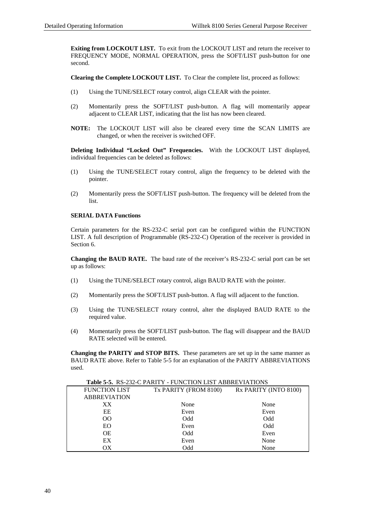**Exiting from LOCKOUT LIST.** To exit from the LOCKOUT LIST and return the receiver to FREQUENCY MODE, NORMAL OPERATION, press the SOFT/LIST push-button for one second.

**Clearing the Complete LOCKOUT LIST.** To Clear the complete list, proceed as follows:

- (1) Using the TUNE/SELECT rotary control, align CLEAR with the pointer.
- (2) Momentarily press the SOFT/LIST push-button. A flag will momentarily appear adjacent to CLEAR LIST, indicating that the list has now been cleared.
- **NOTE:** The LOCKOUT LIST will also be cleared every time the SCAN LIMITS are changed, or when the receiver is switched OFF.

**Deleting Individual "Locked Out" Frequencies.** With the LOCKOUT LIST displayed, individual frequencies can be deleted as follows:

- (1) Using the TUNE/SELECT rotary control, align the frequency to be deleted with the pointer.
- (2) Momentarily press the SOFT/LIST push-button. The frequency will be deleted from the list.

# **SERIAL DATA Functions**

Certain parameters for the RS-232-C serial port can be configured within the FUNCTION LIST. A full description of Programmable (RS-232-C) Operation of the receiver is provided in Section 6.

**Changing the BAUD RATE.** The baud rate of the receiver's RS-232-C serial port can be set up as follows:

- (1) Using the TUNE/SELECT rotary control, align BAUD RATE with the pointer.
- (2) Momentarily press the SOFT/LIST push-button. A flag will adjacent to the function.
- (3) Using the TUNE/SELECT rotary control, alter the displayed BAUD RATE to the required value.
- (4) Momentarily press the SOFT/LIST push-button. The flag will disappear and the BAUD RATE selected will be entered.

**Changing the PARITY and STOP BITS.** These parameters are set up in the same manner as BAUD RATE above. Refer to Table 5-5 for an explanation of the PARITY ABBREVIATIONS used.

|                      | <b>THUIL</b> $\mathcal{S}$ -0. The 232 C FINITE - FORCHOR ENTERED HE REPORT |                       |
|----------------------|-----------------------------------------------------------------------------|-----------------------|
| <b>FUNCTION LIST</b> | Tx PARITY (FROM 8100)                                                       | Rx PARITY (INTO 8100) |
| <b>ABBREVIATION</b>  |                                                                             |                       |
| XX                   | None                                                                        | None                  |
| EE                   | Even                                                                        | Even                  |
| $\overline{O}O$      | Odd                                                                         | Odd                   |
| EO                   | Even                                                                        | Odd                   |
| <b>OE</b>            | Odd                                                                         | Even                  |
| EX                   | Even                                                                        | None                  |
| OХ                   | Odd                                                                         | None                  |

**Table 5-5.** RS-232-C PARITY - FUNCTION LIST ABBREVIATIONS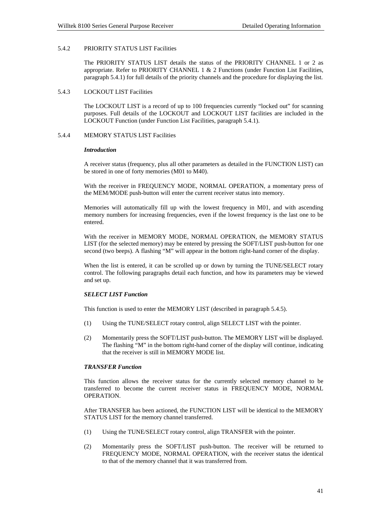# 5.4.2 PRIORITY STATUS LIST Facilities

The PRIORITY STATUS LIST details the status of the PRIORITY CHANNEL 1 or 2 as appropriate. Refer to PRIORITY CHANNEL 1  $\&$  2 Functions (under Function List Facilities, paragraph 5.4.1) for full details of the priority channels and the procedure for displaying the list.

#### 5.4.3 LOCKOUT LIST Facilities

The LOCKOUT LIST is a record of up to 100 frequencies currently "locked out" for scanning purposes. Full details of the LOCKOUT and LOCKOUT LIST facilities are included in the LOCKOUT Function (under Function List Facilities, paragraph 5.4.1).

### 5.4.4 MEMORY STATUS LIST Facilities

#### *Introduction*

A receiver status (frequency, plus all other parameters as detailed in the FUNCTION LIST) can be stored in one of forty memories (M01 to M40).

With the receiver in FREQUENCY MODE, NORMAL OPERATION, a momentary press of the MEM/MODE push-button will enter the current receiver status into memory.

Memories will automatically fill up with the lowest frequency in M01, and with ascending memory numbers for increasing frequencies, even if the lowest frequency is the last one to be entered.

With the receiver in MEMORY MODE, NORMAL OPERATION, the MEMORY STATUS LIST (for the selected memory) may be entered by pressing the SOFT/LIST push-button for one second (two beeps). A flashing "M" will appear in the bottom right-hand corner of the display.

When the list is entered, it can be scrolled up or down by turning the TUNE/SELECT rotary control. The following paragraphs detail each function, and how its parameters may be viewed and set up.

# *SELECT LIST Function*

This function is used to enter the MEMORY LIST (described in paragraph 5.4.5).

- (1) Using the TUNE/SELECT rotary control, align SELECT LIST with the pointer.
- (2) Momentarily press the SOFT/LIST push-button. The MEMORY LIST will be displayed. The flashing "M" in the bottom right-hand corner of the display will continue, indicating that the receiver is still in MEMORY MODE list.

# *TRANSFER Function*

This function allows the receiver status for the currently selected memory channel to be transferred to become the current receiver status in FREQUENCY MODE, NORMAL OPERATION.

After TRANSFER has been actioned, the FUNCTION LIST will be identical to the MEMORY STATUS LIST for the memory channel transferred.

- (1) Using the TUNE/SELECT rotary control, align TRANSFER with the pointer.
- (2) Momentarily press the SOFT/LIST push-button. The receiver will be returned to FREQUENCY MODE, NORMAL OPERATION, with the receiver status the identical to that of the memory channel that it was transferred from.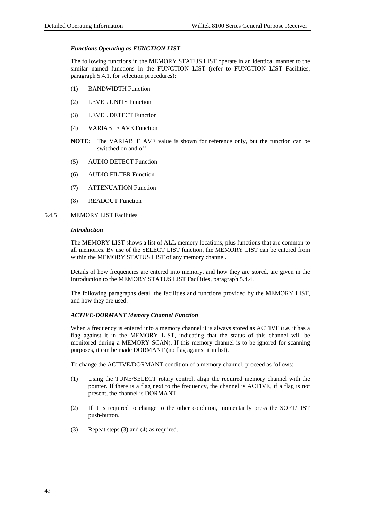# *Functions Operating as FUNCTION LIST*

The following functions in the MEMORY STATUS LIST operate in an identical manner to the similar named functions in the FUNCTION LIST (refer to FUNCTION LIST Facilities, paragraph 5.4.1, for selection procedures):

- (1) BANDWIDTH Function
- (2) LEVEL UNITS Function
- (3) LEVEL DETECT Function
- (4) VARIABLE AVE Function
- **NOTE:** The VARIABLE AVE value is shown for reference only, but the function can be switched on and off.
- (5) AUDIO DETECT Function
- (6) AUDIO FILTER Function
- (7) ATTENUATION Function
- (8) READOUT Function
- 5.4.5 MEMORY LIST Facilities

# *Introduction*

The MEMORY LIST shows a list of ALL memory locations, plus functions that are common to all memories. By use of the SELECT LIST function, the MEMORY LIST can be entered from within the MEMORY STATUS LIST of any memory channel.

Details of how frequencies are entered into memory, and how they are stored, are given in the Introduction to the MEMORY STATUS LIST Facilities, paragraph 5.4.4.

The following paragraphs detail the facilities and functions provided by the MEMORY LIST, and how they are used.

# *ACTIVE-DORMANT Memory Channel Function*

When a frequency is entered into a memory channel it is always stored as ACTIVE (i.e. it has a flag against it in the MEMORY LIST, indicating that the status of this channel will be monitored during a MEMORY SCAN). If this memory channel is to be ignored for scanning purposes, it can be made DORMANT (no flag against it in list).

To change the ACTIVE/DORMANT condition of a memory channel, proceed as follows:

- (1) Using the TUNE/SELECT rotary control, align the required memory channel with the pointer. If there is a flag next to the frequency, the channel is ACTIVE, if a flag is not present, the channel is DORMANT.
- (2) If it is required to change to the other condition, momentarily press the SOFT/LIST push-button.
- (3) Repeat steps (3) and (4) as required.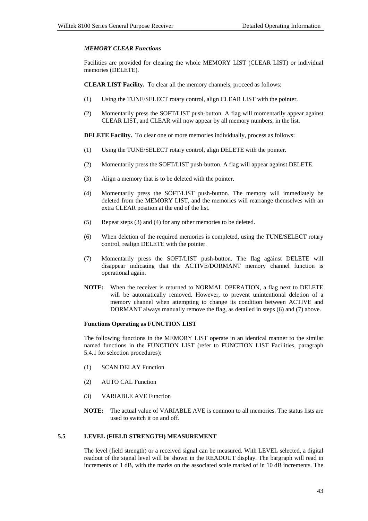# *MEMORY CLEAR Functions*

Facilities are provided for clearing the whole MEMORY LIST (CLEAR LIST) or individual memories (DELETE).

**CLEAR LIST Facility.** To clear all the memory channels, proceed as follows:

- (1) Using the TUNE/SELECT rotary control, align CLEAR LIST with the pointer.
- (2) Momentarily press the SOFT/LIST push-button. A flag will momentarily appear against CLEAR LIST, and CLEAR will now appear by all memory numbers, in the list.

**DELETE Facility.** To clear one or more memories individually, process as follows:

- (1) Using the TUNE/SELECT rotary control, align DELETE with the pointer.
- (2) Momentarily press the SOFT/LIST push-button. A flag will appear against DELETE.
- (3) Align a memory that is to be deleted with the pointer.
- (4) Momentarily press the SOFT/LIST push-button. The memory will immediately be deleted from the MEMORY LIST, and the memories will rearrange themselves with an extra CLEAR position at the end of the list.
- (5) Repeat steps (3) and (4) for any other memories to be deleted.
- (6) When deletion of the required memories is completed, using the TUNE/SELECT rotary control, realign DELETE with the pointer.
- (7) Momentarily press the SOFT/LIST push-button. The flag against DELETE will disappear indicating that the ACTIVE/DORMANT memory channel function is operational again.
- **NOTE:** When the receiver is returned to NORMAL OPERATION, a flag next to DELETE will be automatically removed. However, to prevent unintentional deletion of a memory channel when attempting to change its condition between ACTIVE and DORMANT always manually remove the flag, as detailed in steps (6) and (7) above.

### **Functions Operating as FUNCTION LIST**

The following functions in the MEMORY LIST operate in an identical manner to the similar named functions in the FUNCTION LIST (refer to FUNCTION LIST Facilities, paragraph 5.4.1 for selection procedures):

- (1) SCAN DELAY Function
- (2) AUTO CAL Function
- (3) VARIABLE AVE Function
- **NOTE:** The actual value of VARIABLE AVE is common to all memories. The status lists are used to switch it on and off.

# **5.5 LEVEL (FIELD STRENGTH) MEASUREMENT**

The level (field strength) or a received signal can be measured. With LEVEL selected, a digital readout of the signal level will be shown in the READOUT display. The bargraph will read in increments of 1 dB, with the marks on the associated scale marked of in 10 dB increments. The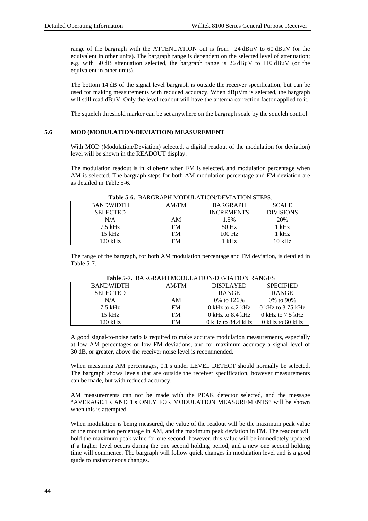range of the bargraph with the ATTENUATION out is from −24 dBµV to 60 dBµV (or the equivalent in other units). The bargraph range is dependent on the selected level of attenuation; e.g. with 50 dB attenuation selected, the bargraph range is 26 dBµV to 110 dBµV (or the equivalent in other units).

The bottom 14 dB of the signal level bargraph is outside the receiver specification, but can be used for making measurements with reduced accuracy. When dB<sub>u</sub>Vm is selected, the bargraph will still read  $dB\mu V$ . Only the level readout will have the antenna correction factor applied to it.

The squelch threshold marker can be set anywhere on the bargraph scale by the squelch control.

### **5.6 MOD (MODULATION/DEVIATION) MEASUREMENT**

With MOD (Modulation/Deviation) selected, a digital readout of the modulation (or deviation) level will be shown in the READOUT display.

The modulation readout is in kilohertz when FM is selected, and modulation percentage when AM is selected. The bargraph steps for both AM modulation percentage and FM deviation are as detailed in Table 5-6.

|                  |           | 1000 00 DIRON II II MODOLITION DE TITION DI LIBIO |                  |
|------------------|-----------|---------------------------------------------------|------------------|
| <b>BANDWIDTH</b> | AM/FM     | <b>BARGRAPH</b>                                   | <b>SCALE</b>     |
| <b>SELECTED</b>  |           | <b>INCREMENTS</b>                                 | <b>DIVISIONS</b> |
| N/A              | AM        | 1.5%                                              | 20%              |
| $7.5$ kHz        | <b>FM</b> | 50 Hz                                             | 1 kHz            |
| $15$ kHz         | <b>FM</b> | $100$ Hz                                          | 1 kHz            |
| 120 kHz          | FM        | 1 kHz                                             | $10$ kHz         |

# **Table 5-6.** BARGRAPH MODULATION/DEVIATION STEPS.

The range of the bargraph, for both AM modulation percentage and FM deviation, is detailed in Table 5-7.

| AM/FM     | <b>DISPLAYED</b>           | <b>SPECIFIED</b>          |
|-----------|----------------------------|---------------------------|
|           | <b>RANGE</b>               | <b>RANGE</b>              |
| AM        | 0\% to 126\%               | $0\%$ to $90\%$           |
| <b>FM</b> | $0 \text{ kHz}$ to 4.2 kHz | 0 kHz to $3.75$ kHz       |
| <b>FM</b> | $0 \text{ kHz}$ to 8.4 kHz | 0 kHz to $7.5$ kHz        |
| FM        | $0$ kHz to 84.4 kHz        | $0 \text{ kHz}$ to 60 kHz |
|           |                            |                           |

# **Table 5-7.** BARGRAPH MODULATION/DEVIATION RANGES

A good signal-to-noise ratio is required to make accurate modulation measurements, especially at low AM percentages or low FM deviations, and for maximum accuracy a signal level of 30 dB, or greater, above the receiver noise level is recommended.

When measuring AM percentages, 0.1 s under LEVEL DETECT should normally be selected. The bargraph shows levels that are outside the receiver specification, however measurements can be made, but with reduced accuracy.

AM measurements can not be made with the PEAK detector selected, and the message "AVERAGE.1 s AND 1 s ONLY FOR MODULATION MEASUREMENTS" will be shown when this is attempted.

When modulation is being measured, the value of the readout will be the maximum peak value of the modulation percentage in AM, and the maximum peak deviation in FM. The readout will hold the maximum peak value for one second; however, this value will be immediately updated if a higher level occurs during the one second holding period, and a new one second holding time will commence. The bargraph will follow quick changes in modulation level and is a good guide to instantaneous changes.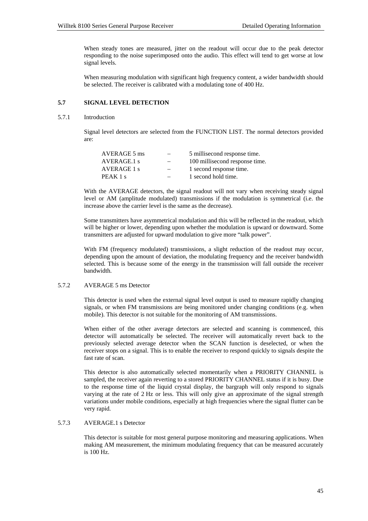When steady tones are measured, jitter on the readout will occur due to the peak detector responding to the noise superimposed onto the audio. This effect will tend to get worse at low signal levels.

When measuring modulation with significant high frequency content, a wider bandwidth should be selected. The receiver is calibrated with a modulating tone of 400 Hz.

# **5.7 SIGNAL LEVEL DETECTION**

#### 5.7.1 Introduction

Signal level detectors are selected from the FUNCTION LIST. The normal detectors provided are:

| AVERAGE 5 ms | $\overline{\phantom{0}}$ | 5 millisecond response time.   |
|--------------|--------------------------|--------------------------------|
| AVERAGE.1 s  | $-$                      | 100 millisecond response time. |
| AVERAGE 1 s  | $\overline{\phantom{0}}$ | 1 second response time.        |
| PEAK 1 s     |                          | 1 second hold time.            |

With the AVERAGE detectors, the signal readout will not vary when receiving steady signal level or AM (amplitude modulated) transmissions if the modulation is symmetrical (i.e. the increase above the carrier level is the same as the decrease).

Some transmitters have asymmetrical modulation and this will be reflected in the readout, which will be higher or lower, depending upon whether the modulation is upward or downward. Some transmitters are adjusted for upward modulation to give more "talk power".

With FM (frequency modulated) transmissions, a slight reduction of the readout may occur, depending upon the amount of deviation, the modulating frequency and the receiver bandwidth selected. This is because some of the energy in the transmission will fall outside the receiver bandwidth.

# 5.7.2 AVERAGE 5 ms Detector

This detector is used when the external signal level output is used to measure rapidly changing signals, or when FM transmissions are being monitored under changing conditions (e.g. when mobile). This detector is not suitable for the monitoring of AM transmissions.

When either of the other average detectors are selected and scanning is commenced, this detector will automatically be selected. The receiver will automatically revert back to the previously selected average detector when the SCAN function is deselected, or when the receiver stops on a signal. This is to enable the receiver to respond quickly to signals despite the fast rate of scan.

This detector is also automatically selected momentarily when a PRIORITY CHANNEL is sampled, the receiver again reverting to a stored PRIORITY CHANNEL status if it is busy. Due to the response time of the liquid crystal display, the bargraph will only respond to signals varying at the rate of 2 Hz or less. This will only give an approximate of the signal strength variations under mobile conditions, especially at high frequencies where the signal flutter can be very rapid.

# 5.7.3 AVERAGE.1 s Detector

This detector is suitable for most general purpose monitoring and measuring applications. When making AM measurement, the minimum modulating frequency that can be measured accurately is 100 Hz.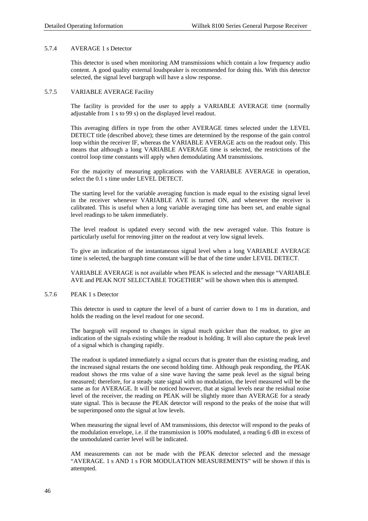### 5.7.4 AVERAGE 1 s Detector

This detector is used when monitoring AM transmissions which contain a low frequency audio content. A good quality external loudspeaker is recommended for doing this. With this detector selected, the signal level bargraph will have a slow response.

### 5.7.5 VARIABLE AVERAGE Facility

The facility is provided for the user to apply a VARIABLE AVERAGE time (normally adjustable from 1 s to 99 s) on the displayed level readout.

This averaging differs in type from the other AVERAGE times selected under the LEVEL DETECT title (described above); these times are determined by the response of the gain control loop within the receiver IF, whereas the VARIABLE AVERAGE acts on the readout only. This means that although a long VARIABLE AVERAGE time is selected, the restrictions of the control loop time constants will apply when demodulating AM transmissions.

For the majority of measuring applications with the VARIABLE AVERAGE in operation, select the 0.1 s time under LEVEL DETECT.

The starting level for the variable averaging function is made equal to the existing signal level in the receiver whenever VARIABLE AVE is turned ON, and whenever the receiver is calibrated. This is useful when a long variable averaging time has been set, and enable signal level readings to be taken immediately.

The level readout is updated every second with the new averaged value. This feature is particularly useful for removing jitter on the readout at very low signal levels.

To give an indication of the instantaneous signal level when a long VARIABLE AVERAGE time is selected, the bargraph time constant will be that of the time under LEVEL DETECT.

VARIABLE AVERAGE is not available when PEAK is selected and the message "VARIABLE AVE and PEAK NOT SELECTABLE TOGETHER" will be shown when this is attempted.

# 5.7.6 PEAK 1 s Detector

This detector is used to capture the level of a burst of carrier down to 1 ms in duration, and holds the reading on the level readout for one second.

The bargraph will respond to changes in signal much quicker than the readout, to give an indication of the signals existing while the readout is holding. It will also capture the peak level of a signal which is changing rapidly.

The readout is updated immediately a signal occurs that is greater than the existing reading, and the increased signal restarts the one second holding time. Although peak responding, the PEAK readout shows the rms value of a sine wave having the same peak level as the signal being measured; therefore, for a steady state signal with no modulation, the level measured will be the same as for AVERAGE. It will be noticed however, that at signal levels near the residual noise level of the receiver, the reading on PEAK will be slightly more than AVERAGE for a steady state signal. This is because the PEAK detector will respond to the peaks of the noise that will be superimposed onto the signal at low levels.

When measuring the signal level of AM transmissions, this detector will respond to the peaks of the modulation envelope, i.e. if the transmission is 100% modulated, a reading 6 dB in excess of the unmodulated carrier level will be indicated.

AM measurements can not be made with the PEAK detector selected and the message "AVERAGE. 1 s AND 1 s FOR MODULATION MEASUREMENTS" will be shown if this is attempted.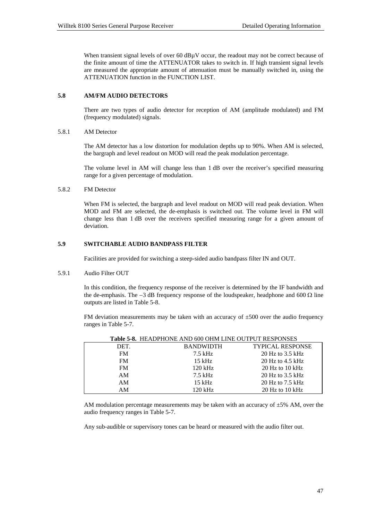When transient signal levels of over 60 dB<sub>u</sub>V occur, the readout may not be correct because of the finite amount of time the ATTENUATOR takes to switch in. If high transient signal levels are measured the appropriate amount of attenuation must be manually switched in, using the ATTENUATION function in the FUNCTION LIST.

# **5.8 AM/FM AUDIO DETECTORS**

There are two types of audio detector for reception of AM (amplitude modulated) and FM (frequency modulated) signals.

## 5.8.1 AM Detector

The AM detector has a low distortion for modulation depths up to 90%. When AM is selected, the bargraph and level readout on MOD will read the peak modulation percentage.

The volume level in AM will change less than 1 dB over the receiver's specified measuring range for a given percentage of modulation.

## 5.8.2 FM Detector

When FM is selected, the bargraph and level readout on MOD will read peak deviation. When MOD and FM are selected, the de-emphasis is switched out. The volume level in FM will change less than 1 dB over the receivers specified measuring range for a given amount of deviation.

# **5.9 SWITCHABLE AUDIO BANDPASS FILTER**

Facilities are provided for switching a steep-sided audio bandpass filter IN and OUT.

# 5.9.1 Audio Filter OUT

In this condition, the frequency response of the receiver is determined by the IF bandwidth and the de-emphasis. The  $-3$  dB frequency response of the loudspeaker, headphone and 600  $\Omega$  line outputs are listed in Table 5-8.

FM deviation measurements may be taken with an accuracy of  $\pm 500$  over the audio frequency ranges in Table 5-7.

|           | Table 5-8. HEADPHONE AND 600 OHM LINE OUTPUT RESPONSES |                         |
|-----------|--------------------------------------------------------|-------------------------|
| DET.      | <b>BANDWIDTH</b>                                       | <b>TYPICAL RESPONSE</b> |
| FM        | 7.5 kHz                                                | $20$ Hz to 3.5 kHz      |
| <b>FM</b> | $15$ kHz                                               | 20 Hz to $4.5$ kHz      |
| <b>FM</b> | $120 \text{ kHz}$                                      | $20$ Hz to $10$ kHz     |
| AM        | $7.5$ kHz                                              | 20 Hz to $3.5$ kHz      |
| AM        | $15$ kHz                                               | $20$ Hz to 7.5 kHz      |
| AΜ        | 120 kHz                                                | $20$ Hz to $10$ kHz     |

**Table 5-8.** HEADPHONE AND 600 OHM LINE OUTPUT RESPONSES

AM modulation percentage measurements may be taken with an accuracy of  $\pm$ 5% AM, over the audio frequency ranges in Table 5-7.

Any sub-audible or supervisory tones can be heard or measured with the audio filter out.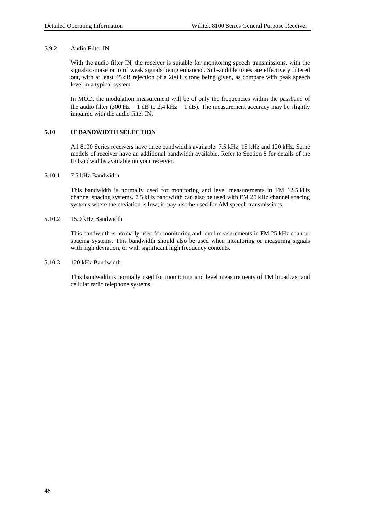# 5.9.2 Audio Filter IN

With the audio filter IN, the receiver is suitable for monitoring speech transmissions, with the signal-to-noise ratio of weak signals being enhanced. Sub-audible tones are effectively filtered out, with at least 45 dB rejection of a 200 Hz tone being given, as compare with peak speech level in a typical system.

In MOD, the modulation measurement will be of only the frequencies within the passband of the audio filter (300 Hz  $-1$  dB to 2.4 kHz  $-1$  dB). The measurement accuracy may be slightly impaired with the audio filter IN.

# **5.10 IF BANDWIDTH SELECTION**

All 8100 Series receivers have three bandwidths available: 7.5 kHz, 15 kHz and 120 kHz. Some models of receiver have an additional bandwidth available. Refer to Section 8 for details of the IF bandwidths available on your receiver.

# 5.10.1 7.5 kHz Bandwidth

This bandwidth is normally used for monitoring and level measurements in FM 12.5 kHz channel spacing systems. 7.5 kHz bandwidth can also be used with FM 25 kHz channel spacing systems where the deviation is low; it may also be used for AM speech transmissions.

# 5.10.2 15.0 kHz Bandwidth

This bandwidth is normally used for monitoring and level measurements in FM 25 kHz channel spacing systems. This bandwidth should also be used when monitoring or measuring signals with high deviation, or with significant high frequency contents.

# 5.10.3 120 kHz Bandwidth

This bandwidth is normally used for monitoring and level measurements of FM broadcast and cellular radio telephone systems.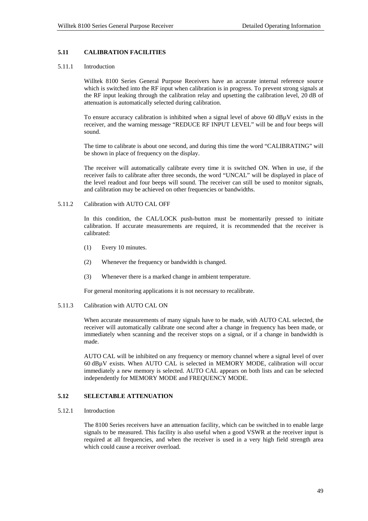# **5.11 CALIBRATION FACILITIES**

# 5.11.1 Introduction

Willtek 8100 Series General Purpose Receivers have an accurate internal reference source which is switched into the RF input when calibration is in progress. To prevent strong signals at the RF input leaking through the calibration relay and upsetting the calibration level, 20 dB of attenuation is automatically selected during calibration.

To ensure accuracy calibration is inhibited when a signal level of above 60 dB $\mu$ V exists in the receiver, and the warning message "REDUCE RF INPUT LEVEL" will be and four beeps will sound.

The time to calibrate is about one second, and during this time the word "CALIBRATING" will be shown in place of frequency on the display.

The receiver will automatically calibrate every time it is switched ON. When in use, if the receiver fails to calibrate after three seconds, the word "UNCAL" will be displayed in place of the level readout and four beeps will sound. The receiver can still be used to monitor signals, and calibration may be achieved on other frequencies or bandwidths.

#### 5.11.2 Calibration with AUTO CAL OFF

In this condition, the CAL/LOCK push-button must be momentarily pressed to initiate calibration. If accurate measurements are required, it is recommended that the receiver is calibrated:

- (1) Every 10 minutes.
- (2) Whenever the frequency or bandwidth is changed.
- (3) Whenever there is a marked change in ambient temperature.

For general monitoring applications it is not necessary to recalibrate.

#### 5.11.3 Calibration with AUTO CAL ON

When accurate measurements of many signals have to be made, with AUTO CAL selected, the receiver will automatically calibrate one second after a change in frequency has been made, or immediately when scanning and the receiver stops on a signal, or if a change in bandwidth is made.

AUTO CAL will be inhibited on any frequency or memory channel where a signal level of over 60 dBµV exists. When AUTO CAL is selected in MEMORY MODE, calibration will occur immediately a new memory is selected. AUTO CAL appears on both lists and can be selected independently for MEMORY MODE and FREQUENCY MODE.

# **5.12 SELECTABLE ATTENUATION**

# 5.12.1 Introduction

The 8100 Series receivers have an attenuation facility, which can be switched in to enable large signals to be measured. This facility is also useful when a good VSWR at the receiver input is required at all frequencies, and when the receiver is used in a very high field strength area which could cause a receiver overload.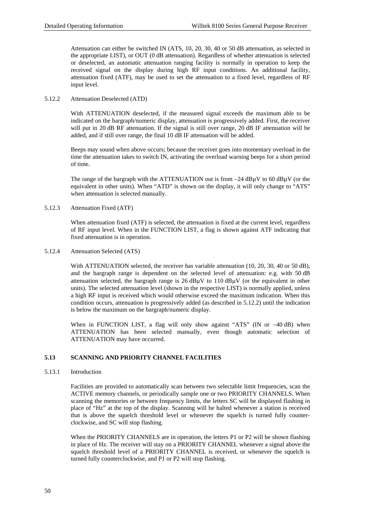Attenuation can either be switched IN (ATS, 10, 20, 30, 40 or 50 dB attenuation, as selected in the appropriate LIST), or OUT (0 dB attenuation). Regardless of whether attenuation is selected or deselected, an automatic attenuation ranging facility is normally in operation to keep the received signal on the display during high RF input conditions. An additional facility, attenuation fixed (ATF), may be used to set the attenuation to a fixed level, regardless of RF input level.

# 5.12.2 Attenuation Deselected (ATD)

With ATTENUATION deselected, if the measured signal exceeds the maximum able to be indicated on the bargraph/numeric display, attenuation is progressively added. First, the receiver will put in 20 dB RF attenuation. If the signal is still over range, 20 dB IF attenuation will be added, and if still over range, the final 10 dB IF attenuation will be added.

Beeps may sound when above occurs; because the receiver goes into momentary overload in the time the attenuation takes to switch IN, activating the overload warning beeps for a short period of time.

The range of the bargraph with the ATTENUATION out is from −24 dBµV to 60 dBµV (or the equivalent in other units). When "ATD" is shown on the display, it will only change to "ATS" when attenuation is selected manually.

# 5.12.3 Attenuation Fixed (ATF)

When attenuation fixed (ATF) is selected, the attenuation is fixed at the current level, regardless of RF input level. When in the FUNCTION LIST, a flag is shown against ATF indicating that fixed attenuation is in operation.

# 5.12.4 Attenuation Selected (ATS)

With ATTENUATION selected, the receiver has variable attenuation (10, 20, 30, 40 or 50 dB), and the bargraph range is dependent on the selected level of attenuation: e.g. with 50 dB attenuation selected, the bargraph range is  $26 \text{ dB} \mu \text{V}$  to  $110 \text{ dB} \mu \text{V}$  (or the equivalent in other units). The selected attenuation level (shown in the respective LIST) is normally applied, unless a high RF input is received which would otherwise exceed the maximum indication. When this condition occurs, attenuation is progressively added (as described in 5.12.2) until the indication is below the maximum on the bargraph/numeric display.

When in FUNCTION LIST, a flag will only show against "ATS" (IN or −40 dB) when ATTENUATION has been selected manually, even though automatic selection of ATTENUATION may have occurred.

# **5.13 SCANNING AND PRIORITY CHANNEL FACILITIES**

# 5.13.1 Introduction

Facilities are provided to automatically scan between two selectable limit frequencies, scan the ACTIVE memory channels, or periodically sample one or two PRIORITY CHANNELS. When scanning the memories or between frequency limits, the letters SC will be displayed flashing in place of "Hz" at the top of the display. Scanning will be halted whenever a station is received that is above the squelch threshold level or whenever the squelch is turned fully counterclockwise, and SC will stop flashing.

When the PRIORITY CHANNELS are in operation, the letters P1 or P2 will be shown flashing in place of Hz. The receiver will stay on a PRIORITY CHANNEL whenever a signal above the squelch threshold level of a PRIORITY CHANNEL is received, or whenever the squelch is turned fully counterclockwise, and P1 or P2 will stop flashing.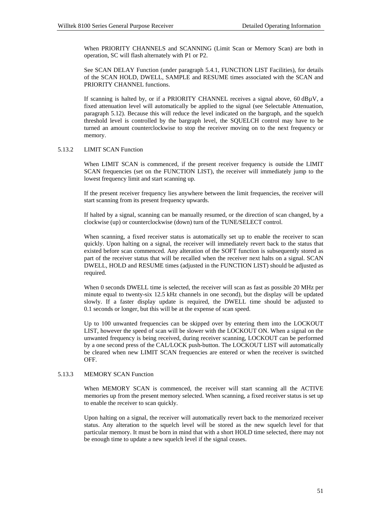When PRIORITY CHANNELS and SCANNING (Limit Scan or Memory Scan) are both in operation, SC will flash alternately with P1 or P2.

See SCAN DELAY Function (under paragraph 5.4.1, FUNCTION LIST Facilities), for details of the SCAN HOLD, DWELL, SAMPLE and RESUME times associated with the SCAN and PRIORITY CHANNEL functions.

If scanning is halted by, or if a PRIORITY CHANNEL receives a signal above, 60 dBµV, a fixed attenuation level will automatically be applied to the signal (see Selectable Attenuation, paragraph 5.12). Because this will reduce the level indicated on the bargraph, and the squelch threshold level is controlled by the bargraph level, the SQUELCH control may have to be turned an amount counterclockwise to stop the receiver moving on to the next frequency or memory.

### 5.13.2 LIMIT SCAN Function

When LIMIT SCAN is commenced, if the present receiver frequency is outside the LIMIT SCAN frequencies (set on the FUNCTION LIST), the receiver will immediately jump to the lowest frequency limit and start scanning up.

If the present receiver frequency lies anywhere between the limit frequencies, the receiver will start scanning from its present frequency upwards.

If halted by a signal, scanning can be manually resumed, or the direction of scan changed, by a clockwise (up) or counterclockwise (down) turn of the TUNE/SELECT control.

When scanning, a fixed receiver status is automatically set up to enable the receiver to scan quickly. Upon halting on a signal, the receiver will immediately revert back to the status that existed before scan commenced. Any alteration of the SOFT function is subsequently stored as part of the receiver status that will be recalled when the receiver next halts on a signal. SCAN DWELL, HOLD and RESUME times (adjusted in the FUNCTION LIST) should be adjusted as required.

When 0 seconds DWELL time is selected, the receiver will scan as fast as possible 20 MHz per minute equal to twenty-six 12.5 kHz channels in one second), but the display will be updated slowly. If a faster display update is required, the DWELL time should be adjusted to 0.1 seconds or longer, but this will be at the expense of scan speed.

Up to 100 unwanted frequencies can be skipped over by entering them into the LOCKOUT LIST, however the speed of scan will be slower with the LOCKOUT ON. When a signal on the unwanted frequency is being received, during receiver scanning, LOCKOUT can be performed by a one second press of the CAL/LOCK push-button. The LOCKOUT LIST will automatically be cleared when new LIMIT SCAN frequencies are entered or when the receiver is switched OFF.

# 5.13.3 MEMORY SCAN Function

When MEMORY SCAN is commenced, the receiver will start scanning all the ACTIVE memories up from the present memory selected. When scanning, a fixed receiver status is set up to enable the receiver to scan quickly.

Upon halting on a signal, the receiver will automatically revert back to the memorized receiver status. Any alteration to the squelch level will be stored as the new squelch level for that particular memory. It must be born in mind that with a short HOLD time selected, there may not be enough time to update a new squelch level if the signal ceases.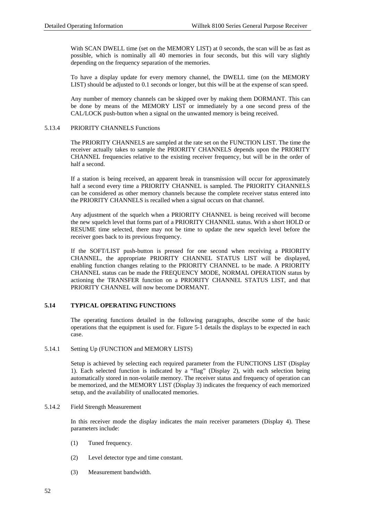With SCAN DWELL time (set on the MEMORY LIST) at 0 seconds, the scan will be as fast as possible, which is nominally all 40 memories in four seconds, but this will vary slightly depending on the frequency separation of the memories.

To have a display update for every memory channel, the DWELL time (on the MEMORY LIST) should be adjusted to 0.1 seconds or longer, but this will be at the expense of scan speed.

Any number of memory channels can be skipped over by making them DORMANT. This can be done by means of the MEMORY LIST or immediately by a one second press of the CAL/LOCK push-button when a signal on the unwanted memory is being received.

# 5.13.4 PRIORITY CHANNELS Functions

The PRIORITY CHANNELS are sampled at the rate set on the FUNCTION LIST. The time the receiver actually takes to sample the PRIORITY CHANNELS depends upon the PRIORITY CHANNEL frequencies relative to the existing receiver frequency, but will be in the order of half a second.

If a station is being received, an apparent break in transmission will occur for approximately half a second every time a PRIORITY CHANNEL is sampled. The PRIORITY CHANNELS can be considered as other memory channels because the complete receiver status entered into the PRIORITY CHANNELS is recalled when a signal occurs on that channel.

Any adjustment of the squelch when a PRIORITY CHANNEL is being received will become the new squelch level that forms part of a PRIORITY CHANNEL status. With a short HOLD or RESUME time selected, there may not be time to update the new squelch level before the receiver goes back to its previous frequency.

If the SOFT/LIST push-button is pressed for one second when receiving a PRIORITY CHANNEL, the appropriate PRIORITY CHANNEL STATUS LIST will be displayed, enabling function changes relating to the PRIORITY CHANNEL to be made. A PRIORITY CHANNEL status can be made the FREQUENCY MODE, NORMAL OPERATION status by actioning the TRANSFER function on a PRIORITY CHANNEL STATUS LIST, and that PRIORITY CHANNEL will now become DORMANT.

# **5.14 TYPICAL OPERATING FUNCTIONS**

The operating functions detailed in the following paragraphs, describe some of the basic operations that the equipment is used for. Figure 5-1 details the displays to be expected in each case.

# 5.14.1 Setting Up (FUNCTION and MEMORY LISTS)

Setup is achieved by selecting each required parameter from the FUNCTIONS LIST (Display 1). Each selected function is indicated by a "flag" (Display 2), with each selection being automatically stored in non-volatile memory. The receiver status and frequency of operation can be memorized, and the MEMORY LIST (Display 3) indicates the frequency of each memorized setup, and the availability of unallocated memories.

# 5.14.2 Field Strength Measurement

In this receiver mode the display indicates the main receiver parameters (Display 4). These parameters include:

- (1) Tuned frequency.
- (2) Level detector type and time constant.
- (3) Measurement bandwidth.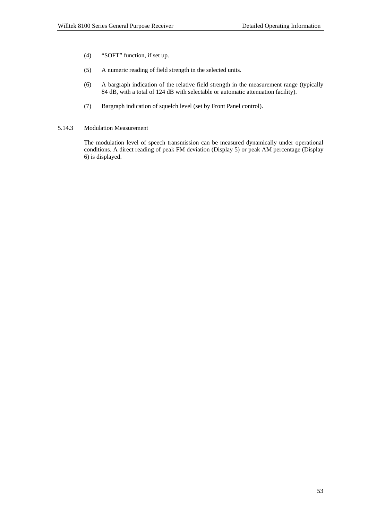- (4) "SOFT" function, if set up.
- (5) A numeric reading of field strength in the selected units.
- (6) A bargraph indication of the relative field strength in the measurement range (typically 84 dB, with a total of 124 dB with selectable or automatic attenuation facility).
- (7) Bargraph indication of squelch level (set by Front Panel control).
- 5.14.3 Modulation Measurement

The modulation level of speech transmission can be measured dynamically under operational conditions. A direct reading of peak FM deviation (Display 5) or peak AM percentage (Display 6) is displayed.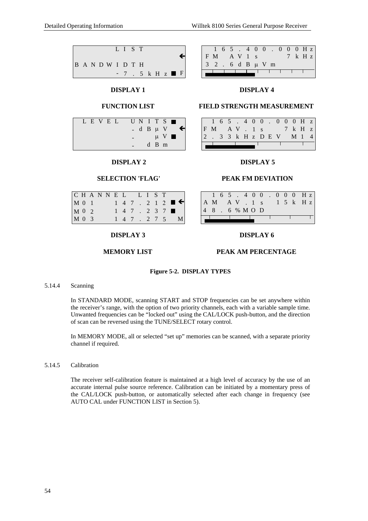

# **DISPLAY 1**

# **FUNCTION LIST**

|  | LEVEL |  |  |  |               | UNITS <b>II</b>        |   |
|--|-------|--|--|--|---------------|------------------------|---|
|  |       |  |  |  | - d B $\mu$ V |                        | e |
|  |       |  |  |  |               | $\mu$ V $\blacksquare$ |   |
|  |       |  |  |  | $d$ B m       |                        |   |

# **DISPLAY 2**

# **SELECTION 'FLAG'**

| CHANNEL LIST |  |  |  |  |  |                                |
|--------------|--|--|--|--|--|--------------------------------|
| M 0 1        |  |  |  |  |  | $1$ 4 7 . 2 1 2 $\blacksquare$ |
| M 0 2        |  |  |  |  |  | $1 \t4 \t7 \t2 \t3 \t7 \t\t m$ |
| M 0 3        |  |  |  |  |  | $1 \t4 \t7 \t2 \t7 \t5 \tM$    |

# **DISPLAY 3**

# **MEMORY LIST**

# **PEAK AM PERCENTAGE**

**DISPLAY 6**

# **Figure 5-2. DISPLAY TYPES**

# 5.14.4 Scanning

In STANDARD MODE, scanning START and STOP frequencies can be set anywhere within the receiver's range, with the option of two priority channels, each with a variable sample time. Unwanted frequencies can be "locked out" using the CAL/LOCK push-button, and the direction of scan can be reversed using the TUNE/SELECT rotary control.

In MEMORY MODE, all or selected "set up" memories can be scanned, with a separate priority channel if required.

# 5.14.5 Calibration

The receiver self-calibration feature is maintained at a high level of accuracy by the use of an accurate internal pulse source reference. Calibration can be initiated by a momentary press of the CAL/LOCK push-button, or automatically selected after each change in frequency (see AUTO CAL under FUNCTION LIST in Section 5).

|                   |        |  |  |  |  | $1\; 6\; 5\; .\; 4\; 0\; 0\; .\; 0\; 0\; 0\; H z$ |
|-------------------|--------|--|--|--|--|---------------------------------------------------|
| F M               | AV 1 s |  |  |  |  | $7 \text{ k } H z$                                |
| 3 2 . 6 d B µ V m |        |  |  |  |  |                                                   |
|                   |        |  |  |  |  |                                                   |

# **DISPLAY 4**

# **FIELD STRENGTH MEASUREMENT**

|  |  |  |  |  | $1\; 6\; 5\; .\; 4\; 0\; 0\; .\; 0\; 0\; 0\; H\; z$  |  |
|--|--|--|--|--|------------------------------------------------------|--|
|  |  |  |  |  | $F \ M \quad A \ V \ . \ 1 \ s \qquad 7 \ k \ H \ z$ |  |
|  |  |  |  |  | 2. 33 k H z D E V M 1 4                              |  |
|  |  |  |  |  |                                                      |  |

# **DISPLAY 5**

# **PEAK FM DEVIATION**

|           |  |  |  |  |  | $1\; 6\; 5\; .\; 4\; 0\; 0\; .\; 0\; 0\; 0\; H\; z$ |
|-----------|--|--|--|--|--|-----------------------------------------------------|
|           |  |  |  |  |  | AM AV. 1 s 1 5 k Hz                                 |
| 48.6% MOD |  |  |  |  |  |                                                     |
|           |  |  |  |  |  |                                                     |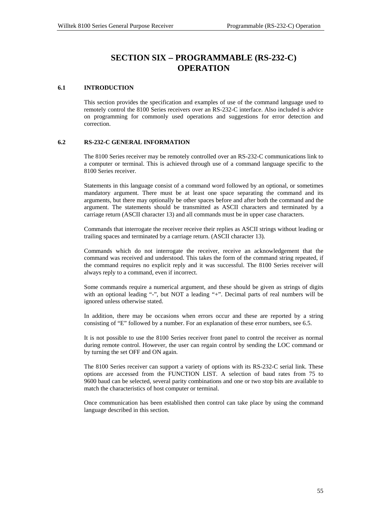# **SECTION SIX** − **PROGRAMMABLE (RS-232-C) OPERATION**

# **6.1 INTRODUCTION**

This section provides the specification and examples of use of the command language used to remotely control the 8100 Series receivers over an RS-232-C interface. Also included is advice on programming for commonly used operations and suggestions for error detection and correction.

# **6.2 RS-232-C GENERAL INFORMATION**

The 8100 Series receiver may be remotely controlled over an RS-232-C communications link to a computer or terminal. This is achieved through use of a command language specific to the 8100 Series receiver.

Statements in this language consist of a command word followed by an optional, or sometimes mandatory argument. There must be at least one space separating the command and its arguments, but there may optionally be other spaces before and after both the command and the argument. The statements should be transmitted as ASCII characters and terminated by a carriage return (ASCII character 13) and all commands must be in upper case characters.

Commands that interrogate the receiver receive their replies as ASCII strings without leading or trailing spaces and terminated by a carriage return. (ASCII character 13).

Commands which do not interrogate the receiver, receive an acknowledgement that the command was received and understood. This takes the form of the command string repeated, if the command requires no explicit reply and it was successful. The 8100 Series receiver will always reply to a command, even if incorrect.

Some commands require a numerical argument, and these should be given as strings of digits with an optional leading "-", but NOT a leading "+". Decimal parts of real numbers will be ignored unless otherwise stated.

In addition, there may be occasions when errors occur and these are reported by a string consisting of "E" followed by a number. For an explanation of these error numbers, see 6.5.

It is not possible to use the 8100 Series receiver front panel to control the receiver as normal during remote control. However, the user can regain control by sending the LOC command or by turning the set OFF and ON again.

The 8100 Series receiver can support a variety of options with its RS-232-C serial link. These options are accessed from the FUNCTION LIST. A selection of baud rates from 75 to 9600 baud can be selected, several parity combinations and one or two stop bits are available to match the characteristics of host computer or terminal.

Once communication has been established then control can take place by using the command language described in this section.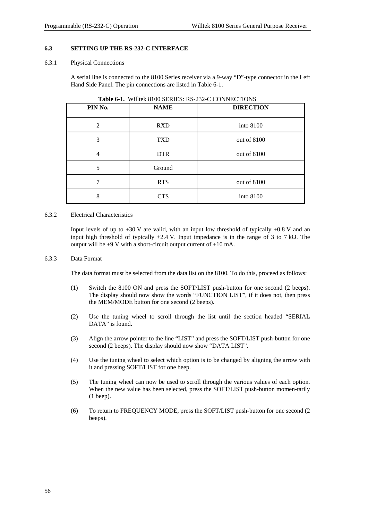# **6.3 SETTING UP THE RS-232-C INTERFACE**

### 6.3.1 Physical Connections

A serial line is connected to the 8100 Series receiver via a 9-way "D"-type connector in the Left Hand Side Panel. The pin connections are listed in Table 6-1.

| PIN No.        | <b>NAME</b> | <b>DIRECTION</b> |
|----------------|-------------|------------------|
| $\overline{2}$ | <b>RXD</b>  | into 8100        |
| 3              | <b>TXD</b>  | out of 8100      |
| 4              | <b>DTR</b>  | out of 8100      |
| 5              | Ground      |                  |
|                | <b>RTS</b>  | out of 8100      |
| 8              | <b>CTS</b>  | into 8100        |

**Table 6-1.** Willtek 8100 SERIES: RS-232-C CONNECTIONS

# 6.3.2 Electrical Characteristics

Input levels of up to  $\pm 30$  V are valid, with an input low threshold of typically  $+0.8$  V and an input high threshold of typically +2.4 V. Input impedance is in the range of 3 to 7 k $\Omega$ . The output will be  $\pm 9$  V with a short-circuit output current of  $\pm 10$  mA.

### 6.3.3 Data Format

The data format must be selected from the data list on the 8100. To do this, proceed as follows:

- (1) Switch the 8100 ON and press the SOFT/LIST push-button for one second (2 beeps). The display should now show the words "FUNCTION LIST", if it does not, then press the MEM/MODE button for one second (2 beeps).
- (2) Use the tuning wheel to scroll through the list until the section headed "SERIAL DATA" is found.
- (3) Align the arrow pointer to the line "LIST" and press the SOFT/LIST push-button for one second (2 beeps). The display should now show "DATA LIST".
- (4) Use the tuning wheel to select which option is to be changed by aligning the arrow with it and pressing SOFT/LIST for one beep.
- (5) The tuning wheel can now be used to scroll through the various values of each option. When the new value has been selected, press the SOFT/LIST push-button momen-tarily (1 beep).
- (6) To return to FREQUENCY MODE, press the SOFT/LIST push-button for one second (2 beeps).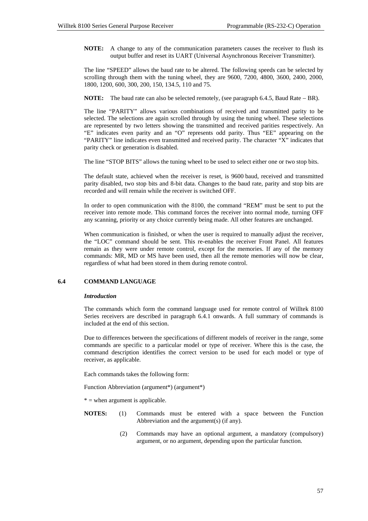**NOTE:** A change to any of the communication parameters causes the receiver to flush its output buffer and reset its UART (Universal Asynchronous Receiver Transmitter).

The line "SPEED" allows the baud rate to be altered. The following speeds can be selected by scrolling through them with the tuning wheel, they are 9600, 7200, 4800, 3600, 2400, 2000, 1800, 1200, 600, 300, 200, 150, 134.5, 110 and 75.

**NOTE:** The baud rate can also be selected remotely, (see paragraph 6.4.5, Baud Rate − BR).

The line "PARITY" allows various combinations of received and transmitted parity to be selected. The selections are again scrolled through by using the tuning wheel. These selections are represented by two letters showing the transmitted and received parities respectively. An "E" indicates even parity and an "O" represents odd parity. Thus "EE" appearing on the "PARITY" line indicates even transmitted and received parity. The character "X" indicates that parity check or generation is disabled.

The line "STOP BITS" allows the tuning wheel to be used to select either one or two stop bits.

The default state, achieved when the receiver is reset, is 9600 baud, received and transmitted parity disabled, two stop bits and 8-bit data. Changes to the baud rate, parity and stop bits are recorded and will remain while the receiver is switched OFF.

In order to open communication with the 8100, the command "REM" must be sent to put the receiver into remote mode. This command forces the receiver into normal mode, turning OFF any scanning, priority or any choice currently being made. All other features are unchanged.

When communication is finished, or when the user is required to manually adjust the receiver, the "LOC" command should be sent. This re-enables the receiver Front Panel. All features remain as they were under remote control, except for the memories. If any of the memory commands: MR, MD or MS have been used, then all the remote memories will now be clear, regardless of what had been stored in them during remote control.

# **6.4 COMMAND LANGUAGE**

# *Introduction*

The commands which form the command language used for remote control of Willtek 8100 Series receivers are described in paragraph 6.4.1 onwards. A full summary of commands is included at the end of this section.

Due to differences between the specifications of different models of receiver in the range, some commands are specific to a particular model or type of receiver. Where this is the case, the command description identifies the correct version to be used for each model or type of receiver, as applicable.

Each commands takes the following form:

Function Abbreviation (argument\*) (argument\*)

 $*$  = when argument is applicable.

- **NOTES:** (1) Commands must be entered with a space between the Function Abbreviation and the argument(s) (if any).
	- (2) Commands may have an optional argument, a mandatory (compulsory) argument, or no argument, depending upon the particular function.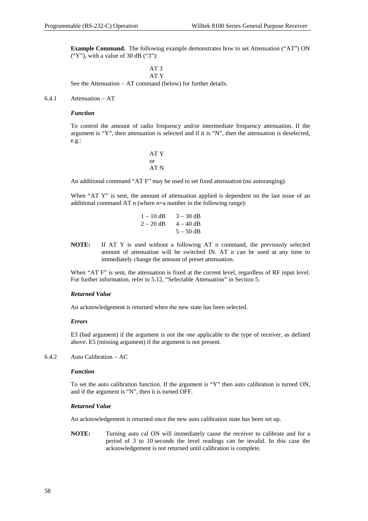**Example Command.** The following example demonstrates how to set Attenuation ("AT") ON ("Y"), with a value of 30 dB ("3"):

> AT 3 AT Y

See the Attenuation − AT command (below) for further details.

6.4.1 Attenuation − AT

### *Function*

To control the amount of radio frequency and/or intermediate frequency attenuation. If the argument is "Y", then attenuation is selected and if it is "N", then the attenuation is deselected, e.g.:

 AT Y or AT N

An additional command "AT F" may be used to set fixed attenuation (no autoranging).

When "AT Y" is sent, the amount of attenuation applied is dependent on the last issue of an additional command AT n (where n=a number in the following range):

|  | $1 - 10$ dB $3 - 30$ dB |
|--|-------------------------|
|  | $2 - 20$ dB $4 - 40$ dB |
|  | $5 - 50$ dB             |

**NOTE:** If AT Y is used without a following AT n command, the previously selected amount of attenuation will be switched IN. AT n can be used at any time to immediately change the amount of preset attenuation.

When "AT F" is sent, the attenuation is fixed at the current level, regardless of RF input level. For further information, refer to 5.12, "Selectable Attenuation" in Section 5.

#### *Returned Value*

An acknowledgement is returned when the new state has been selected.

#### *Errors*

E3 (bad argument) if the argument is not the one applicable to the type of receiver, as defined above. E5 (missing argument) if the argument is not present.

# 6.4.2 Auto Calibration − AC

#### *Function*

To set the auto calibration function. If the argument is "Y" then auto calibration is turned ON, and if the argument is "N", then it is turned OFF.

#### *Returned Value*

An acknowledgement is returned once the new auto calibration state has been set up.

**NOTE:** Turning auto cal ON will immediately cause the receiver to calibrate and for a period of 3 to 10 seconds the level readings can be invalid. In this case the acknowledgement is not returned until calibration is complete.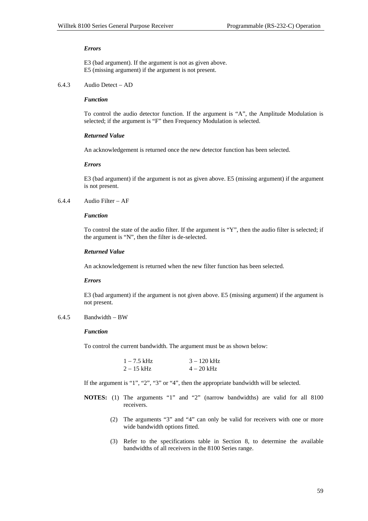#### *Errors*

E3 (bad argument). If the argument is not as given above. E5 (missing argument) if the argument is not present.

#### 6.4.3 Audio Detect − AD

### *Function*

To control the audio detector function. If the argument is "A", the Amplitude Modulation is selected; if the argument is "F" then Frequency Modulation is selected.

#### *Returned Value*

An acknowledgement is returned once the new detector function has been selected.

#### *Errors*

E3 (bad argument) if the argument is not as given above. E5 (missing argument) if the argument is not present.

## 6.4.4 Audio Filter − AF

### *Function*

To control the state of the audio filter. If the argument is "Y", then the audio filter is selected; if the argument is "N", then the filter is de-selected.

#### *Returned Value*

An acknowledgement is returned when the new filter function has been selected.

#### *Errors*

E3 (bad argument) if the argument is not given above. E5 (missing argument) if the argument is not present.

# 6.4.5 Bandwidth − BW

#### *Function*

To control the current bandwidth. The argument must be as shown below:

| $1 - 7.5$ kHz | $3 - 120$ kHz |
|---------------|---------------|
| $2 - 15$ kHz  | $4 - 20$ kHz  |

If the argument is "1", "2", "3" or "4", then the appropriate bandwidth will be selected.

- **NOTES:** (1) The arguments "1" and "2" (narrow bandwidths) are valid for all 8100 receivers.
	- (2) The arguments "3" and "4" can only be valid for receivers with one or more wide bandwidth options fitted.
	- (3) Refer to the specifications table in Section 8, to determine the available bandwidths of all receivers in the 8100 Series range.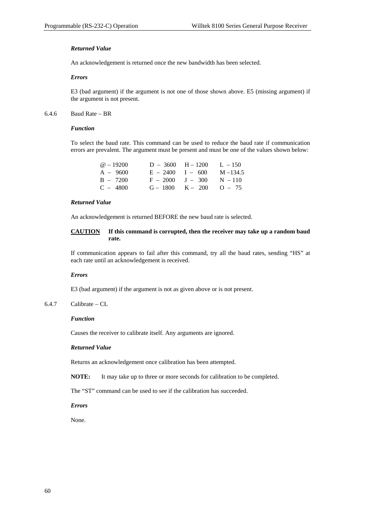# *Returned Value*

An acknowledgement is returned once the new bandwidth has been selected.

# *Errors*

E3 (bad argument) if the argument is not one of those shown above. E5 (missing argument) if the argument is not present.

# 6.4.6 Baud Rate − BR

# *Function*

To select the baud rate. This command can be used to reduce the baud rate if communication errors are prevalent. The argument must be present and must be one of the values shown below:

| $\omega$ – 19200 | $D - 3600$ | $H - 1200$ | $L - 150$   |
|------------------|------------|------------|-------------|
| $A - 9600$       | $E - 2400$ | $I - 600$  | $M - 134.5$ |
| $B - 7200$       | $F - 2000$ | $J - 300$  | $N - 110$   |
| $C - 4800$       | $G - 1800$ | $K - 200$  | $O - 75$    |

# *Returned Value*

An acknowledgement is returned BEFORE the new baud rate is selected.

# **CAUTION If this command is corrupted, then the receiver may take up a random baud rate.**

If communication appears to fail after this command, try all the baud rates, sending "HS" at each rate until an acknowledgement is received.

#### *Errors*

E3 (bad argument) if the argument is not as given above or is not present.

# 6.4.7 Calibrate − CL

### *Function*

Causes the receiver to calibrate itself. Any arguments are ignored.

#### *Returned Value*

Returns an acknowledgement once calibration has been attempted.

**NOTE:** It may take up to three or more seconds for calibration to be completed.

The "ST" command can be used to see if the calibration has succeeded.

### *Errors*

None.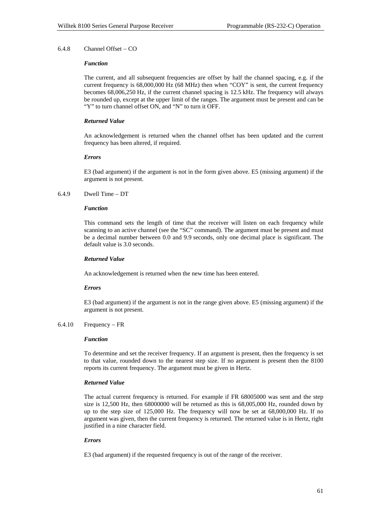# 6.4.8 Channel Offset − CO

#### *Function*

The current, and all subsequent frequencies are offset by half the channel spacing, e.g. if the current frequency is 68,000,000 Hz (68 MHz) then when "COY" is sent, the current frequency becomes 68,006,250 Hz, if the current channel spacing is 12.5 kHz. The frequency will always be rounded up, except at the upper limit of the ranges. The argument must be present and can be "Y" to turn channel offset ON, and "N" to turn it OFF.

# *Returned Value*

An acknowledgement is returned when the channel offset has been updated and the current frequency has been altered, if required.

#### *Errors*

E3 (bad argument) if the argument is not in the form given above. E5 (missing argument) if the argument is not present.

# 6.4.9 Dwell Time − DT

### *Function*

This command sets the length of time that the receiver will listen on each frequency while scanning to an active channel (see the "SC" command). The argument must be present and must be a decimal number between 0.0 and 9.9 seconds, only one decimal place is significant. The default value is 3.0 seconds.

## *Returned Value*

An acknowledgement is returned when the new time has been entered.

#### *Errors*

E3 (bad argument) if the argument is not in the range given above. E5 (missing argument) if the argument is not present.

### 6.4.10 Frequency − FR

### *Function*

To determine and set the receiver frequency. If an argument is present, then the frequency is set to that value, rounded down to the nearest step size. If no argument is present then the 8100 reports its current frequency. The argument must be given in Hertz.

### *Returned Value*

The actual current frequency is returned. For example if FR 68005000 was sent and the step size is 12,500 Hz, then 68000000 will be returned as this is 68,005,000 Hz, rounded down by up to the step size of 125,000 Hz. The frequency will now be set at 68,000,000 Hz. If no argument was given, then the current frequency is returned. The returned value is in Hertz, right justified in a nine character field.

# *Errors*

E3 (bad argument) if the requested frequency is out of the range of the receiver.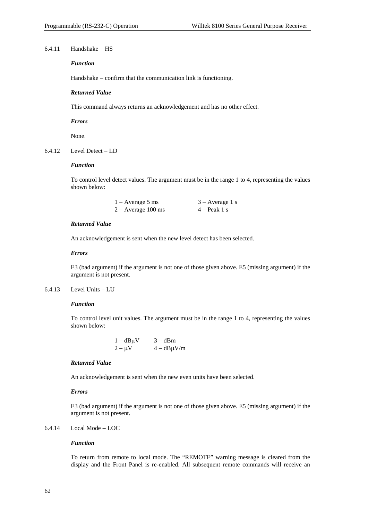### 6.4.11 Handshake − HS

# *Function*

Handshake − confirm that the communication link is functioning.

# *Returned Value*

This command always returns an acknowledgement and has no other effect.

#### *Errors*

None.

# 6.4.12 Level Detect − LD

# *Function*

To control level detect values. The argument must be in the range 1 to 4, representing the values shown below:

| $1 -$ Average 5 ms   | $3 - Average 1 s$ |
|----------------------|-------------------|
| $2 -$ Average 100 ms | $4 -$ Peak 1 s    |

#### *Returned Value*

An acknowledgement is sent when the new level detect has been selected.

#### *Errors*

E3 (bad argument) if the argument is not one of those given above. E5 (missing argument) if the argument is not present.

# 6.4.13 Level Units − LU

#### *Function*

To control level unit values. The argument must be in the range 1 to 4, representing the values shown below:

| $1 - dB\mu V$ | $3 - dBm$     |
|---------------|---------------|
| $2 - \mu V$   | $4-dB\mu V/m$ |

# *Returned Value*

An acknowledgement is sent when the new even units have been selected.

# *Errors*

E3 (bad argument) if the argument is not one of those given above. E5 (missing argument) if the argument is not present.

# 6.4.14 Local Mode − LOC

# *Function*

To return from remote to local mode. The "REMOTE" warning message is cleared from the display and the Front Panel is re-enabled. All subsequent remote commands will receive an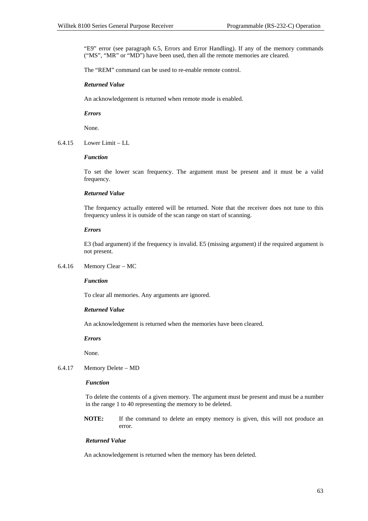"E9" error (see paragraph 6.5, Errors and Error Handling). If any of the memory commands ("MS", "MR" or "MD") have been used, then all the remote memories are cleared.

The "REM" command can be used to re-enable remote control.

### *Returned Value*

An acknowledgement is returned when remote mode is enabled.

*Errors*

None.

6.4.15 Lower Limit − LL

#### *Function*

To set the lower scan frequency. The argument must be present and it must be a valid frequency.

# *Returned Value*

The frequency actually entered will be returned. Note that the receiver does not tune to this frequency unless it is outside of the scan range on start of scanning.

#### *Errors*

E3 (bad argument) if the frequency is invalid. E5 (missing argument) if the required argument is not present.

### 6.4.16 Memory Clear − MC

### *Function*

To clear all memories. Any arguments are ignored.

#### *Returned Value*

An acknowledgement is returned when the memories have been cleared.

*Errors*

None.

6.4.17 Memory Delete − MD

# *Function*

To delete the contents of a given memory. The argument must be present and must be a number in the range 1 to 40 representing the memory to be deleted.

**NOTE:** If the command to delete an empty memory is given, this will not produce an error.

# *Returned Value*

An acknowledgement is returned when the memory has been deleted.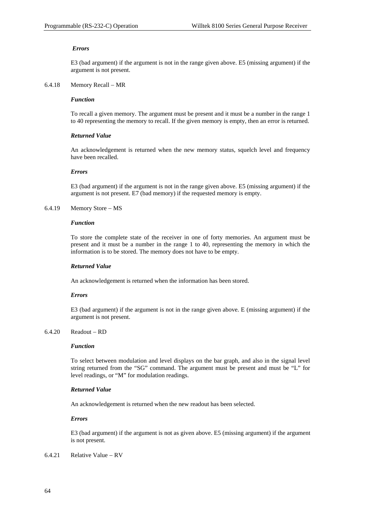# *Errors*

E3 (bad argument) if the argument is not in the range given above. E5 (missing argument) if the argument is not present.

# 6.4.18 Memory Recall − MR

# *Function*

To recall a given memory. The argument must be present and it must be a number in the range 1 to 40 representing the memory to recall. If the given memory is empty, then an error is returned.

### *Returned Value*

An acknowledgement is returned when the new memory status, squelch level and frequency have been recalled.

### *Errors*

E3 (bad argument) if the argument is not in the range given above. E5 (missing argument) if the argument is not present. E7 (bad memory) if the requested memory is empty.

# 6.4.19 Memory Store − MS

#### *Function*

To store the complete state of the receiver in one of forty memories. An argument must be present and it must be a number in the range 1 to 40, representing the memory in which the information is to be stored. The memory does not have to be empty.

#### *Returned Value*

An acknowledgement is returned when the information has been stored.

# *Errors*

E3 (bad argument) if the argument is not in the range given above. E (missing argument) if the argument is not present.

# 6.4.20 Readout − RD

#### *Function*

To select between modulation and level displays on the bar graph, and also in the signal level string returned from the "SG" command. The argument must be present and must be "L" for level readings, or "M" for modulation readings.

### *Returned Value*

An acknowledgement is returned when the new readout has been selected.

# *Errors*

E3 (bad argument) if the argument is not as given above. E5 (missing argument) if the argument is not present.

### 6.4.21 Relative Value − RV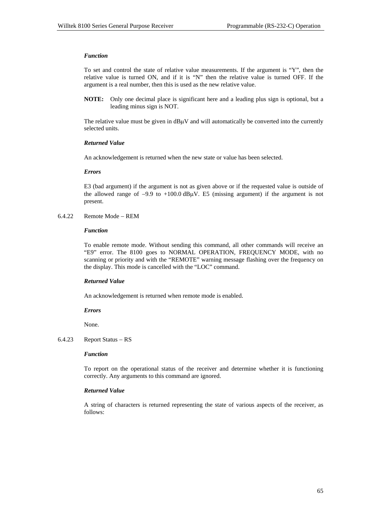### *Function*

To set and control the state of relative value measurements. If the argument is "Y", then the relative value is turned ON, and if it is "N" then the relative value is turned OFF. If the argument is a real number, then this is used as the new relative value.

**NOTE:** Only one decimal place is significant here and a leading plus sign is optional, but a leading minus sign is NOT.

The relative value must be given in  $dB\mu V$  and will automatically be converted into the currently selected units.

### *Returned Value*

An acknowledgement is returned when the new state or value has been selected.

### *Errors*

E3 (bad argument) if the argument is not as given above or if the requested value is outside of the allowed range of  $-9.9$  to  $+100.0$  dB $\mu$ V. E5 (missing argument) if the argument is not present.

6.4.22 Remote Mode − REM

#### *Function*

To enable remote mode. Without sending this command, all other commands will receive an "E9" error. The 8100 goes to NORMAL OPERATION, FREQUENCY MODE, with no scanning or priority and with the "REMOTE" warning message flashing over the frequency on the display. This mode is cancelled with the "LOC" command.

# *Returned Value*

An acknowledgement is returned when remote mode is enabled.

#### *Errors*

None.

6.4.23 Report Status − RS

#### *Function*

To report on the operational status of the receiver and determine whether it is functioning correctly. Any arguments to this command are ignored.

# *Returned Value*

A string of characters is returned representing the state of various aspects of the receiver, as follows: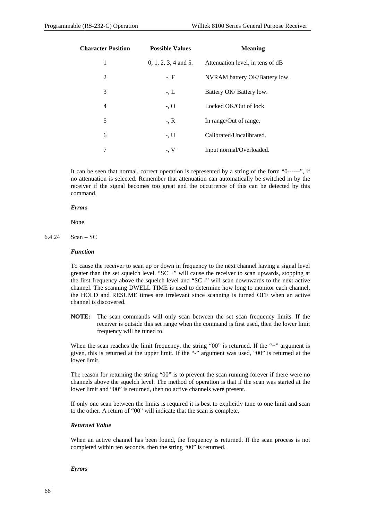| <b>Character Position</b> | <b>Possible Values</b> | <b>Meaning</b>                   |
|---------------------------|------------------------|----------------------------------|
| 1                         | $0, 1, 2, 3, 4$ and 5. | Attenuation level, in tens of dB |
| 2                         | $-, F$                 | NVRAM battery OK/Battery low.    |
| 3                         | $-L$                   | Battery OK/Battery low.          |
| $\overline{4}$            | $-$ , O                | Locked OK/Out of lock.           |
| 5                         | $-, R$                 | In range/Out of range.           |
| 6                         | $-$ , U                | Calibrated/Uncalibrated.         |
| 7                         | $-$ , V                | Input normal/Overloaded.         |

It can be seen that normal, correct operation is represented by a string of the form "0------", if no attenuation is selected. Remember that attenuation can automatically be switched in by the receiver if the signal becomes too great and the occurrence of this can be detected by this command.

#### *Errors*

None.

 $6.4.24$  Scan – SC

#### *Function*

To cause the receiver to scan up or down in frequency to the next channel having a signal level greater than the set squelch level. "SC +" will cause the receiver to scan upwards, stopping at the first frequency above the squelch level and "SC -" will scan downwards to the next active channel. The scanning DWELL TIME is used to determine how long to monitor each channel, the HOLD and RESUME times are irrelevant since scanning is turned OFF when an active channel is discovered.

**NOTE:** The scan commands will only scan between the set scan frequency limits. If the receiver is outside this set range when the command is first used, then the lower limit frequency will be tuned to.

When the scan reaches the limit frequency, the string "00" is returned. If the "+" argument is given, this is returned at the upper limit. If the "-" argument was used, "00" is returned at the lower limit.

The reason for returning the string "00" is to prevent the scan running forever if there were no channels above the squelch level. The method of operation is that if the scan was started at the lower limit and "00" is returned, then no active channels were present.

If only one scan between the limits is required it is best to explicitly tune to one limit and scan to the other. A return of "00" will indicate that the scan is complete.

# *Returned Value*

When an active channel has been found, the frequency is returned. If the scan process is not completed within ten seconds, then the string "00" is returned.

#### *Errors*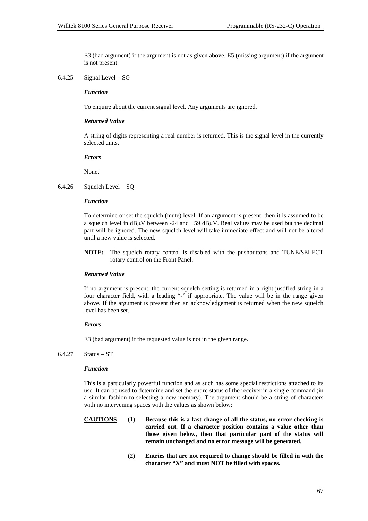E3 (bad argument) if the argument is not as given above. E5 (missing argument) if the argument is not present.

6.4.25 Signal Level − SG

### *Function*

To enquire about the current signal level. Any arguments are ignored.

# *Returned Value*

A string of digits representing a real number is returned. This is the signal level in the currently selected units.

#### *Errors*

None.

6.4.26 Squelch Level − SQ

### *Function*

To determine or set the squelch (mute) level. If an argument is present, then it is assumed to be a squelch level in dB<sub>H</sub>V between -24 and +59 dB<sub>H</sub>V. Real values may be used but the decimal part will be ignored. The new squelch level will take immediate effect and will not be altered until a new value is selected.

**NOTE:** The squelch rotary control is disabled with the pushbuttons and TUNE/SELECT rotary control on the Front Panel.

# *Returned Value*

If no argument is present, the current squelch setting is returned in a right justified string in a four character field, with a leading "-" if appropriate. The value will be in the range given above. If the argument is present then an acknowledgement is returned when the new squelch level has been set.

# *Errors*

E3 (bad argument) if the requested value is not in the given range.

# 6.4.27 Status − ST

### *Function*

This is a particularly powerful function and as such has some special restrictions attached to its use. It can be used to determine and set the entire status of the receiver in a single command (in a similar fashion to selecting a new memory). The argument should be a string of characters with no intervening spaces with the values as shown below:

- **CAUTIONS (1) Because this is a fast change of all the status, no error checking is carried out. If a character position contains a value other than those given below, then that particular part of the status will remain unchanged and no error message will be generated.**
	- **(2) Entries that are not required to change should be filled in with the character "X" and must NOT be filled with spaces.**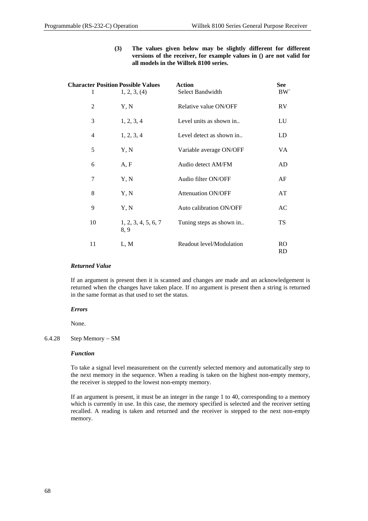**(3) The values given below may be slightly different for different versions of the receiver, for example values in () are not valid for all models in the Willtek 8100 series.** 

| 1  | <b>Character Position Possible Values</b><br>1, 2, 3, (4) | <b>Action</b><br>Select Bandwidth | See<br><b>BW</b> |
|----|-----------------------------------------------------------|-----------------------------------|------------------|
| 2  | Y, N                                                      | Relative value ON/OFF             | <b>RV</b>        |
| 3  | 1, 2, 3, 4                                                | Level units as shown in           | LU               |
| 4  | 1, 2, 3, 4                                                | Level detect as shown in          | LD               |
| 5  | Y, N                                                      | Variable average ON/OFF           | VA.              |
| 6  | A, F                                                      | Audio detect AM/FM                | AD               |
| 7  | Y, N                                                      | Audio filter ON/OFF               | AF               |
| 8  | Y, N                                                      | <b>Attenuation ON/OFF</b>         | AT               |
| 9  | Y, N                                                      | Auto calibration ON/OFF           | AC               |
| 10 | 1, 2, 3, 4, 5, 6, 7<br>8.9                                | Tuning steps as shown in          | TS               |
| 11 | L, M                                                      | Readout level/Modulation          | RO.<br>RD        |

### *Returned Value*

If an argument is present then it is scanned and changes are made and an acknowledgement is returned when the changes have taken place. If no argument is present then a string is returned in the same format as that used to set the status.

#### *Errors*

None.

# 6.4.28 Step Memory − SM

#### *Function*

To take a signal level measurement on the currently selected memory and automatically step to the next memory in the sequence. When a reading is taken on the highest non-empty memory, the receiver is stepped to the lowest non-empty memory.

If an argument is present, it must be an integer in the range 1 to 40, corresponding to a memory which is currently in use. In this case, the memory specified is selected and the receiver setting recalled. A reading is taken and returned and the receiver is stepped to the next non-empty memory.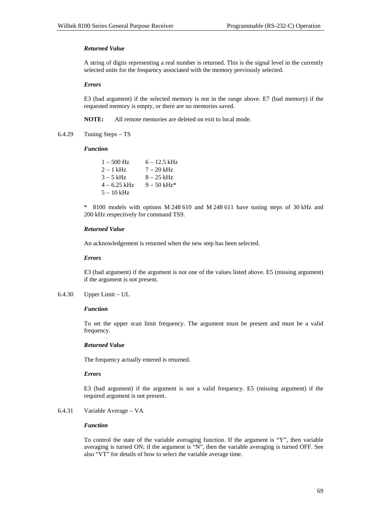#### *Returned Value*

A string of digits representing a real number is returned. This is the signal level in the currently selected units for the frequency associated with the memory previously selected.

#### *Errors*

E3 (bad argument) if the selected memory is not in the range above. E7 (bad memory) if the requested memory is empty, or there are no memories saved.

**NOTE:** All remote memories are deleted on exit to local mode.

6.4.29 Tuning Steps − TS

#### *Function*

| $1 - 500$ Hz   | $6 - 12.5$ kHz |
|----------------|----------------|
| $2 - 1$ kHz    | $7 - 20$ kHz   |
| $3 - 5$ kHz    | $8 - 25$ kHz   |
| $4 - 6.25$ kHz | $9 - 50$ kHz*  |
| $5 - 10$ kHz   |                |

\* 8100 models with options M 248 610 and M 248 611 have tuning steps of 30 kHz and 200 kHz respectively for command TS9.

#### *Returned Value*

An acknowledgement is returned when the new step has been selected.

#### *Errors*

E3 (bad argument) if the argument is not one of the values listed above. E5 (missing argument) if the argument is not present.

6.4.30 Upper Limit − UL

#### *Function*

To set the upper scan limit frequency. The argument must be present and must be a valid frequency.

# *Returned Value*

The frequency actually entered is returned.

#### *Errors*

E3 (bad argument) if the argument is not a valid frequency. E5 (missing argument) if the required argument is not present.

6.4.31 Variable Average − VA

#### *Function*

To control the state of the variable averaging function. If the argument is "Y", then variable averaging is turned ON; if the argument is "N", then the variable averaging is turned OFF. See also "VT" for details of how to select the variable average time.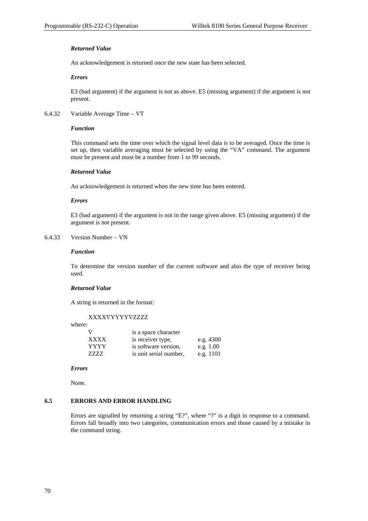# *Returned Value*

An acknowledgement is returned once the new state has been selected.

#### *Errors*

E3 (bad argument) if the argument is not as above. E5 (missing argument) if the argument is not present.

#### 6.4.32 Variable Average Time − VT

#### *Function*

This command sets the time over which the signal level data is to be averaged. Once the time is set up, then variable averaging must be selected by using the "VA" command. The argument must be present and must be a number from 1 to 99 seconds.

#### *Returned Value*

An acknowledgement is returned when the new time has been entered.

#### *Errors*

E3 (bad argument) if the argument is not in the range given above. E5 (missing argument) if the argument is not present.

#### 6.4.33 Version Number − VN

#### *Function*

To determine the version number of the current software and also the type of receiver being used.

#### *Returned Value*

A string is returned in the format:

XXXX∇YYYY∇ZZZZ

where:

|             | is a space character   |             |
|-------------|------------------------|-------------|
| <b>XXXX</b> | is receiver type,      | e.g. $4300$ |
| YYYY        | is software version,   | e.g. $1.00$ |
| 7777        | is unit serial number. | e.g. $1101$ |

#### *Errors*

None.

#### **6.5 ERRORS AND ERROR HANDLING**

Errors are signalled by returning a string "E?", where "?" is a digit in response to a command. Errors fall broadly into two categories, communication errors and those caused by a mistake in the command string.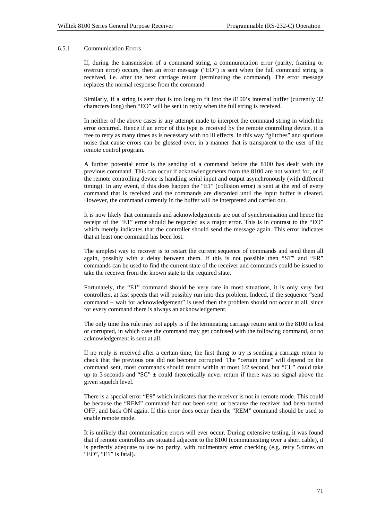#### 6.5.1 Communication Errors

If, during the transmission of a command string, a communication error (parity, framing or overrun error) occurs, then an error message ("EO") is sent when the full command string is received, i.e. after the next carriage return (terminating the command). The error message replaces the normal response from the command.

Similarly, if a string is sent that is too long to fit into the 8100's internal buffer (currently 32 characters long) then "EO" will be sent in reply when the full string is received.

In neither of the above cases is any attempt made to interpret the command string in which the error occurred. Hence if an error of this type is received by the remote controlling device, it is free to retry as many times as is necessary with no ill effects. In this way "glitches" and spurious noise that cause errors can be glossed over, in a manner that is transparent to the user of the remote control program.

A further potential error is the sending of a command before the 8100 has dealt with the previous command. This can occur if acknowledgements from the 8100 are not waited for, or if the remote controlling device is handling serial input and output asynchronously (with different timing). In any event, if this does happen the "E1" (collision error) is sent at the end of every command that is received and the commands are discarded until the input buffer is cleared. However, the command currently in the buffer will be interpreted and carried out.

It is now likely that commands and acknowledgements are out of synchronisation and hence the receipt of the "E1" error should be regarded as a major error. This is in contrast to the "EO" which merely indicates that the controller should send the message again. This error indicates that at least one command has been lost.

The simplest way to recover is to restart the current sequence of commands and send them all again, possibly with a delay between them. If this is not possible then "ST" and "FR" commands can be used to find the current state of the receiver and commands could be issued to take the receiver from the known state to the required state.

Fortunately, the "E1" command should be very rare in most situations, it is only very fast controllers, at fast speeds that will possibly run into this problem. Indeed, if the sequence "send command − wait for acknowledgement" is used then the problem should not occur at all, since for every command there is always an acknowledgement.

The only time this rule may not apply is if the terminating carriage return sent to the 8100 is lost or corrupted, in which case the command may get confused with the following command, or no acknowledgement is sent at all.

If no reply is received after a certain time, the first thing to try is sending a carriage return to check that the previous one did not become corrupted. The "certain time" will depend on the command sent, most commands should return within at most 1/2 second, but "CL" could take up to 3 seconds and "SC"  $\pm$  could theoretically never return if there was no signal above the given squelch level.

There is a special error "E9" which indicates that the receiver is not in remote mode. This could be because the "REM" command had not been sent, or because the receiver had been turned OFF, and back ON again. If this error does occur then the "REM" command should be used to enable remote mode.

It is unlikely that communication errors will ever occur. During extensive testing, it was found that if remote controllers are situated adjacent to the 8100 (communicating over a short cable), it is perfectly adequate to use no parity, with rudimentary error checking (e.g. retry 5 times on "EO", "E1" is fatal).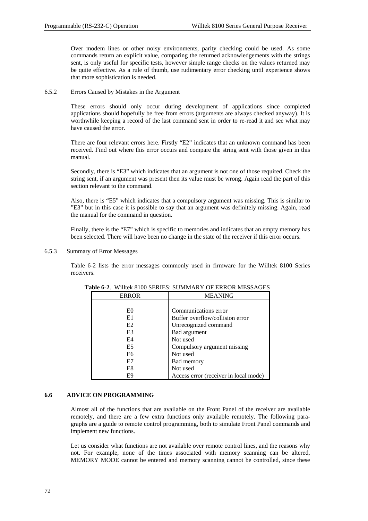Over modem lines or other noisy environments, parity checking could be used. As some commands return an explicit value, comparing the returned acknowledgements with the strings sent, is only useful for specific tests, however simple range checks on the values returned may be quite effective. As a rule of thumb, use rudimentary error checking until experience shows that more sophistication is needed.

6.5.2 Errors Caused by Mistakes in the Argument

These errors should only occur during development of applications since completed applications should hopefully be free from errors (arguments are always checked anyway). It is worthwhile keeping a record of the last command sent in order to re-read it and see what may have caused the error.

There are four relevant errors here. Firstly "E2" indicates that an unknown command has been received. Find out where this error occurs and compare the string sent with those given in this manual.

Secondly, there is "E3" which indicates that an argument is not one of those required. Check the string sent, if an argument was present then its value must be wrong. Again read the part of this section relevant to the command.

Also, there is "E5" which indicates that a compulsory argument was missing. This is similar to "E3" but in this case it is possible to say that an argument was definitely missing. Again, read the manual for the command in question.

Finally, there is the "E7" which is specific to memories and indicates that an empty memory has been selected. There will have been no change in the state of the receiver if this error occurs.

6.5.3 Summary of Error Messages

Table 6-2 lists the error messages commonly used in firmware for the Willtek 8100 Series receivers.

| <b>ERROR</b>   | <b>MEANING</b>                        |
|----------------|---------------------------------------|
|                |                                       |
| E <sub>0</sub> | Communications error                  |
| E1             | Buffer overflow/collision error       |
| E <sub>2</sub> | Unrecognized command                  |
| E3             | Bad argument                          |
| E4             | Not used                              |
| E <sub>5</sub> | Compulsory argument missing           |
| E6             | Not used                              |
| E7             | <b>Bad memory</b>                     |
| E8             | Not used                              |
| E9             | Access error (receiver in local mode) |

**Table 6-2**. Willtek 8100 SERIES: SUMMARY OF ERROR MESSAGES

#### **6.6 ADVICE ON PROGRAMMING**

Almost all of the functions that are available on the Front Panel of the receiver are available remotely, and there are a few extra functions only available remotely. The following paragraphs are a guide to remote control programming, both to simulate Front Panel commands and implement new functions.

Let us consider what functions are not available over remote control lines, and the reasons why not. For example, none of the times associated with memory scanning can be altered, MEMORY MODE cannot be entered and memory scanning cannot be controlled, since these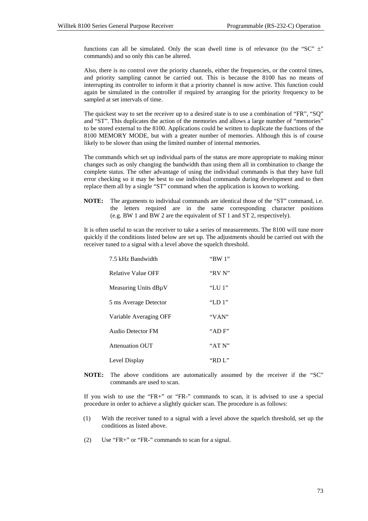functions can all be simulated. Only the scan dwell time is of relevance (to the "SC"  $\pm$ " commands) and so only this can be altered.

Also, there is no control over the priority channels, either the frequencies, or the control times, and priority sampling cannot be carried out. This is because the 8100 has no means of interrupting its controller to inform it that a priority channel is now active. This function could again be simulated in the controller if required by arranging for the priority frequency to be sampled at set intervals of time.

The quickest way to set the receiver up to a desired state is to use a combination of "FR", "SQ" and "ST". This duplicates the action of the memories and allows a large number of "memories" to be stored external to the 8100. Applications could be written to duplicate the functions of the 8100 MEMORY MODE, but with a greater number of memories. Although this is of course likely to be slower than using the limited number of internal memories.

The commands which set up individual parts of the status are more appropriate to making minor changes such as only changing the bandwidth than using them all in combination to change the complete status. The other advantage of using the individual commands is that they have full error checking so it may be best to use individual commands during development and to then replace them all by a single "ST" command when the application is known to working.

**NOTE:** The arguments to individual commands are identical those of the "ST" command, i.e. the letters required are in the same corresponding character positions (e.g. BW 1 and BW 2 are the equivalent of ST 1 and ST 2, respectively).

It is often useful to scan the receiver to take a series of measurements. The 8100 will tune more quickly if the conditions listed below are set up. The adjustments should be carried out with the receiver tuned to a signal with a level above the squelch threshold.

| 7.5 kHz Bandwidth         | "BW 1"        |
|---------------------------|---------------|
| <b>Relative Value OFF</b> | "RV N"        |
| Measuring Units dBµV      | "LU $\cdot$ " |
| 5 ms Average Detector     | "LD 1"        |
| Variable Averaging OFF    | "VAN"         |
| <b>Audio Detector FM</b>  | " $AD$ $F$ "  |
| <b>Attenuation OUT</b>    | "ATN"         |
| Level Display             | "RD L"        |

**NOTE:** The above conditions are automatically assumed by the receiver if the "SC" commands are used to scan.

If you wish to use the "FR+" or "FR-" commands to scan, it is advised to use a special procedure in order to achieve a slightly quicker scan. The procedure is as follows:

- (1) With the receiver tuned to a signal with a level above the squelch threshold, set up the conditions as listed above.
- (2) Use "FR+" or "FR-" commands to scan for a signal.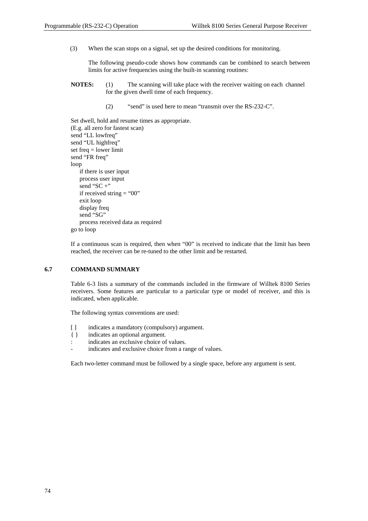(3) When the scan stops on a signal, set up the desired conditions for monitoring.

The following pseudo-code shows how commands can be combined to search between limits for active frequencies using the built-in scanning routines:

- **NOTES:** (1) The scanning will take place with the receiver waiting on each channel for the given dwell time of each frequency.
	- (2) "send" is used here to mean "transmit over the RS-232-C".

```
Set dwell, hold and resume times as appropriate. 
(E.g. all zero for fastest scan) 
send "LL lowfreq"
send "UL highfreq" 
set freq = lower limit 
send "FR freq" 
loop 
   if there is user input 
   process user input 
   send "SC +"
   if received string = "00"
   exit loop 
   display freq 
   send "SG"
   process received data as required 
go to loop
```
If a continuous scan is required, then when "00" is received to indicate that the limit has been reached, the receiver can be re-tuned to the other limit and be restarted.

#### **6.7 COMMAND SUMMARY**

Table 6-3 lists a summary of the commands included in the firmware of Willtek 8100 Series receivers. Some features are particular to a particular type or model of receiver, and this is indicated, when applicable.

The following syntax conventions are used:

- [ ] indicates a mandatory (compulsory) argument.
- { } indicates an optional argument.
- : indicates an exclusive choice of values.
- indicates and exclusive choice from a range of values.

Each two-letter command must be followed by a single space, before any argument is sent.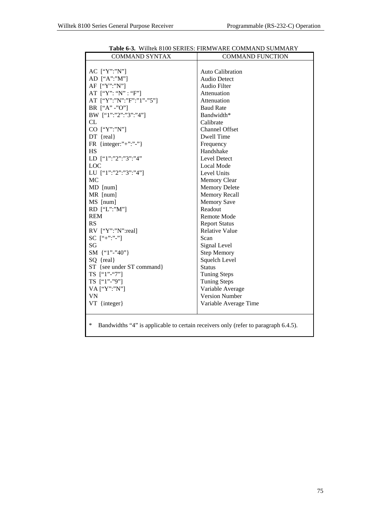| <b>COMMAND SYNTAX</b>     | <b>COMMAND FUNCTION</b> |
|---------------------------|-------------------------|
|                           |                         |
| AC ["Y":"N"]              | Auto Calibration        |
| AD $[``A":''M"]$          | <b>Audio Detect</b>     |
| AF ["Y":"N"]              | Audio Filter            |
| AT $[``Y": "N": "F"]$     | Attenuation             |
| AT ["Y":"N":"F":"1"-"5"]  | Attenuation             |
| BR ["A" -"O"]             | <b>Baud Rate</b>        |
| BW ["1":"2":"3":"4"]      | Bandwidth*              |
| CL.                       | Calibrate               |
| CO ["Y":"N"]              | <b>Channel Offset</b>   |
| $DT$ {real}               | Dwell Time              |
| FR {integer:"+":"-"}      | Frequency               |
| <b>HS</b>                 | Handshake               |
| LD ["1":"2":"3":"4"       | Level Detect            |
| <b>LOC</b>                | Local Mode              |
| LU ["1":"2":"3":"4"]      | Level Units             |
| MC                        | <b>Memory Clear</b>     |
| MD [num]                  | <b>Memory Delete</b>    |
| MR [num]                  | <b>Memory Recall</b>    |
| MS [num]                  | <b>Memory Save</b>      |
| RD ["L":"M"]              | Readout                 |
| <b>REM</b>                | Remote Mode             |
| RS                        | <b>Report Status</b>    |
| RV ["Y":"N":real]         | <b>Relative Value</b>   |
| $SC$ ["+":"-"]            | Scan                    |
| SG                        | Signal Level            |
| SM $\{$ "1"-"40"}         | <b>Step Memory</b>      |
| SQ {real}                 | Squelch Level           |
| ST {see under ST command} | <b>Status</b>           |
| TS ["1"-"7"]              | <b>Tuning Steps</b>     |
| TS ["1"-"9"]              | <b>Tuning Steps</b>     |
| VA ["Y":"N"]              | Variable Average        |
| <b>VN</b>                 | <b>Version Number</b>   |
| VT {integer}              | Variable Average Time   |
|                           |                         |

# **Table 6-3.** Willtek 8100 SERIES: FIRMWARE COMMAND SUMMARY

\* Bandwidths "4" is applicable to certain receivers only (refer to paragraph 6.4.5).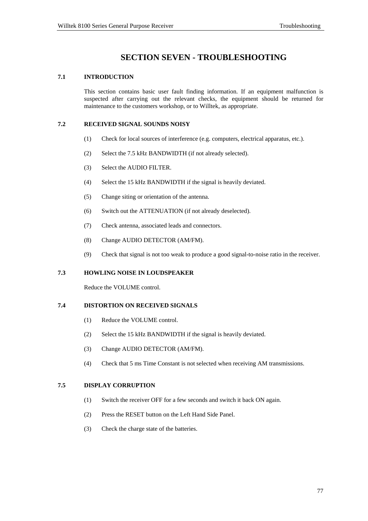# **SECTION SEVEN - TROUBLESHOOTING**

# **7.1 INTRODUCTION**

This section contains basic user fault finding information. If an equipment malfunction is suspected after carrying out the relevant checks, the equipment should be returned for maintenance to the customers workshop, or to Willtek, as appropriate.

# **7.2 RECEIVED SIGNAL SOUNDS NOISY**

- (1) Check for local sources of interference (e.g. computers, electrical apparatus, etc.).
- (2) Select the 7.5 kHz BANDWIDTH (if not already selected).
- (3) Select the AUDIO FILTER.
- (4) Select the 15 kHz BANDWIDTH if the signal is heavily deviated.
- (5) Change siting or orientation of the antenna.
- (6) Switch out the ATTENUATION (if not already deselected).
- (7) Check antenna, associated leads and connectors.
- (8) Change AUDIO DETECTOR (AM/FM).
- (9) Check that signal is not too weak to produce a good signal-to-noise ratio in the receiver.

#### **7.3 HOWLING NOISE IN LOUDSPEAKER**

Reduce the VOLUME control.

# **7.4 DISTORTION ON RECEIVED SIGNALS**

- (1) Reduce the VOLUME control.
- (2) Select the 15 kHz BANDWIDTH if the signal is heavily deviated.
- (3) Change AUDIO DETECTOR (AM/FM).
- (4) Check that 5 ms Time Constant is not selected when receiving AM transmissions.

# **7.5 DISPLAY CORRUPTION**

- (1) Switch the receiver OFF for a few seconds and switch it back ON again.
- (2) Press the RESET button on the Left Hand Side Panel.
- (3) Check the charge state of the batteries.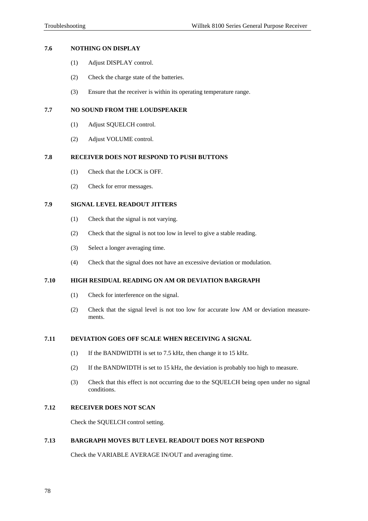### **7.6 NOTHING ON DISPLAY**

- (1) Adjust DISPLAY control.
- (2) Check the charge state of the batteries.
- (3) Ensure that the receiver is within its operating temperature range.

# **7.7 NO SOUND FROM THE LOUDSPEAKER**

- (1) Adjust SQUELCH control.
- (2) Adjust VOLUME control.

#### **7.8 RECEIVER DOES NOT RESPOND TO PUSH BUTTONS**

- (1) Check that the LOCK is OFF.
- (2) Check for error messages.

# **7.9 SIGNAL LEVEL READOUT JITTERS**

- (1) Check that the signal is not varying.
- (2) Check that the signal is not too low in level to give a stable reading.
- (3) Select a longer averaging time.
- (4) Check that the signal does not have an excessive deviation or modulation.

# **7.10 HIGH RESIDUAL READING ON AM OR DEVIATION BARGRAPH**

- (1) Check for interference on the signal.
- (2) Check that the signal level is not too low for accurate low AM or deviation measurements.

#### **7.11 DEVIATION GOES OFF SCALE WHEN RECEIVING A SIGNAL**

- (1) If the BANDWIDTH is set to 7.5 kHz, then change it to 15 kHz.
- (2) If the BANDWIDTH is set to 15 kHz, the deviation is probably too high to measure.
- (3) Check that this effect is not occurring due to the SQUELCH being open under no signal conditions.

# **7.12 RECEIVER DOES NOT SCAN**

Check the SQUELCH control setting.

# **7.13 BARGRAPH MOVES BUT LEVEL READOUT DOES NOT RESPOND**

Check the VARIABLE AVERAGE IN/OUT and averaging time.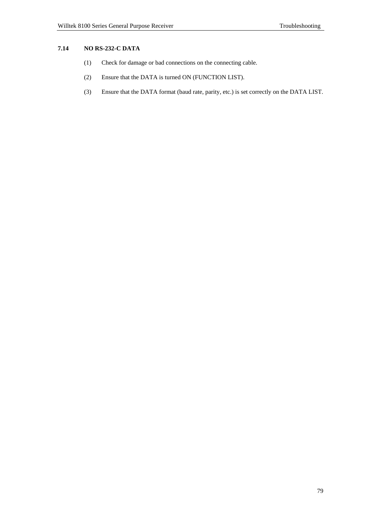# **7.14 NO RS-232-C DATA**

- (1) Check for damage or bad connections on the connecting cable.
- (2) Ensure that the DATA is turned ON (FUNCTION LIST).
- (3) Ensure that the DATA format (baud rate, parity, etc.) is set correctly on the DATA LIST.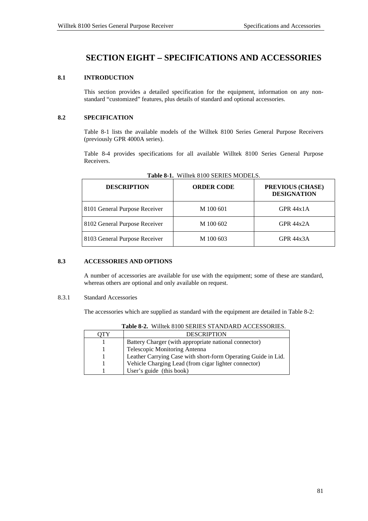# **SECTION EIGHT** − **SPECIFICATIONS AND ACCESSORIES**

# **8.1 INTRODUCTION**

This section provides a detailed specification for the equipment, information on any nonstandard "customized" features, plus details of standard and optional accessories.

# **8.2 SPECIFICATION**

Table 8-1 lists the available models of the Willtek 8100 Series General Purpose Receivers (previously GPR 4000A series).

Table 8-4 provides specifications for all available Willtek 8100 Series General Purpose Receivers.

| <b>DESCRIPTION</b>            | <b>ORDER CODE</b> | PREVIOUS (CHASE)<br><b>DESIGNATION</b> |
|-------------------------------|-------------------|----------------------------------------|
| 8101 General Purpose Receiver | M 100 601         | GPR $44x1A$                            |
| 8102 General Purpose Receiver | M 100 602         | GPR $44x2A$                            |
| 8103 General Purpose Receiver | M 100 603         | GPR 44x3A                              |

**Table 8-1.** Willtek 8100 SERIES MODELS.

# **8.3 ACCESSORIES AND OPTIONS**

A number of accessories are available for use with the equipment; some of these are standard, whereas others are optional and only available on request.

#### 8.3.1 Standard Accessories

The accessories which are supplied as standard with the equipment are detailed in Table 8-2:

|     | <b>THUIC 0-2.</b> IN HIRTH OTOO DERVED DITTING TROOPDOM THE $\alpha$ |
|-----|----------------------------------------------------------------------|
| OTY | <b>DESCRIPTION</b>                                                   |
|     | Battery Charger (with appropriate national connector)                |
|     | Telescopic Monitoring Antenna                                        |
|     | Leather Carrying Case with short-form Operating Guide in Lid.        |
|     | Vehicle Charging Lead (from cigar lighter connector)                 |
|     | User's guide (this book)                                             |

**Table 8-2.** Willtek 8100 SERIES STANDARD ACCESSORIES.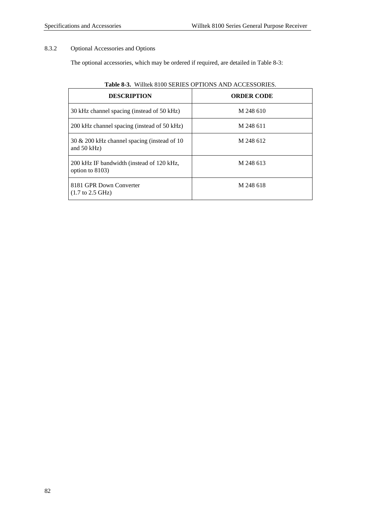# 8.3.2 Optional Accessories and Options

The optional accessories, which may be ordered if required, are detailed in Table 8-3:

| <b>DESCRIPTION</b>                                              | <b>ORDER CODE</b> |  |
|-----------------------------------------------------------------|-------------------|--|
| 30 kHz channel spacing (instead of 50 kHz)                      | M 248 610         |  |
| 200 kHz channel spacing (instead of 50 kHz)                     | M 248 611         |  |
| 30 $\&$ 200 kHz channel spacing (instead of 10<br>and $50$ kHz) | M 248 612         |  |
| 200 kHz IF bandwidth (instead of 120 kHz,<br>option to 8103)    | M 248 613         |  |
| 8181 GPR Down Converter<br>$(1.7 \text{ to } 2.5 \text{ GHz})$  | M 248 618         |  |

# **Table 8-3.** Willtek 8100 SERIES OPTIONS AND ACCESSORIES.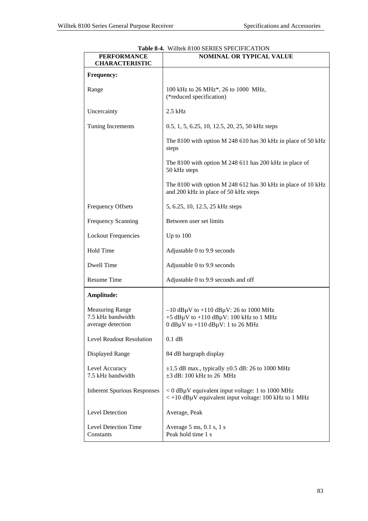| <b>PERFORMANCE</b><br><b>CHARACTERISTIC</b>                      | WHITCH OTOO SERVIES STECHT REFERENT<br><b>NOMINAL OR TYPICAL VALUE</b>                                                                                            |
|------------------------------------------------------------------|-------------------------------------------------------------------------------------------------------------------------------------------------------------------|
| <b>Frequency:</b>                                                |                                                                                                                                                                   |
| Range                                                            | 100 kHz to 26 MHz <sup>*</sup> , 26 to 1000 MHz,<br>(*reduced specification)                                                                                      |
| Uncercainty                                                      | $2.5$ kHz                                                                                                                                                         |
| Tuning Increments                                                | 0.5, 1, 5, 6.25, 10, 12.5, 20, 25, 50 kHz steps                                                                                                                   |
|                                                                  | The 8100 with option M 248 610 has 30 kHz in place of 50 kHz<br>steps                                                                                             |
|                                                                  | The 8100 with option M 248 611 has 200 kHz in place of<br>50 kHz steps                                                                                            |
|                                                                  | The 8100 with option M 248 612 has 30 kHz in place of 10 kHz<br>and 200 kHz in place of 50 kHz steps                                                              |
| <b>Frequency Offsets</b>                                         | 5, 6.25, 10, 12.5, 25 kHz steps                                                                                                                                   |
| Frequency Scanning                                               | Between user set limits                                                                                                                                           |
| <b>Lockout Frequencies</b>                                       | Up to $100$                                                                                                                                                       |
| <b>Hold Time</b>                                                 | Adjustable 0 to 9.9 seconds                                                                                                                                       |
| Dwell Time                                                       | Adjustable 0 to 9.9 seconds                                                                                                                                       |
| <b>Resume Time</b>                                               | Adjustable 0 to 9.9 seconds and off                                                                                                                               |
| Amplitude:                                                       |                                                                                                                                                                   |
| <b>Measuring Range</b><br>7.5 kHz bandwidth<br>average detection | $-10$ dB $\mu$ V to $+110$ dB $\mu$ V: 26 to 1000 MHz<br>$+5$ dB $\mu$ V to $+110$ dB $\mu$ V: 100 kHz to 1 MHz<br>$0$ dB $\mu$ V to +110 dB $\mu$ V: 1 to 26 MHz |
| Level Readout Resolution                                         | 0.1 dB                                                                                                                                                            |
| <b>Displayed Range</b>                                           | 84 dB bargraph display                                                                                                                                            |
| Level Accuracy<br>7.5 kHz bandwidth                              | $\pm 1.5$ dB max., typically $\pm 0.5$ dB: 26 to 1000 MHz<br>$\pm 3$ dB: 100 kHz to 26 MHz                                                                        |
| <b>Inherent Spurious Responses</b>                               | <0 dBµV equivalent input voltage: 1 to 1000 MHz<br>$\langle +10 \text{ dB} \mu V \rangle$ equivalent input voltage: 100 kHz to 1 MHz                              |
| <b>Level Detection</b>                                           | Average, Peak                                                                                                                                                     |
| Level Detection Time<br>Constants                                | Average $5 \text{ ms}$ , $0.1 \text{ s}$ , $1 \text{ s}$<br>Peak hold time 1 s                                                                                    |

**Table 8-4.** Willtek 8100 SERIES SPECIFICATION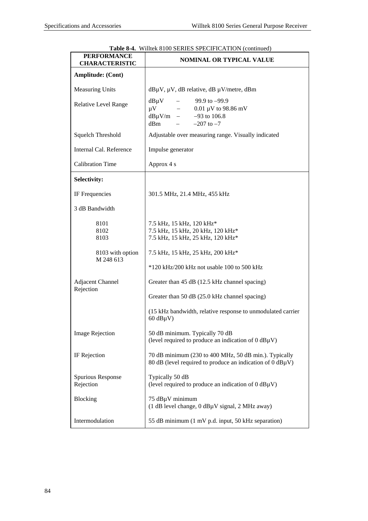|                                             | <b>Table 0-4.</b> WHITEK 6100 SEKIES STECH ICATION (CONTINUED)                                                                               |  |
|---------------------------------------------|----------------------------------------------------------------------------------------------------------------------------------------------|--|
| <b>PERFORMANCE</b><br><b>CHARACTERISTIC</b> | <b>NOMINAL OR TYPICAL VALUE</b>                                                                                                              |  |
| <b>Amplitude: (Cont)</b>                    |                                                                                                                                              |  |
| <b>Measuring Units</b>                      | $dB\mu V$ , $\mu V$ , dB relative, dB $\mu V/m$ etre, dBm                                                                                    |  |
| <b>Relative Level Range</b>                 | $99.9$ to $-99.9$<br>$dB\mu V$<br>$\mu$ V<br>$0.01~\mu \mathrm{V}$ to 98.86 mV<br>$-$<br>$dB\mu V/m$ - -93 to 106.8<br>dBm<br>$-207$ to $-7$ |  |
| Squelch Threshold                           | Adjustable over measuring range. Visually indicated                                                                                          |  |
| Internal Cal. Reference                     | Impulse generator                                                                                                                            |  |
| <b>Calibration Time</b>                     | Approx 4 s                                                                                                                                   |  |
| Selectivity:                                |                                                                                                                                              |  |
| IF Frequencies                              | 301.5 MHz, 21.4 MHz, 455 kHz                                                                                                                 |  |
| 3 dB Bandwidth                              |                                                                                                                                              |  |
| 8101<br>8102<br>8103                        | 7.5 kHz, 15 kHz, 120 kHz*<br>7.5 kHz, 15 kHz, 20 kHz, 120 kHz*<br>7.5 kHz, 15 kHz, 25 kHz, 120 kHz*                                          |  |
| 8103 with option<br>M 248 613               | 7.5 kHz, 15 kHz, 25 kHz, 200 kHz*                                                                                                            |  |
|                                             | *120 kHz/200 kHz not usable 100 to 500 kHz                                                                                                   |  |
| Adjacent Channel<br>Rejection               | Greater than 45 dB (12.5 kHz channel spacing)                                                                                                |  |
|                                             | Greater than 50 dB (25.0 kHz channel spacing)                                                                                                |  |
|                                             | (15 kHz bandwidth, relative response to unmodulated carrier<br>$60$ dB $\mu$ V)                                                              |  |
| <b>Image Rejection</b>                      | 50 dB minimum. Typically 70 dB<br>(level required to produce an indication of $0 dB\mu V$ )                                                  |  |
| IF Rejection                                | 70 dB minimum (230 to 400 MHz, 50 dB min.). Typically<br>80 dB (level required to produce an indication of 0 dBµV)                           |  |
| Spurious Response<br>Rejection              | Typically 50 dB<br>(level required to produce an indication of $0 dB\mu V$ )                                                                 |  |
| <b>Blocking</b>                             | 75 dBµV minimum<br>(1 dB level change, 0 dBµV signal, 2 MHz away)                                                                            |  |
| Intermodulation                             | 55 dB minimum (1 mV p.d. input, 50 kHz separation)                                                                                           |  |

|  |  |  |  | <b>Table 8-4.</b> Willtek 8100 SERIES SPECIFICATION (continued) |  |  |
|--|--|--|--|-----------------------------------------------------------------|--|--|
|--|--|--|--|-----------------------------------------------------------------|--|--|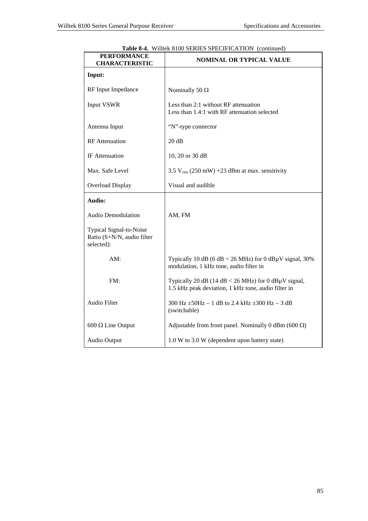| <b>PERFORMANCE</b><br><b>CHARACTERISTIC</b>                         | <b>Table 0-4.</b> WHICK 0100 SERIES SI ECH ICATION (COMMIQUE)<br><b>NOMINAL OR TYPICAL VALUE</b>                 |
|---------------------------------------------------------------------|------------------------------------------------------------------------------------------------------------------|
| Input:                                                              |                                                                                                                  |
| RF Input Impedance                                                  | Nominally 50 $\Omega$                                                                                            |
| <b>Input VSWR</b>                                                   | Less than 2:1 without RF attenuation<br>Less than 1.4:1 with RF attenuation selected                             |
| Antenna Input                                                       | "N"-type connector                                                                                               |
| <b>RF</b> Attenuation                                               | 20 dB                                                                                                            |
| IF Attenuation                                                      | 10, 20 or 30 dB                                                                                                  |
| Max. Safe Level                                                     | 3.5 $V_{rms}$ (250 mW) +23 dBm at max. sensitivity                                                               |
| Overload Display                                                    | Visual and audible                                                                                               |
| Audio:                                                              |                                                                                                                  |
| <b>Audio Demodulation</b>                                           | AM, FM                                                                                                           |
| Typical Signal-to-Noise<br>Ratio (S+N/N, audio filter<br>selected): |                                                                                                                  |
| AM:                                                                 | Typically 10 dB (6 dB < 26 MHz) for 0 dBµV signal, 30%<br>modulation, 1 kHz tone, audio filter in                |
| FM:                                                                 | Typically 20 dB (14 dB < 26 MHz) for 0 dB $\mu$ V signal,<br>1.5 kHz peak deviation, 1 kHz tone, audio filter in |
| Audio Filter                                                        | 300 Hz $\pm$ 50Hz - 1 dB to 2.4 kHz $\pm$ 300 Hz - 3 dB<br>(switchable)                                          |
| $600 \Omega$ Line Output                                            | Adjustable from front panel. Nominally 0 dBm (600 $\Omega$ )                                                     |
| Audio Output                                                        | 1.0 W to 3.0 W (dependent upon battery state)                                                                    |

| <b>Table 8-4.</b> Willtek 8100 SERIES SPECIFICATION (continued) |  |
|-----------------------------------------------------------------|--|
|                                                                 |  |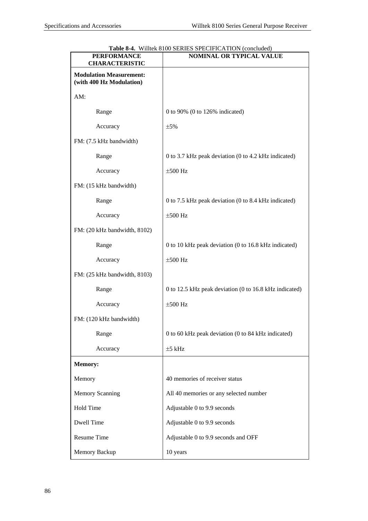| <b>PERFORMANCE</b><br><b>CHARACTERISTIC</b>                | <b>Table 8-4.</b> Willtek 8100 SERIES SPECIFICATION (concluded)<br><b>NOMINAL OR TYPICAL VALUE</b> |
|------------------------------------------------------------|----------------------------------------------------------------------------------------------------|
| <b>Modulation Measurement:</b><br>(with 400 Hz Modulation) |                                                                                                    |
| AM:                                                        |                                                                                                    |
| Range                                                      | 0 to 90% (0 to 126% indicated)                                                                     |
| Accuracy                                                   | $\pm$ 5%                                                                                           |
| FM: (7.5 kHz bandwidth)                                    |                                                                                                    |
| Range                                                      | 0 to 3.7 kHz peak deviation (0 to 4.2 kHz indicated)                                               |
| Accuracy                                                   | $\pm 500$ Hz                                                                                       |
| FM: (15 kHz bandwidth)                                     |                                                                                                    |
| Range                                                      | 0 to 7.5 kHz peak deviation (0 to 8.4 kHz indicated)                                               |
| Accuracy                                                   | $\pm 500$ Hz                                                                                       |
| FM: (20 kHz bandwidth, 8102)                               |                                                                                                    |
| Range                                                      | 0 to 10 kHz peak deviation (0 to 16.8 kHz indicated)                                               |
| Accuracy                                                   | $\pm 500$ Hz                                                                                       |
| FM: (25 kHz bandwidth, 8103)                               |                                                                                                    |
| Range                                                      | 0 to 12.5 kHz peak deviation (0 to 16.8 kHz indicated)                                             |
| Accuracy                                                   | $\pm 500$ Hz                                                                                       |
| FM: (120 kHz bandwidth)                                    |                                                                                                    |
| Range                                                      | 0 to 60 kHz peak deviation (0 to 84 kHz indicated)                                                 |
| Accuracy                                                   | $±5$ kHz                                                                                           |
| <b>Memory:</b>                                             |                                                                                                    |
| Memory                                                     | 40 memories of receiver status                                                                     |
| <b>Memory Scanning</b>                                     | All 40 memories or any selected number                                                             |
| Hold Time                                                  | Adjustable 0 to 9.9 seconds                                                                        |
| Dwell Time                                                 | Adjustable 0 to 9.9 seconds                                                                        |
| Resume Time                                                | Adjustable 0 to 9.9 seconds and OFF                                                                |
| Memory Backup                                              | 10 years                                                                                           |

**Table 8-4.** Willtek 8100 SERIES SPECIFICATION (concluded)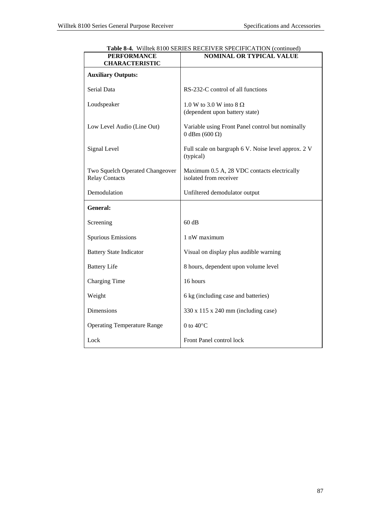| <b>PERFORMANCE</b><br><b>CHARACTERISTIC</b>              | <b>NOMINAL OR TYPICAL VALUE</b>                                             |
|----------------------------------------------------------|-----------------------------------------------------------------------------|
| <b>Auxiliary Outputs:</b>                                |                                                                             |
| Serial Data                                              | RS-232-C control of all functions                                           |
| Loudspeaker                                              | 1.0 W to 3.0 W into $8 \Omega$<br>(dependent upon battery state)            |
| Low Level Audio (Line Out)                               | Variable using Front Panel control but nominally<br>$0$ dBm (600 $\Omega$ ) |
| Signal Level                                             | Full scale on bargraph 6 V. Noise level approx. 2 V<br>(typical)            |
| Two Squelch Operated Changeover<br><b>Relay Contacts</b> | Maximum 0.5 A, 28 VDC contacts electrically<br>isolated from receiver       |
| Demodulation                                             | Unfiltered demodulator output                                               |
| <b>General:</b>                                          |                                                                             |
| Screening                                                | 60 dB                                                                       |
| <b>Spurious Emissions</b>                                | 1 nW maximum                                                                |
| <b>Battery State Indicator</b>                           | Visual on display plus audible warning                                      |
| <b>Battery Life</b>                                      | 8 hours, dependent upon volume level                                        |
| Charging Time                                            | 16 hours                                                                    |
| Weight                                                   | 6 kg (including case and batteries)                                         |
| Dimensions                                               | 330 x 115 x 240 mm (including case)                                         |
| <b>Operating Temperature Range</b>                       | 0 to $40^{\circ}$ C                                                         |
| Lock                                                     | Front Panel control lock                                                    |

**Table 8-4.** Willtek 8100 SERIES RECEIVER SPECIFICATION (continued)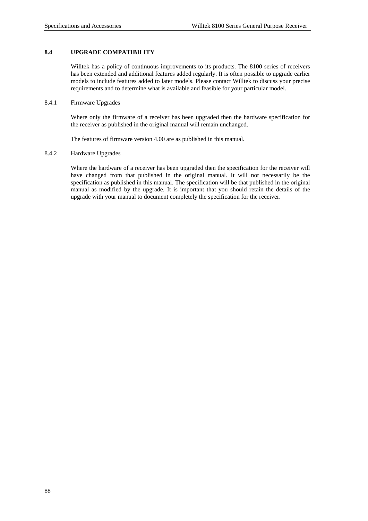# **8.4 UPGRADE COMPATIBILITY**

Willtek has a policy of continuous improvements to its products. The 8100 series of receivers has been extended and additional features added regularly. It is often possible to upgrade earlier models to include features added to later models. Please contact Willtek to discuss your precise requirements and to determine what is available and feasible for your particular model.

### 8.4.1 Firmware Upgrades

Where only the firmware of a receiver has been upgraded then the hardware specification for the receiver as published in the original manual will remain unchanged.

The features of firmware version 4.00 are as published in this manual.

# 8.4.2 Hardware Upgrades

Where the hardware of a receiver has been upgraded then the specification for the receiver will have changed from that published in the original manual. It will not necessarily be the specification as published in this manual. The specification will be that published in the original manual as modified by the upgrade. It is important that you should retain the details of the upgrade with your manual to document completely the specification for the receiver.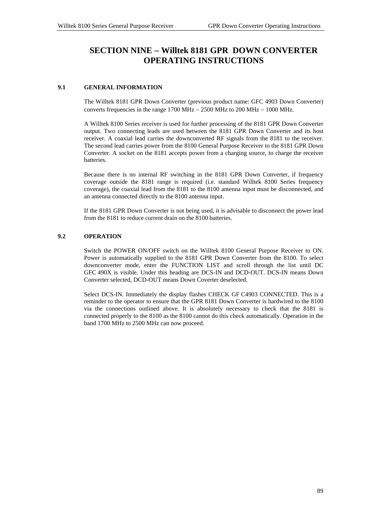# **SECTION NINE** − **Willtek 8181 GPR DOWN CONVERTER OPERATING INSTRUCTIONS**

# **9.1 GENERAL INFORMATION**

The Willtek 8181 GPR Down Converter (previous product name: GFC 4903 Down Converter) converts frequencies in the range 1700 MHz  $- 2500$  MHz to 200 MHz  $- 1000$  MHz.

A Willtek 8100 Series receiver is used for further processing of the 8181 GPR Down Converter output. Two connecting leads are used between the 8181 GPR Down Converter and its host receiver. A coaxial lead carries the downconverted RF signals from the 8181 to the receiver. The second lead carries power from the 8100 General Purpose Receiver to the 8181 GPR Down Converter. A socket on the 8181 accepts power from a charging source, to charge the receiver batteries.

Because there is no internal RF switching in the 8181 GPR Down Converter, if frequency coverage outside the 8181 range is required (i.e. standard Willtek 8100 Series frequency coverage), the coaxial lead from the 8181 to the 8100 antenna input must be disconnected, and an antenna connected directly to the 8100 antenna input.

If the 8181 GPR Down Converter is not being used, it is advisable to disconnect the power lead from the 8181 to reduce current drain on the 8100 batteries.

# **9.2 OPERATION**

Switch the POWER ON/OFF switch on the Willtek 8100 General Purpose Receiver to ON. Power is automatically supplied to the 8181 GPR Down Converter from the 8100. To select downconverter mode, enter the FUNCTION LIST and scroll through the list until DC GFC 490X is visible. Under this heading are DCS-IN and DCD-OUT. DCS-IN means Down Converter selected, DCD-OUT means Down Coverter deselected.

Select DCS-IN. Immediately the display flashes CHECK GF C4903 CONNECTED. This is a reminder to the operator to ensure that the GPR 8181 Down Converter is hardwired to the 8100 via the connections outlined above. It is absolutely necessary to check that the 8181 is connected properly to the 8100 as the 8100 cannot do this check automatically. Operation in the band 1700 MHz to 2500 MHz can now proceed.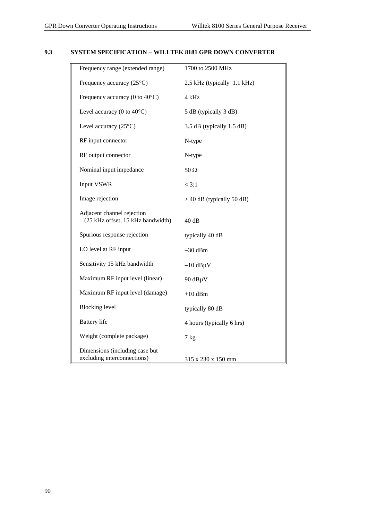# **9.3 SYSTEM SPECIFICATION** − **WILLTEK 8181 GPR DOWN CONVERTER**

| Frequency range (extended range)                                | 1700 to 2500 MHz            |
|-----------------------------------------------------------------|-----------------------------|
| Frequency accuracy $(25^{\circ}C)$                              | 2.5 kHz (typically 1.1 kHz) |
| Frequency accuracy (0 to $40^{\circ}$ C)                        | 4 kHz                       |
| Level accuracy (0 to $40^{\circ}$ C)                            | 5 dB (typically 3 dB)       |
| Level accuracy $(25^{\circ}C)$                                  | 3.5 dB (typically 1.5 dB)   |
| RF input connector                                              | N-type                      |
| RF output connector                                             | N-type                      |
| Nominal input impedance                                         | 50 $\Omega$                 |
| <b>Input VSWR</b>                                               | < 3:1                       |
| Image rejection                                                 | $>$ 40 dB (typically 50 dB) |
| Adjacent channel rejection<br>(25 kHz offset, 15 kHz bandwidth) | 40dB                        |
| Spurious response rejection                                     | typically 40 dB             |
| LO level at RF input                                            | $-30$ dBm                   |
| Sensitivity 15 kHz bandwidth                                    | $-10$ dB $\mu$ V            |
| Maximum RF input level (linear)                                 | 90 dBµV                     |
| Maximum RF input level (damage)                                 | $+10$ dBm                   |
| <b>Blocking</b> level                                           | typically 80 dB             |
| <b>Battery</b> life                                             | 4 hours (typically 6 hrs)   |
| Weight (complete package)                                       | $7$ kg                      |
| Dimensions (including case but<br>excluding interconnections)   | 315 x 230 x 150 mm          |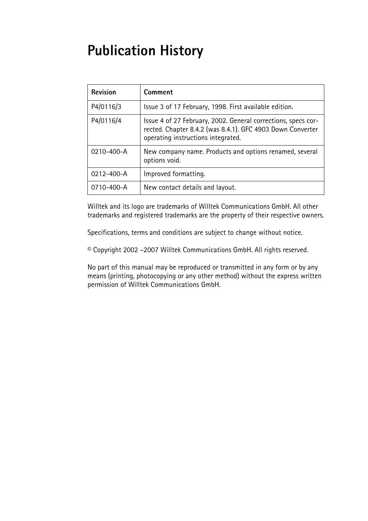# **Publication History**

| <b>Revision</b> | Comment                                                                                                                                                           |
|-----------------|-------------------------------------------------------------------------------------------------------------------------------------------------------------------|
| P4/0116/3       | Issue 3 of 17 February, 1998. First available edition.                                                                                                            |
| P4/0116/4       | Issue 4 of 27 February, 2002. General corrections, specs cor-<br>rected. Chapter 8.4.2 (was 8.4.1). GFC 4903 Down Converter<br>operating instructions integrated. |
| 0210-400-A      | New company name. Products and options renamed, several<br>options void.                                                                                          |
| 0212-400-A      | Improved formatting.                                                                                                                                              |
| 0710-400-A      | New contact details and layout.                                                                                                                                   |

Willtek and its logo are trademarks of Willtek Communications GmbH. All other trademarks and registered trademarks are the property of their respective owners.

Specifications, terms and conditions are subject to change without notice.

© Copyright 2002 –2007 Willtek Communications GmbH. All rights reserved.

No part of this manual may be reproduced or transmitted in any form or by any means (printing, photocopying or any other method) without the express written permission of Willtek Communications GmbH.